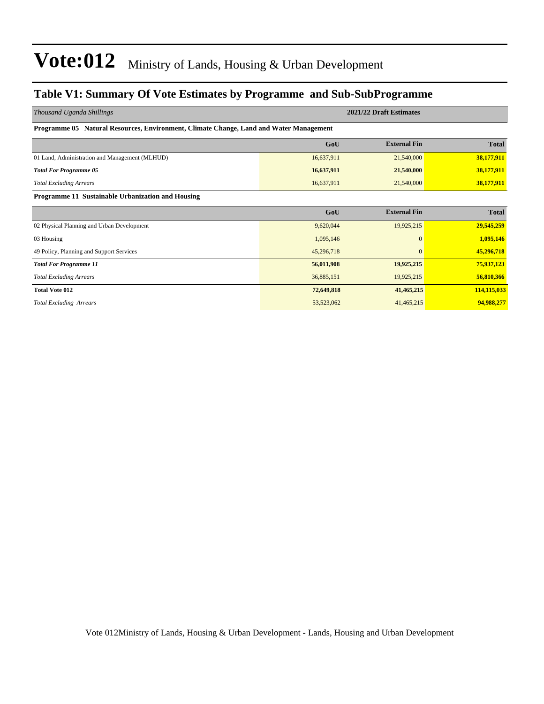#### **Table V1: Summary Of Vote Estimates by Programme and Sub-SubProgramme**

| Thousand Uganda Shillings                                                              |            | 2021/22 Draft Estimates |              |  |  |  |  |  |  |  |  |
|----------------------------------------------------------------------------------------|------------|-------------------------|--------------|--|--|--|--|--|--|--|--|
| Programme 05 Natural Resources, Environment, Climate Change, Land and Water Management |            |                         |              |  |  |  |  |  |  |  |  |
|                                                                                        | GoU        | <b>External Fin</b>     | <b>Total</b> |  |  |  |  |  |  |  |  |
| 01 Land, Administration and Management (MLHUD)                                         | 16,637,911 | 21,540,000              | 38,177,911   |  |  |  |  |  |  |  |  |
| <b>Total For Programme 05</b>                                                          | 16,637,911 | 21,540,000              | 38,177,911   |  |  |  |  |  |  |  |  |
| <b>Total Excluding Arrears</b>                                                         | 16,637,911 | 21,540,000              | 38,177,911   |  |  |  |  |  |  |  |  |
| Programme 11 Sustainable Urbanization and Housing                                      |            |                         |              |  |  |  |  |  |  |  |  |
|                                                                                        | GoU        | <b>External Fin</b>     | <b>Total</b> |  |  |  |  |  |  |  |  |
| 02 Physical Planning and Urban Development                                             | 9,620,044  | 19,925,215              | 29,545,259   |  |  |  |  |  |  |  |  |
| 03 Housing                                                                             | 1,095,146  | $\Omega$                | 1,095,146    |  |  |  |  |  |  |  |  |
| 49 Policy, Planning and Support Services                                               | 45,296,718 | $\mathbf{0}$            | 45,296,718   |  |  |  |  |  |  |  |  |
| <b>Total For Programme 11</b>                                                          | 56,011,908 | 19,925,215              | 75,937,123   |  |  |  |  |  |  |  |  |
| <b>Total Excluding Arrears</b>                                                         | 36,885,151 | 19,925,215              | 56,810,366   |  |  |  |  |  |  |  |  |
| <b>Total Vote 012</b>                                                                  | 72,649,818 | 41,465,215              | 114,115,033  |  |  |  |  |  |  |  |  |
| <b>Total Excluding Arrears</b>                                                         | 53,523,062 | 41,465,215              | 94,988,277   |  |  |  |  |  |  |  |  |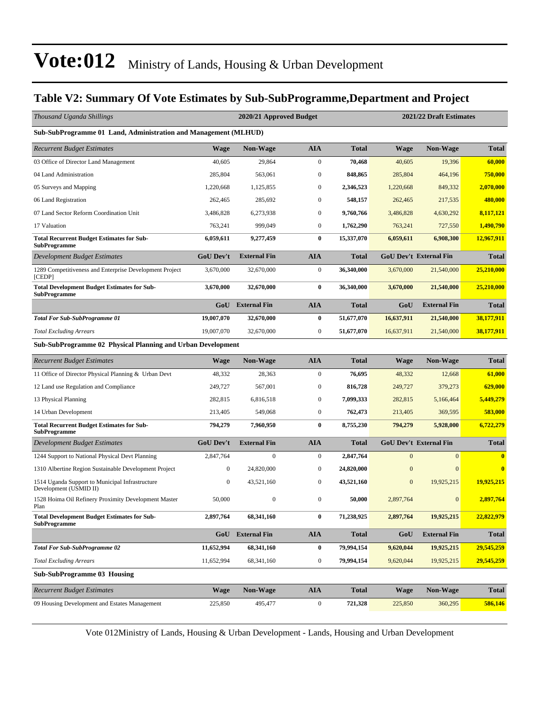#### **Table V2: Summary Of Vote Estimates by Sub-SubProgramme,Department and Project**

| Thousand Uganda Shillings                                                 |                  | 2020/21 Approved Budget |                  |              | 2021/22 Draft Estimates |                               |              |  |
|---------------------------------------------------------------------------|------------------|-------------------------|------------------|--------------|-------------------------|-------------------------------|--------------|--|
| Sub-SubProgramme 01 Land, Administration and Management (MLHUD)           |                  |                         |                  |              |                         |                               |              |  |
| <b>Recurrent Budget Estimates</b>                                         | <b>Wage</b>      | <b>Non-Wage</b>         | <b>AIA</b>       | <b>Total</b> | <b>Wage</b>             | <b>Non-Wage</b>               | <b>Total</b> |  |
| 03 Office of Director Land Management                                     | 40,605           | 29,864                  | $\boldsymbol{0}$ | 70,468       | 40,605                  | 19,396                        | 60,000       |  |
| 04 Land Administration                                                    | 285,804          | 563,061                 | $\bf{0}$         | 848,865      | 285,804                 | 464,196                       | 750,000      |  |
| 05 Surveys and Mapping                                                    | 1,220,668        | 1,125,855               | $\boldsymbol{0}$ | 2,346,523    | 1,220,668               | 849,332                       | 2,070,000    |  |
| 06 Land Registration                                                      | 262,465          | 285,692                 | $\mathbf{0}$     | 548,157      | 262,465                 | 217,535                       | 480,000      |  |
| 07 Land Sector Reform Coordination Unit                                   | 3.486.828        | 6,273,938               | $\boldsymbol{0}$ | 9,760,766    | 3,486,828               | 4,630,292                     | 8,117,121    |  |
| 17 Valuation                                                              | 763,241          | 999,049                 | $\boldsymbol{0}$ | 1,762,290    | 763,241                 | 727,550                       | 1,490,790    |  |
| <b>Total Recurrent Budget Estimates for Sub-</b><br>SubProgramme          | 6,059,611        | 9,277,459               | $\bf{0}$         | 15,337,070   | 6,059,611               | 6,908,300                     | 12,967,911   |  |
| Development Budget Estimates                                              | <b>GoU Dev't</b> | <b>External Fin</b>     | <b>AIA</b>       | <b>Total</b> |                         | <b>GoU Dev't External Fin</b> | <b>Total</b> |  |
| 1289 Competitiveness and Enterprise Development Project<br>[CEDP]         | 3,670,000        | 32,670,000              | $\boldsymbol{0}$ | 36,340,000   | 3,670,000               | 21,540,000                    | 25,210,000   |  |
| <b>Total Development Budget Estimates for Sub-</b><br>SubProgramme        | 3,670,000        | 32,670,000              | $\bf{0}$         | 36,340,000   | 3,670,000               | 21,540,000                    | 25,210,000   |  |
|                                                                           |                  | <b>GoU</b> External Fin | <b>AIA</b>       | <b>Total</b> | GoU                     | <b>External Fin</b>           | <b>Total</b> |  |
| <b>Total For Sub-SubProgramme 01</b>                                      | 19,007,070       | 32,670,000              | $\bf{0}$         | 51,677,070   | 16,637,911              | 21,540,000                    | 38,177,911   |  |
| <b>Total Excluding Arrears</b>                                            | 19,007,070       | 32,670,000              | $\boldsymbol{0}$ | 51,677,070   | 16,637,911              | 21,540,000                    | 38,177,911   |  |
| Sub-SubProgramme 02 Physical Planning and Urban Development               |                  |                         |                  |              |                         |                               |              |  |
| <b>Recurrent Budget Estimates</b>                                         | <b>Wage</b>      | <b>Non-Wage</b>         | <b>AIA</b>       | <b>Total</b> | <b>Wage</b>             | <b>Non-Wage</b>               | <b>Total</b> |  |
| 11 Office of Director Physical Planning & Urban Devt                      | 48,332           | 28,363                  | $\boldsymbol{0}$ | 76,695       | 48,332                  | 12,668                        | 61,000       |  |
| 12 Land use Regulation and Compliance                                     | 249,727          | 567,001                 | $\boldsymbol{0}$ | 816,728      | 249,727                 | 379,273                       | 629,000      |  |
| 13 Physical Planning                                                      | 282,815          | 6,816,518               | $\mathbf{0}$     | 7,099,333    | 282,815                 | 5,166,464                     | 5,449,279    |  |
| 14 Urban Development                                                      | 213,405          | 549,068                 | $\boldsymbol{0}$ | 762,473      | 213,405                 | 369,595                       | 583,000      |  |
| <b>Total Recurrent Budget Estimates for Sub-</b><br><b>SubProgramme</b>   | 794,279          | 7,960,950               | $\bf{0}$         | 8,755,230    | 794,279                 | 5,928,000                     | 6,722,279    |  |
| Development Budget Estimates                                              | <b>GoU Dev't</b> | <b>External Fin</b>     | <b>AIA</b>       | <b>Total</b> |                         | <b>GoU Dev't External Fin</b> | <b>Total</b> |  |
| 1244 Support to National Physical Devt Planning                           | 2,847,764        | $\mathbf{0}$            | $\boldsymbol{0}$ | 2,847,764    | $\overline{0}$          | $\mathbf{0}$                  | $\mathbf{0}$ |  |
| 1310 Albertine Region Sustainable Development Project                     | 0                | 24,820,000              | $\boldsymbol{0}$ | 24,820,000   | $\mathbf{0}$            | $\mathbf{0}$                  | $\bf{0}$     |  |
| 1514 Uganda Support to Municipal Infrastructure<br>Development (USMID II) | 0                | 43,521,160              | $\mathbf{0}$     | 43,521,160   | $\mathbf{0}$            | 19,925,215                    | 19,925,215   |  |
| 1528 Hoima Oil Refinery Proximity Development Master                      | 50,000           | $\boldsymbol{0}$        | $\boldsymbol{0}$ | 50,000       | 2,897,764               | $\boldsymbol{0}$              | 2,897,764    |  |
| <b>Total Development Budget Estimates for Sub-</b><br><b>SubProgramme</b> | 2,897,764        | 68,341,160              | $\bf{0}$         | 71,238,925   | 2,897,764               | 19,925,215                    | 22,822,979   |  |
|                                                                           | GoU              | <b>External Fin</b>     | <b>AIA</b>       | <b>Total</b> | GoU                     | <b>External Fin</b>           | <b>Total</b> |  |
| <b>Total For Sub-SubProgramme 02</b>                                      | 11,652,994       | 68,341,160              | $\bf{0}$         | 79,994,154   | 9,620,044               | 19,925,215                    | 29,545,259   |  |
| <b>Total Excluding Arrears</b>                                            | 11,652,994       | 68, 341, 160            | $\boldsymbol{0}$ | 79,994,154   | 9,620,044               | 19,925,215                    | 29,545,259   |  |
| <b>Sub-SubProgramme 03 Housing</b>                                        |                  |                         |                  |              |                         |                               |              |  |
| <b>Recurrent Budget Estimates</b>                                         | <b>Wage</b>      | <b>Non-Wage</b>         | <b>AIA</b>       | <b>Total</b> | <b>Wage</b>             | Non-Wage                      | <b>Total</b> |  |
| 09 Housing Development and Estates Management                             | 225,850          | 495,477                 | $\boldsymbol{0}$ | 721,328      | 225,850                 | 360,295                       | 586,146      |  |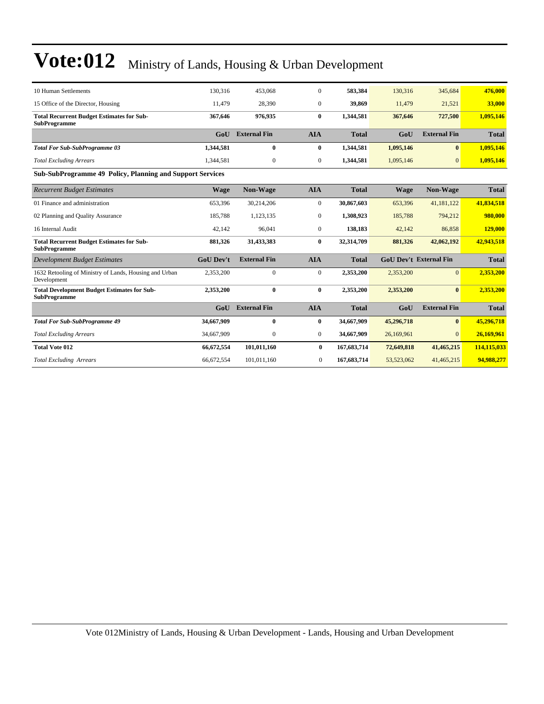| 10 Human Settlements                                                      | 130,316          | 453,068             | $\mathbf{0}$     | 583,384      | 130,316          | 345,684                       | 476,000      |
|---------------------------------------------------------------------------|------------------|---------------------|------------------|--------------|------------------|-------------------------------|--------------|
| 15 Office of the Director, Housing                                        | 11,479           | 28,390              | $\mathbf{0}$     | 39,869       | 11,479           | 21,521                        | 33,000       |
| <b>Total Recurrent Budget Estimates for Sub-</b><br><b>SubProgramme</b>   | 367,646          | 976,935             | $\bf{0}$         | 1,344,581    | 367,646          | 727,500                       | 1,095,146    |
|                                                                           | GoU              | <b>External Fin</b> | <b>AIA</b>       | <b>Total</b> | GoU              | <b>External Fin</b>           | <b>Total</b> |
| <b>Total For Sub-SubProgramme 03</b>                                      | 1,344,581        | $\bf{0}$            | $\bf{0}$         | 1,344,581    | 1,095,146        | $\mathbf{0}$                  | 1,095,146    |
| <b>Total Excluding Arrears</b>                                            | 1,344,581        | 0                   | $\overline{0}$   | 1,344,581    | 1,095,146        | $\Omega$                      | 1,095,146    |
| <b>Sub-SubProgramme 49 Policy, Planning and Support Services</b>          |                  |                     |                  |              |                  |                               |              |
| <b>Recurrent Budget Estimates</b>                                         | Wage             | <b>Non-Wage</b>     | <b>AIA</b>       | <b>Total</b> | Wage             | Non-Wage                      | <b>Total</b> |
| 01 Finance and administration                                             | 653.396          | 30,214,206          | $\mathbf{0}$     | 30,867,603   | 653,396          | 41,181,122                    | 41,834,518   |
| 02 Planning and Quality Assurance                                         | 185,788          | 1,123,135           | $\mathbf{0}$     | 1,308,923    | 185,788          | 794,212                       | 980,000      |
| 16 Internal Audit                                                         | 42,142           | 96,041              | $\overline{0}$   | 138,183      | 42,142           | 86,858                        | 129,000      |
| <b>Total Recurrent Budget Estimates for Sub-</b><br><b>SubProgramme</b>   | 881,326          | 31,433,383          | $\bf{0}$         | 32,314,709   | 881,326          | 42,062,192                    | 42,943,518   |
| Development Budget Estimates                                              | <b>GoU Dev't</b> | <b>External Fin</b> | <b>AIA</b>       | <b>Total</b> |                  | <b>GoU Dev't External Fin</b> | <b>Total</b> |
| 1632 Retooling of Ministry of Lands, Housing and Urban<br>Development     | 2,353,200        | $\mathbf{0}$        | $\boldsymbol{0}$ | 2,353,200    | 2,353,200        | $\Omega$                      | 2,353,200    |
| <b>Total Development Budget Estimates for Sub-</b><br><b>SubProgramme</b> | 2,353,200        | $\bf{0}$            | $\bf{0}$         | 2,353,200    | 2,353,200        | $\mathbf{0}$                  | 2,353,200    |
|                                                                           | G <sub>0</sub> U | <b>External Fin</b> | <b>AIA</b>       | <b>Total</b> | G <sub>0</sub> U | <b>External Fin</b>           | <b>Total</b> |
| <b>Total For Sub-SubProgramme 49</b>                                      | 34,667,909       | $\mathbf{0}$        | $\bf{0}$         | 34,667,909   | 45,296,718       | $\mathbf{0}$                  | 45,296,718   |
| <b>Total Excluding Arrears</b>                                            | 34,667,909       | $\mathbf{0}$        | $\overline{0}$   | 34,667,909   | 26,169,961       | $\Omega$                      | 26,169,961   |
| <b>Total Vote 012</b>                                                     | 66,672,554       | 101,011,160         | $\bf{0}$         | 167,683,714  | 72,649,818       | 41,465,215                    | 114,115,033  |
| <b>Total Excluding Arrears</b>                                            | 66,672,554       | 101,011,160         | $\mathbf{0}$     | 167,683,714  | 53,523,062       | 41,465,215                    | 94,988,277   |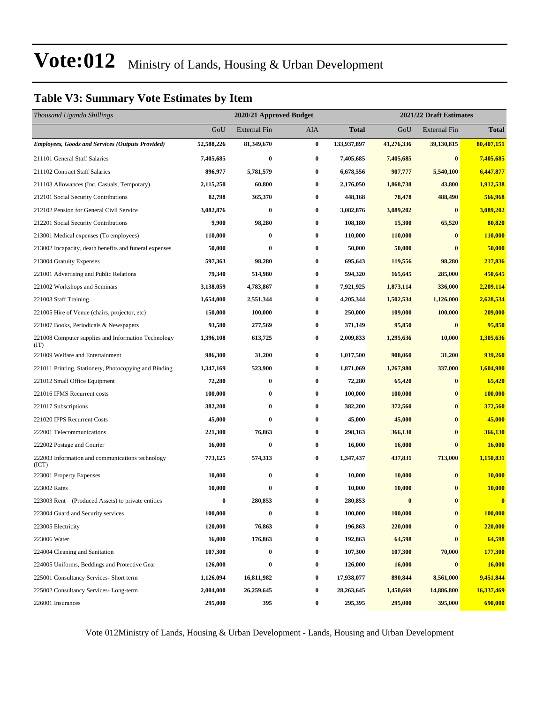#### **Table V3: Summary Vote Estimates by Item**

| Thousand Uganda Shillings                                   | 2020/21 Approved Budget<br>2021/22 Draft Estimates |              |                  |              |            |              |                |
|-------------------------------------------------------------|----------------------------------------------------|--------------|------------------|--------------|------------|--------------|----------------|
|                                                             | GoU                                                | External Fin | AIA              | <b>Total</b> | GoU        | External Fin | <b>Total</b>   |
| <b>Employees, Goods and Services (Outputs Provided)</b>     | 52,588,226                                         | 81,349,670   | $\bf{0}$         | 133,937,897  | 41,276,336 | 39,130,815   | 80,407,151     |
| 211101 General Staff Salaries                               | 7,405,685                                          | $\bf{0}$     | 0                | 7,405,685    | 7,405,685  | $\bf{0}$     | 7,405,685      |
| 211102 Contract Staff Salaries                              | 896,977                                            | 5,781,579    | $\boldsymbol{0}$ | 6,678,556    | 907,777    | 5,540,100    | 6,447,877      |
| 211103 Allowances (Inc. Casuals, Temporary)                 | 2,115,250                                          | 60,800       | 0                | 2,176,050    | 1,868,738  | 43,800       | 1,912,538      |
| 212101 Social Security Contributions                        | 82,798                                             | 365,370      | 0                | 448,168      | 78,478     | 488,490      | 566,968        |
| 212102 Pension for General Civil Service                    | 3,082,876                                          | $\bf{0}$     | 0                | 3,082,876    | 3,089,202  | $\bf{0}$     | 3,089,202      |
| 212201 Social Security Contributions                        | 9,900                                              | 98,280       | 0                | 108,180      | 15,300     | 65,520       | 80,820         |
| 213001 Medical expenses (To employees)                      | 110,000                                            | $\bf{0}$     | $\bf{0}$         | 110,000      | 110,000    | $\bf{0}$     | 110,000        |
| 213002 Incapacity, death benefits and funeral expenses      | 50,000                                             | $\bf{0}$     | 0                | 50,000       | 50,000     | 0            | 50,000         |
| 213004 Gratuity Expenses                                    | 597,363                                            | 98,280       | 0                | 695,643      | 119,556    | 98,280       | 217,836        |
| 221001 Advertising and Public Relations                     | 79,340                                             | 514,980      | 0                | 594,320      | 165,645    | 285,000      | 450,645        |
| 221002 Workshops and Seminars                               | 3,138,059                                          | 4,783,867    | 0                | 7,921,925    | 1,873,114  | 336,000      | 2,209,114      |
| 221003 Staff Training                                       | 1,654,000                                          | 2,551,344    | 0                | 4,205,344    | 1,502,534  | 1,126,000    | 2,628,534      |
| 221005 Hire of Venue (chairs, projector, etc)               | 150,000                                            | 100,000      | 0                | 250,000      | 109,000    | 100,000      | 209,000        |
| 221007 Books, Periodicals & Newspapers                      | 93,580                                             | 277,569      | 0                | 371,149      | 95,850     | $\bf{0}$     | 95,850         |
| 221008 Computer supplies and Information Technology<br>(TT) | 1,396,108                                          | 613,725      | 0                | 2,009,833    | 1,295,636  | 10,000       | 1,305,636      |
| 221009 Welfare and Entertainment                            | 986,300                                            | 31,200       | $\bf{0}$         | 1,017,500    | 908,060    | 31,200       | 939,260        |
| 221011 Printing, Stationery, Photocopying and Binding       | 1,347,169                                          | 523,900      | 0                | 1,871,069    | 1,267,980  | 337,000      | 1,604,980      |
| 221012 Small Office Equipment                               | 72,280                                             | $\bf{0}$     | 0                | 72,280       | 65,420     | $\bf{0}$     | 65,420         |
| 221016 IFMS Recurrent costs                                 | 100,000                                            | $\bf{0}$     | 0                | 100,000      | 100,000    | $\bf{0}$     | 100,000        |
| 221017 Subscriptions                                        | 382,200                                            | $\bf{0}$     | $\boldsymbol{0}$ | 382,200      | 372,560    | $\bf{0}$     | 372,560        |
| 221020 IPPS Recurrent Costs                                 | 45,000                                             | $\bf{0}$     | $\bf{0}$         | 45,000       | 45,000     | $\bf{0}$     | 45,000         |
| 222001 Telecommunications                                   | 221,300                                            | 76,863       | 0                | 298,163      | 366,130    | $\bf{0}$     | 366,130        |
| 222002 Postage and Courier                                  | 16,000                                             | $\bf{0}$     | 0                | 16,000       | 16,000     | $\mathbf{0}$ | 16,000         |
| 222003 Information and communications technology<br>(ICT)   | 773,125                                            | 574,313      | 0                | 1,347,437    | 437,831    | 713,000      | 1,150,831      |
| 223001 Property Expenses                                    | 10,000                                             | $\bf{0}$     | 0                | 10,000       | 10,000     | $\bf{0}$     | 10,000         |
| 223002 Rates                                                | 10,000                                             | $\bf{0}$     | 0                | 10,000       | 10,000     |              | 10,000         |
| 223003 Rent - (Produced Assets) to private entities         | $\bf{0}$                                           | 280,853      | 0                | 280,853      | $\bf{0}$   | $\bf{0}$     | $\bf{0}$       |
| 223004 Guard and Security services                          | 100,000                                            | $\bf{0}$     | $\bf{0}$         | 100,000      | 100,000    | $\bf{0}$     | <b>100,000</b> |
| 223005 Electricity                                          | 120,000                                            | 76,863       | 0                | 196,863      | 220,000    | $\bf{0}$     | 220,000        |
| 223006 Water                                                | 16,000                                             | 176,863      | 0                | 192,863      | 64,598     | $\bf{0}$     | 64,598         |
| 224004 Cleaning and Sanitation                              | 107,300                                            | $\bf{0}$     | $\bf{0}$         | 107,300      | 107,300    | 70,000       | 177,300        |
| 224005 Uniforms, Beddings and Protective Gear               | 126,000                                            | $\bf{0}$     | 0                | 126,000      | 16,000     | $\bf{0}$     | 16,000         |
| 225001 Consultancy Services- Short term                     | 1,126,094                                          | 16,811,982   | 0                | 17,938,077   | 890,844    | 8,561,000    | 9,451,844      |
| 225002 Consultancy Services-Long-term                       | 2,004,000                                          | 26,259,645   | 0                | 28, 263, 645 | 1,450,669  | 14,886,800   | 16,337,469     |
| 226001 Insurances                                           | 295,000                                            | 395          | 0                | 295,395      | 295,000    | 395,000      | 690,000        |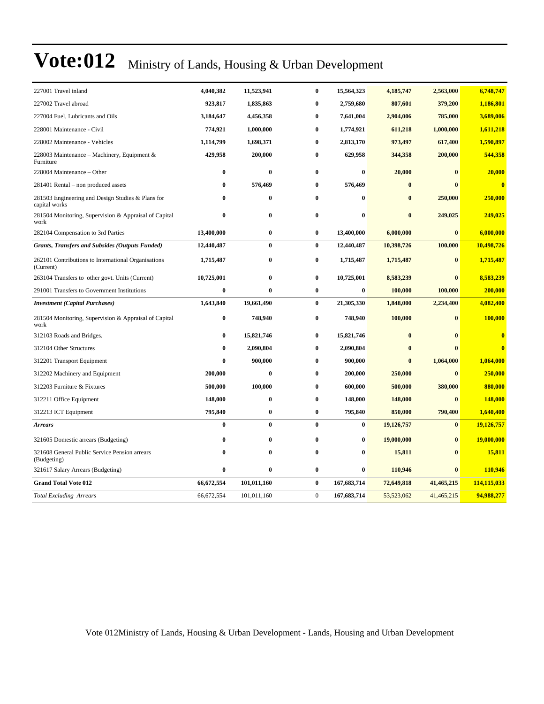| 227001 Travel inland                                               | 4,040,382        | 11,523,941  | $\bf{0}$         | 15,564,323       | 4,185,747  | 2,563,000    | 6,748,747    |
|--------------------------------------------------------------------|------------------|-------------|------------------|------------------|------------|--------------|--------------|
| 227002 Travel abroad                                               | 923,817          | 1,835,863   | 0                | 2,759,680        | 807,601    | 379,200      | 1,186,801    |
| 227004 Fuel, Lubricants and Oils                                   | 3,184,647        | 4,456,358   | $\bf{0}$         | 7,641,004        | 2,904,006  | 785,000      | 3,689,006    |
| 228001 Maintenance - Civil                                         | 774,921          | 1,000,000   | $\bf{0}$         | 1,774,921        | 611,218    | 1,000,000    | 1,611,218    |
| 228002 Maintenance - Vehicles                                      | 1,114,799        | 1,698,371   | $\bf{0}$         | 2,813,170        | 973,497    | 617,400      | 1,590,897    |
| 228003 Maintenance - Machinery, Equipment &<br>Furniture           | 429,958          | 200,000     | $\bf{0}$         | 629,958          | 344,358    | 200,000      | 544,358      |
| 228004 Maintenance - Other                                         | $\bf{0}$         | $\bf{0}$    | $\bf{0}$         | $\bf{0}$         | 20,000     | $\bf{0}$     | 20,000       |
| 281401 Rental – non produced assets                                | $\bf{0}$         | 576,469     | $\bf{0}$         | 576,469          | $\bf{0}$   | $\mathbf{0}$ | $\bf{0}$     |
| 281503 Engineering and Design Studies & Plans for<br>capital works | $\bf{0}$         | $\bf{0}$    | $\bf{0}$         | $\bf{0}$         | $\bf{0}$   | 250,000      | 250,000      |
| 281504 Monitoring, Supervision & Appraisal of Capital<br>work      | $\bf{0}$         | $\bf{0}$    | $\bf{0}$         | $\boldsymbol{0}$ | $\bf{0}$   | 249,025      | 249,025      |
| 282104 Compensation to 3rd Parties                                 | 13,400,000       | $\bf{0}$    | $\bf{0}$         | 13,400,000       | 6,000,000  | $\bf{0}$     | 6,000,000    |
| <b>Grants, Transfers and Subsides (Outputs Funded)</b>             | 12,440,487       | $\bf{0}$    | $\bf{0}$         | 12,440,487       | 10,398,726 | 100,000      | 10,498,726   |
| 262101 Contributions to International Organisations<br>(Current)   | 1,715,487        | $\bf{0}$    | $\bf{0}$         | 1,715,487        | 1,715,487  | $\bf{0}$     | 1,715,487    |
| 263104 Transfers to other govt. Units (Current)                    | 10,725,001       | $\bf{0}$    | $\bf{0}$         | 10,725,001       | 8,583,239  | $\bf{0}$     | 8,583,239    |
| 291001 Transfers to Government Institutions                        | $\boldsymbol{0}$ | $\bf{0}$    | $\bf{0}$         | $\bf{0}$         | 100,000    | 100,000      | 200,000      |
| <b>Investment</b> (Capital Purchases)                              | 1,643,840        | 19,661,490  | $\bf{0}$         | 21,305,330       | 1,848,000  | 2,234,400    | 4,082,400    |
| 281504 Monitoring, Supervision & Appraisal of Capital<br>work      | $\bf{0}$         | 748,940     | $\bf{0}$         | 748,940          | 100,000    | $\bf{0}$     | 100,000      |
| 312103 Roads and Bridges.                                          | $\bf{0}$         | 15,821,746  | $\bf{0}$         | 15,821,746       | $\bf{0}$   | $\mathbf{0}$ | $\mathbf{0}$ |
| 312104 Other Structures                                            | $\bf{0}$         | 2,090,804   | $\bf{0}$         | 2,090,804        | $\bf{0}$   | $\mathbf{0}$ | $\bf{0}$     |
| 312201 Transport Equipment                                         | $\bf{0}$         | 900,000     | $\bf{0}$         | 900,000          | $\bf{0}$   | 1,064,000    | 1,064,000    |
| 312202 Machinery and Equipment                                     | 200,000          | $\bf{0}$    | 0                | 200,000          | 250,000    | $\bf{0}$     | 250,000      |
| 312203 Furniture & Fixtures                                        | 500,000          | 100,000     | $\bf{0}$         | 600,000          | 500,000    | 380,000      | 880,000      |
| 312211 Office Equipment                                            | 148,000          | $\bf{0}$    | $\bf{0}$         | 148,000          | 148,000    | $\bf{0}$     | 148,000      |
| 312213 ICT Equipment                                               | 795,840          | $\bf{0}$    | $\boldsymbol{0}$ | 795,840          | 850,000    | 790,400      | 1,640,400    |
| Arrears                                                            | $\bf{0}$         | $\bf{0}$    | $\bf{0}$         | $\bf{0}$         | 19,126,757 | $\bf{0}$     | 19,126,757   |
| 321605 Domestic arrears (Budgeting)                                | $\bf{0}$         | $\bf{0}$    | $\bf{0}$         | $\bf{0}$         | 19,000,000 | $\bf{0}$     | 19,000,000   |
| 321608 General Public Service Pension arrears<br>(Budgeting)       | $\bf{0}$         | $\bf{0}$    | $\bf{0}$         | $\bf{0}$         | 15,811     | $\bf{0}$     | 15,811       |
| 321617 Salary Arrears (Budgeting)                                  | $\bf{0}$         | $\bf{0}$    | $\bf{0}$         | $\bf{0}$         | 110,946    | $\bf{0}$     | 110,946      |
| <b>Grand Total Vote 012</b>                                        | 66,672,554       | 101,011,160 | $\bf{0}$         | 167,683,714      | 72,649,818 | 41,465,215   | 114,115,033  |
| <b>Total Excluding Arrears</b>                                     | 66,672,554       | 101,011,160 | $\mathbf{0}$     | 167,683,714      | 53,523,062 | 41,465,215   | 94,988,277   |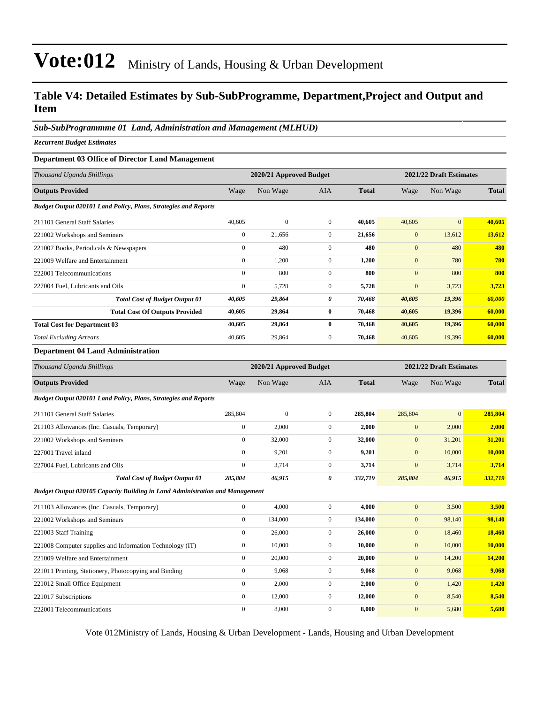#### **Table V4: Detailed Estimates by Sub-SubProgramme, Department,Project and Output and Item**

#### *Sub-SubProgrammme 01 Land, Administration and Management (MLHUD)*

*Recurrent Budget Estimates*

#### **Department 03 Office of Director Land Management**

| Thousand Uganda Shillings                                       |              | 2020/21 Approved Budget |                |              |              | 2021/22 Draft Estimates |              |
|-----------------------------------------------------------------|--------------|-------------------------|----------------|--------------|--------------|-------------------------|--------------|
| <b>Outputs Provided</b>                                         | Wage         | Non Wage                | <b>AIA</b>     | <b>Total</b> | Wage         | Non Wage                | <b>Total</b> |
| Budget Output 020101 Land Policy, Plans, Strategies and Reports |              |                         |                |              |              |                         |              |
| 211101 General Staff Salaries                                   | 40,605       | $\mathbf{0}$            | $\overline{0}$ | 40,605       | 40,605       | $\mathbf{0}$            | 40,605       |
| 221002 Workshops and Seminars                                   | $\mathbf{0}$ | 21,656                  | $\overline{0}$ | 21,656       | $\mathbf{0}$ | 13,612                  | 13,612       |
| 221007 Books, Periodicals & Newspapers                          | $\mathbf{0}$ | 480                     | $\mathbf{0}$   | 480          | $\mathbf{0}$ | 480                     | 480          |
| 221009 Welfare and Entertainment                                | $\mathbf{0}$ | 1,200                   | $\overline{0}$ | 1,200        | $\mathbf{0}$ | 780                     | 780          |
| 222001 Telecommunications                                       | $\Omega$     | 800                     | $\Omega$       | 800          | $\mathbf{0}$ | 800                     | 800          |
| 227004 Fuel, Lubricants and Oils                                | $\mathbf{0}$ | 5,728                   | $\overline{0}$ | 5,728        | $\mathbf{0}$ | 3,723                   | 3,723        |
| <b>Total Cost of Budget Output 01</b>                           | 40,605       | 29,864                  | 0              | 70,468       | 40,605       | 19,396                  | 60,000       |
| <b>Total Cost Of Outputs Provided</b>                           | 40,605       | 29,864                  | $\bf{0}$       | 70,468       | 40,605       | 19,396                  | 60,000       |
| <b>Total Cost for Department 03</b>                             | 40,605       | 29,864                  | $\bf{0}$       | 70,468       | 40,605       | 19,396                  | 60,000       |
| <b>Total Excluding Arrears</b>                                  | 40,605       | 29,864                  | $\overline{0}$ | 70,468       | 40,605       | 19,396                  | 60,000       |

#### **Department 04 Land Administration**

| Thousand Uganda Shillings                                                    |                  | 2020/21 Approved Budget |                |              |                  | 2021/22 Draft Estimates |              |
|------------------------------------------------------------------------------|------------------|-------------------------|----------------|--------------|------------------|-------------------------|--------------|
| <b>Outputs Provided</b>                                                      | Wage             | Non Wage                | AIA            | <b>Total</b> | Wage             | Non Wage                | <b>Total</b> |
| Budget Output 020101 Land Policy, Plans, Strategies and Reports              |                  |                         |                |              |                  |                         |              |
| 211101 General Staff Salaries                                                | 285,804          | $\mathbf{0}$            | $\overline{0}$ | 285,804      | 285,804          | $\mathbf{0}$            | 285,804      |
| 211103 Allowances (Inc. Casuals, Temporary)                                  | $\boldsymbol{0}$ | 2,000                   | $\overline{0}$ | 2,000        | $\mathbf{0}$     | 2,000                   | 2,000        |
| 221002 Workshops and Seminars                                                | $\overline{0}$   | 32,000                  | $\overline{0}$ | 32,000       | $\mathbf{0}$     | 31,201                  | 31,201       |
| 227001 Travel inland                                                         | $\mathbf{0}$     | 9,201                   | $\overline{0}$ | 9,201        | $\mathbf{0}$     | 10,000                  | 10,000       |
| 227004 Fuel, Lubricants and Oils                                             | $\mathbf{0}$     | 3,714                   | $\overline{0}$ | 3,714        | $\mathbf{0}$     | 3,714                   | 3,714        |
| <b>Total Cost of Budget Output 01</b>                                        | 285,804          | 46,915                  | 0              | 332,719      | 285,804          | 46,915                  | 332,719      |
| Budget Output 020105 Capacity Building in Land Administration and Management |                  |                         |                |              |                  |                         |              |
| 211103 Allowances (Inc. Casuals, Temporary)                                  | $\overline{0}$   | 4.000                   | $\overline{0}$ | 4.000        | $\mathbf{0}$     | 3,500                   | 3,500        |
| 221002 Workshops and Seminars                                                | $\overline{0}$   | 134,000                 | $\overline{0}$ | 134,000      | $\mathbf{0}$     | 98,140                  | 98,140       |
| 221003 Staff Training                                                        | $\mathbf{0}$     | 26,000                  | $\overline{0}$ | 26,000       | $\boldsymbol{0}$ | 18,460                  | 18,460       |
| 221008 Computer supplies and Information Technology (IT)                     | $\boldsymbol{0}$ | 10,000                  | $\overline{0}$ | 10,000       | $\mathbf{0}$     | 10,000                  | 10,000       |
| 221009 Welfare and Entertainment                                             | $\overline{0}$   | 20,000                  | $\overline{0}$ | 20,000       | $\mathbf{0}$     | 14,200                  | 14,200       |
| 221011 Printing, Stationery, Photocopying and Binding                        | $\overline{0}$   | 9,068                   | $\overline{0}$ | 9.068        | $\boldsymbol{0}$ | 9,068                   | 9,068        |
| 221012 Small Office Equipment                                                | $\overline{0}$   | 2,000                   | $\overline{0}$ | 2,000        | $\mathbf{0}$     | 1,420                   | 1,420        |
| 221017 Subscriptions                                                         | $\overline{0}$   | 12,000                  | $\overline{0}$ | 12,000       | $\mathbf{0}$     | 8,540                   | 8,540        |
| 222001 Telecommunications                                                    | $\mathbf{0}$     | 8.000                   | $\overline{0}$ | 8.000        | $\mathbf{0}$     | 5,680                   | 5,680        |
|                                                                              |                  |                         |                |              |                  |                         |              |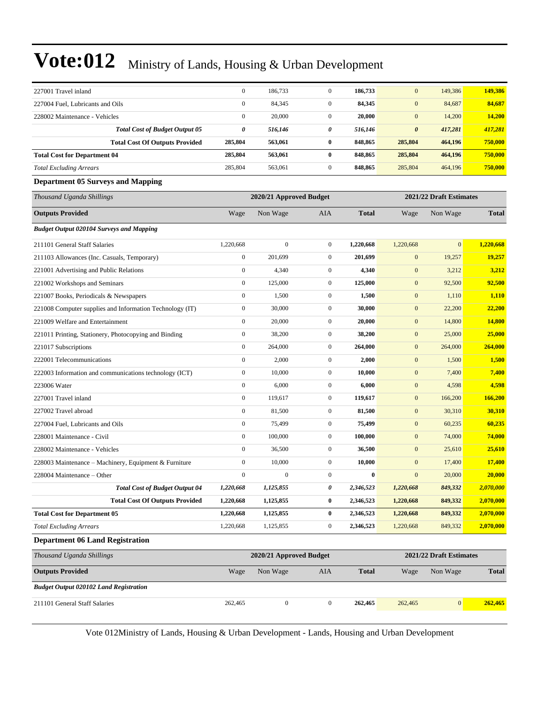| 227001 Travel inland                                     | $\mathbf{0}$                                       | 186,733                 | $\boldsymbol{0}$ | 186,733      | $\mathbf{0}$          | 149,386                 | 149,386       |  |  |  |
|----------------------------------------------------------|----------------------------------------------------|-------------------------|------------------|--------------|-----------------------|-------------------------|---------------|--|--|--|
| 227004 Fuel, Lubricants and Oils                         | $\boldsymbol{0}$                                   | 84,345                  | $\overline{0}$   | 84,345       | $\mathbf{0}$          | 84,687                  | 84,687        |  |  |  |
| 228002 Maintenance - Vehicles                            | $\boldsymbol{0}$                                   | 20,000                  | $\boldsymbol{0}$ | 20,000       | $\mathbf{0}$          | 14,200                  | <b>14,200</b> |  |  |  |
| <b>Total Cost of Budget Output 05</b>                    | 0                                                  | 516,146                 | 0                | 516,146      | $\boldsymbol{\theta}$ | 417,281                 | 417,281       |  |  |  |
| <b>Total Cost Of Outputs Provided</b>                    | 285,804                                            | 563,061                 | $\bf{0}$         | 848,865      | 285,804               | 464,196                 | 750,000       |  |  |  |
| <b>Total Cost for Department 04</b>                      | 285,804                                            | 563,061                 | 0                | 848,865      | 285,804               | 464,196                 | 750,000       |  |  |  |
| <b>Total Excluding Arrears</b>                           | 285,804                                            | 563,061                 | $\boldsymbol{0}$ | 848,865      | 285,804               | 464,196                 | 750,000       |  |  |  |
| <b>Department 05 Surveys and Mapping</b>                 |                                                    |                         |                  |              |                       |                         |               |  |  |  |
| Thousand Uganda Shillings                                | 2020/21 Approved Budget<br>2021/22 Draft Estimates |                         |                  |              |                       |                         |               |  |  |  |
| <b>Outputs Provided</b>                                  | Wage                                               | Non Wage                | <b>AIA</b>       | <b>Total</b> | Wage                  | Non Wage                | <b>Total</b>  |  |  |  |
| <b>Budget Output 020104 Surveys and Mapping</b>          |                                                    |                         |                  |              |                       |                         |               |  |  |  |
| 211101 General Staff Salaries                            | 1,220,668                                          | $\boldsymbol{0}$        | $\boldsymbol{0}$ | 1,220,668    | 1,220,668             | $\mathbf{0}$            | 1,220,668     |  |  |  |
| 211103 Allowances (Inc. Casuals, Temporary)              | $\mathbf{0}$                                       | 201,699                 | $\mathbf{0}$     | 201,699      | $\mathbf{0}$          | 19,257                  | 19,257        |  |  |  |
| 221001 Advertising and Public Relations                  | $\boldsymbol{0}$                                   | 4,340                   | $\boldsymbol{0}$ | 4,340        | $\boldsymbol{0}$      | 3,212                   | 3,212         |  |  |  |
| 221002 Workshops and Seminars                            | $\boldsymbol{0}$                                   | 125,000                 | $\mathbf{0}$     | 125,000      | $\mathbf{0}$          | 92,500                  | 92,500        |  |  |  |
| 221007 Books, Periodicals & Newspapers                   | $\boldsymbol{0}$                                   | 1,500                   | $\boldsymbol{0}$ | 1,500        | $\mathbf{0}$          | 1,110                   | 1,110         |  |  |  |
| 221008 Computer supplies and Information Technology (IT) | $\boldsymbol{0}$                                   | 30,000                  | $\boldsymbol{0}$ | 30,000       | $\mathbf{0}$          | 22,200                  | 22,200        |  |  |  |
| 221009 Welfare and Entertainment                         | $\boldsymbol{0}$                                   | 20,000                  | $\mathbf{0}$     | 20,000       | $\mathbf{0}$          | 14,800                  | 14,800        |  |  |  |
| 221011 Printing, Stationery, Photocopying and Binding    | $\boldsymbol{0}$                                   | 38,200                  | $\boldsymbol{0}$ | 38,200       | $\mathbf{0}$          | 25,000                  | 25,000        |  |  |  |
| 221017 Subscriptions                                     | $\boldsymbol{0}$                                   | 264,000                 | $\mathbf{0}$     | 264,000      | $\mathbf{0}$          | 264,000                 | 264,000       |  |  |  |
| 222001 Telecommunications                                | $\boldsymbol{0}$                                   | 2,000                   | $\boldsymbol{0}$ | 2,000        | $\mathbf{0}$          | 1,500                   | 1,500         |  |  |  |
| 222003 Information and communications technology (ICT)   | $\boldsymbol{0}$                                   | 10,000                  | $\mathbf{0}$     | 10,000       | $\mathbf{0}$          | 7,400                   | 7,400         |  |  |  |
| 223006 Water                                             | $\boldsymbol{0}$                                   | 6,000                   | $\mathbf{0}$     | 6,000        | $\mathbf{0}$          | 4,598                   | 4,598         |  |  |  |
| 227001 Travel inland                                     | $\boldsymbol{0}$                                   | 119,617                 | $\boldsymbol{0}$ | 119,617      | $\mathbf{0}$          | 166,200                 | 166,200       |  |  |  |
| 227002 Travel abroad                                     | $\boldsymbol{0}$                                   | 81,500                  | $\mathbf{0}$     | 81,500       | $\mathbf{0}$          | 30,310                  | 30,310        |  |  |  |
| 227004 Fuel, Lubricants and Oils                         | $\boldsymbol{0}$                                   | 75,499                  | $\boldsymbol{0}$ | 75,499       | $\mathbf{0}$          | 60,235                  | 60,235        |  |  |  |
| 228001 Maintenance - Civil                               | $\boldsymbol{0}$                                   | 100,000                 | $\boldsymbol{0}$ | 100,000      | $\mathbf{0}$          | 74,000                  | 74,000        |  |  |  |
| 228002 Maintenance - Vehicles                            | $\boldsymbol{0}$                                   | 36,500                  | $\mathbf{0}$     | 36,500       | $\mathbf{0}$          | 25,610                  | 25,610        |  |  |  |
| 228003 Maintenance - Machinery, Equipment & Furniture    | $\boldsymbol{0}$                                   | 10,000                  | $\boldsymbol{0}$ | 10,000       | $\mathbf{0}$          | 17,400                  | 17,400        |  |  |  |
| 228004 Maintenance - Other                               | $\boldsymbol{0}$                                   | $\boldsymbol{0}$        | $\mathbf{0}$     | $\bf{0}$     | $\mathbf{0}$          | 20,000                  | 20,000        |  |  |  |
| <b>Total Cost of Budget Output 04</b>                    | 1,220,668                                          | 1,125,855               | 0                | 2,346,523    | 1,220,668             | 849,332                 | 2,070,000     |  |  |  |
| <b>Total Cost Of Outputs Provided</b>                    | 1,220,668                                          | 1,125,855               | 0                | 2,346,523    | 1,220,668             | 849,332                 | 2,070,000     |  |  |  |
| <b>Total Cost for Department 05</b>                      | 1,220,668                                          | 1,125,855               | 0                | 2,346,523    | 1,220,668             | 849,332                 | 2,070,000     |  |  |  |
| <b>Total Excluding Arrears</b>                           | 1,220,668                                          | 1,125,855               | $\boldsymbol{0}$ | 2,346,523    | 1,220,668             | 849,332                 | 2,070,000     |  |  |  |
| <b>Department 06 Land Registration</b>                   |                                                    |                         |                  |              |                       |                         |               |  |  |  |
| Thousand Uganda Shillings                                |                                                    | 2020/21 Approved Budget |                  |              |                       | 2021/22 Draft Estimates |               |  |  |  |
| <b>Outputs Provided</b>                                  | Wage                                               | Non Wage                | AIA              | <b>Total</b> | Wage                  | Non Wage                | <b>Total</b>  |  |  |  |
| <b>Budget Output 020102 Land Registration</b>            |                                                    |                         |                  |              |                       |                         |               |  |  |  |
| 211101 General Staff Salaries                            | 262,465                                            | $\boldsymbol{0}$        | $\mathbf{0}$     | 262,465      | 262,465               | 0                       | 262,465       |  |  |  |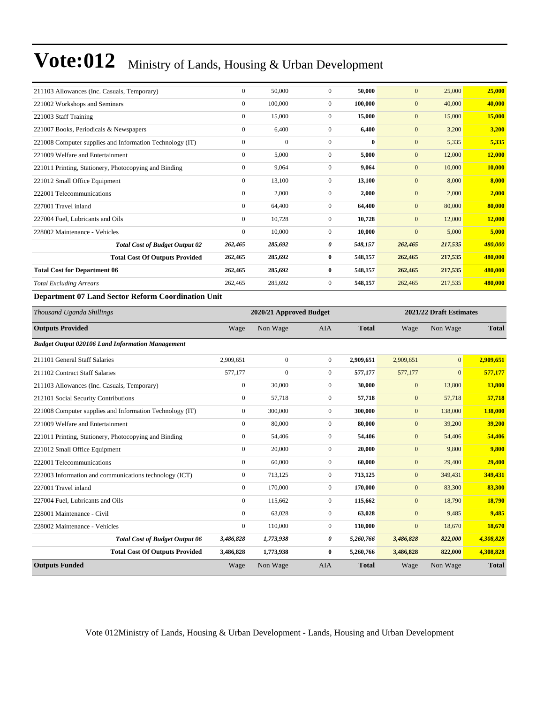| 211103 Allowances (Inc. Casuals, Temporary)              |           | $\boldsymbol{0}$ | 50,000                  | $\mathbf{0}$     | 50,000       | $\mathbf{0}$     | 25,000                  | 25,000         |
|----------------------------------------------------------|-----------|------------------|-------------------------|------------------|--------------|------------------|-------------------------|----------------|
| 221002 Workshops and Seminars                            |           | $\mathbf{0}$     | 100,000                 | $\mathbf{0}$     | 100,000      | $\overline{0}$   | 40,000                  | 40,000         |
| 221003 Staff Training                                    |           | $\boldsymbol{0}$ | 15,000                  | $\boldsymbol{0}$ | 15,000       | $\boldsymbol{0}$ | 15,000                  | 15,000         |
| 221007 Books, Periodicals & Newspapers                   |           | $\boldsymbol{0}$ | 6,400                   | $\boldsymbol{0}$ | 6,400        | $\mathbf{0}$     | 3,200                   | 3,200          |
| 221008 Computer supplies and Information Technology (IT) |           | $\mathbf{0}$     | $\overline{0}$          | $\mathbf{0}$     | $\bf{0}$     | $\boldsymbol{0}$ | 5,335                   | 5,335          |
| 221009 Welfare and Entertainment                         |           | $\boldsymbol{0}$ | 5,000                   | $\boldsymbol{0}$ | 5,000        | $\mathbf{0}$     | 12,000                  | 12,000         |
| 221011 Printing, Stationery, Photocopying and Binding    |           | $\mathbf{0}$     | 9,064                   | $\boldsymbol{0}$ | 9,064        | $\mathbf{0}$     | 10,000                  | 10,000         |
| 221012 Small Office Equipment                            |           | $\boldsymbol{0}$ | 13,100                  | $\boldsymbol{0}$ | 13,100       | $\boldsymbol{0}$ | 8,000                   | 8,000          |
| 222001 Telecommunications                                |           | $\mathbf{0}$     | 2,000                   | $\boldsymbol{0}$ | 2,000        | $\mathbf{0}$     | 2,000                   | 2,000          |
| 227001 Travel inland                                     |           | $\mathbf{0}$     | 64,400                  | $\mathbf{0}$     | 64,400       | $\overline{0}$   | 80,000                  | 80,000         |
| 227004 Fuel, Lubricants and Oils                         |           | $\boldsymbol{0}$ | 10,728                  | $\mathbf{0}$     | 10,728       | $\mathbf{0}$     | 12,000                  | 12,000         |
| 228002 Maintenance - Vehicles                            |           | $\boldsymbol{0}$ | 10,000                  | $\boldsymbol{0}$ | 10,000       | $\mathbf{0}$     | 5,000                   | 5,000          |
| <b>Total Cost of Budget Output 02</b>                    | 262,465   |                  | 285,692                 | 0                | 548,157      | 262,465          | 217,535                 | 480,000        |
| <b>Total Cost Of Outputs Provided</b>                    | 262,465   |                  | 285,692                 | $\bf{0}$         | 548,157      | 262,465          | 217,535                 | 480,000        |
| <b>Total Cost for Department 06</b>                      | 262,465   |                  | 285,692                 | $\bf{0}$         | 548,157      | 262,465          | 217,535                 | 480,000        |
| <b>Total Excluding Arrears</b>                           | 262,465   |                  | 285,692                 | $\boldsymbol{0}$ | 548,157      | 262,465          | 217,535                 | 480,000        |
| Department 07 Land Sector Reform Coordination Unit       |           |                  |                         |                  |              |                  |                         |                |
|                                                          |           |                  |                         |                  |              |                  |                         |                |
| Thousand Uganda Shillings                                |           |                  | 2020/21 Approved Budget |                  |              |                  | 2021/22 Draft Estimates |                |
| <b>Outputs Provided</b>                                  | Wage      |                  | Non Wage                | AIA              | <b>Total</b> | Wage             | Non Wage                | <b>Total</b>   |
| <b>Budget Output 020106 Land Information Management</b>  |           |                  |                         |                  |              |                  |                         |                |
| 211101 General Staff Salaries                            | 2,909,651 |                  | $\mathbf{0}$            | $\boldsymbol{0}$ | 2,909,651    | 2,909,651        | $\overline{0}$          | 2,909,651      |
| 211102 Contract Staff Salaries                           | 577,177   |                  | $\overline{0}$          | $\boldsymbol{0}$ | 577,177      | 577,177          | $\overline{0}$          | 577,177        |
| 211103 Allowances (Inc. Casuals, Temporary)              |           | $\boldsymbol{0}$ | 30,000                  | $\boldsymbol{0}$ | 30,000       | $\boldsymbol{0}$ | 13,800                  | 13,800         |
| 212101 Social Security Contributions                     |           | $\boldsymbol{0}$ | 57,718                  | $\boldsymbol{0}$ | 57,718       | $\mathbf{0}$     | 57,718                  | 57,718         |
| 221008 Computer supplies and Information Technology (IT) |           | $\mathbf{0}$     | 300,000                 | $\mathbf{0}$     | 300,000      | $\overline{0}$   | 138,000                 | <b>138,000</b> |
| 221009 Welfare and Entertainment                         |           | $\boldsymbol{0}$ | 80,000                  | $\boldsymbol{0}$ | 80,000       | $\mathbf{0}$     | 39,200                  | 39,200         |
| 221011 Printing, Stationery, Photocopying and Binding    |           | $\boldsymbol{0}$ | 54,406                  | $\boldsymbol{0}$ | 54,406       | $\mathbf{0}$     | 54,406                  | 54,406         |
| 221012 Small Office Equipment                            |           | $\boldsymbol{0}$ | 20,000                  | $\boldsymbol{0}$ | 20,000       | $\mathbf{0}$     | 9,800                   | 9,800          |
| 222001 Telecommunications                                |           | $\mathbf{0}$     | 60,000                  | $\mathbf{0}$     | 60,000       | $\mathbf{0}$     | 29,400                  | 29,400         |
| 222003 Information and communications technology (ICT)   |           | $\mathbf{0}$     | 713,125                 | $\mathbf{0}$     | 713,125      | $\overline{0}$   | 349,431                 | 349,431        |
| 227001 Travel inland                                     |           | $\boldsymbol{0}$ | 170,000                 | $\mathbf{0}$     | 170,000      | $\mathbf{0}$     | 83,300                  | 83,300         |
| 227004 Fuel, Lubricants and Oils                         |           | $\boldsymbol{0}$ | 115,662                 | $\boldsymbol{0}$ | 115,662      | $\mathbf{0}$     | 18,790                  | 18,790         |

228002 Maintenance - Vehicles 0 110,000 0 **110,000** 0 18,670 **18,670**

**Outputs Funded** Wage Non Wage AIA **Total** Wage Non Wage **Total**

*Total Cost of Budget Output 06 3,486,828 1,773,938 0 5,260,766 3,486,828 822,000 4,308,828* **Total Cost Of Outputs Provided 3,486,828 1,773,938 0 5,260,766 3,486,828 822,000 4,308,828**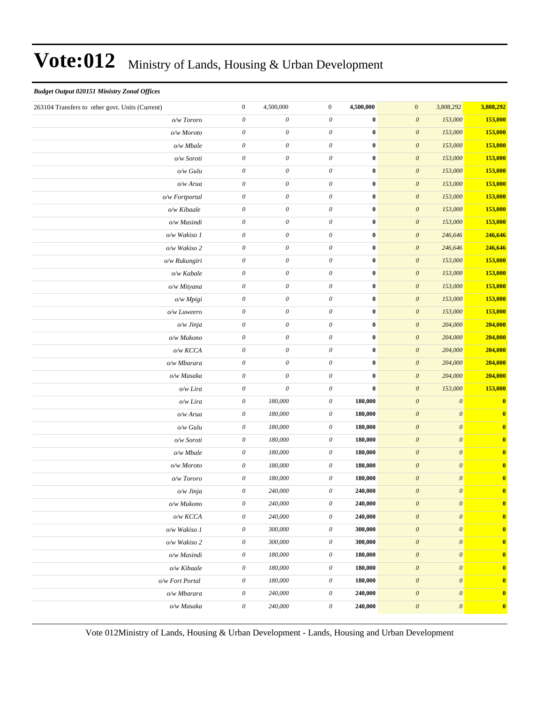#### *Budget Output 020151 Ministry Zonal Offices*

| 263104 Transfers to other govt. Units (Current) | $\boldsymbol{0}$          | 4,500,000                 | $\boldsymbol{0}$          | 4,500,000        | $\mathbf{0}$<br>3,808,292                              | 3,808,292               |
|-------------------------------------------------|---------------------------|---------------------------|---------------------------|------------------|--------------------------------------------------------|-------------------------|
| o/w Tororo                                      | $\boldsymbol{\theta}$     | $\boldsymbol{\mathit{0}}$ | $\boldsymbol{\theta}$     | $\bf{0}$         | $\boldsymbol{\mathit{0}}$<br>153,000                   | 153,000                 |
| o/w Moroto                                      | $\mathcal O$              | $\boldsymbol{\mathit{0}}$ | $\theta$                  | $\boldsymbol{0}$ | $\boldsymbol{\mathit{0}}$<br>153,000                   | 153,000                 |
| o/w Mbale                                       | $\mathcal O$              | $\boldsymbol{\theta}$     | $\theta$                  | $\bf{0}$         | $\boldsymbol{\mathit{0}}$<br>153,000                   | 153,000                 |
| o/w Soroti                                      | $\theta$                  | 0                         | 0                         | $\bf{0}$         | $\boldsymbol{\mathit{0}}$<br>153,000                   | 153,000                 |
| o/w Gulu                                        | $\mathcal O$              | $\boldsymbol{\mathit{0}}$ | 0                         | $\bf{0}$         | $\boldsymbol{\mathit{0}}$<br>153,000                   | 153,000                 |
| o/w Arua                                        | $\boldsymbol{\theta}$     | $\boldsymbol{\mathit{0}}$ | $\boldsymbol{\theta}$     | $\bf{0}$         | $\boldsymbol{\theta}$<br>153,000                       | 153,000                 |
| o/w Fortportal                                  | $\mathcal O$              | $\boldsymbol{\mathit{0}}$ | $\theta$                  | $\bf{0}$         | $\boldsymbol{\mathit{0}}$<br>153,000                   | 153,000                 |
| o/w Kibaale                                     | $\mathcal O$              | $\boldsymbol{\theta}$     | $\theta$                  | $\bf{0}$         | $\boldsymbol{\mathit{0}}$<br>153,000                   | 153,000                 |
| o/w Masindi                                     | $\boldsymbol{\theta}$     | 0                         | 0                         | $\bf{0}$         | $\boldsymbol{\mathit{0}}$<br>153,000                   | 153,000                 |
| o/w Wakiso 1                                    | $\mathcal O$              | $\boldsymbol{\mathit{0}}$ | 0                         | $\bf{0}$         | $\boldsymbol{\mathit{0}}$<br>246,646                   | 246,646                 |
| o/w Wakiso 2                                    | $\boldsymbol{\theta}$     | $\boldsymbol{\mathit{0}}$ | 0                         | $\bf{0}$         | $\boldsymbol{\theta}$<br>246,646                       | 246,646                 |
| o/w Rukungiri                                   | $\boldsymbol{\mathit{0}}$ | $\boldsymbol{\mathit{0}}$ | $\theta$                  | $\bf{0}$         | $\boldsymbol{\mathit{0}}$<br>153,000                   | 153,000                 |
| o/w Kabale                                      | $\boldsymbol{\mathit{0}}$ | $\boldsymbol{\theta}$     | $\theta$                  | $\bf{0}$         | $\boldsymbol{\mathit{0}}$<br>153,000                   | 153,000                 |
| o/w Mityana                                     | $\theta$                  | 0                         | 0                         | $\bf{0}$         | $\boldsymbol{\mathit{0}}$<br>153,000                   | 153,000                 |
| o/w Mpigi                                       | $\boldsymbol{\mathit{0}}$ | $\boldsymbol{\mathit{0}}$ | 0                         | $\bf{0}$         | $\boldsymbol{\mathit{0}}$<br>153,000                   | 153,000                 |
| o/w Luweero                                     | $\boldsymbol{\theta}$     | $\boldsymbol{\mathit{0}}$ | 0                         | $\bf{0}$         | $\boldsymbol{\theta}$<br>153,000                       | 153,000                 |
| o/w Jinja                                       | $\boldsymbol{\mathit{0}}$ | $\boldsymbol{\mathit{0}}$ | $\theta$                  | $\bf{0}$         | $\boldsymbol{\mathit{0}}$<br>204,000                   | 204,000                 |
| o/w Mukono                                      | $\boldsymbol{\theta}$     | 0                         | 0                         | $\bf{0}$         | $\boldsymbol{\mathit{0}}$<br>204,000                   | 204,000                 |
| $o/w$ KCCA                                      | $\boldsymbol{\theta}$     | $\boldsymbol{\mathit{0}}$ | 0                         | $\bf{0}$         | $\boldsymbol{\mathit{0}}$<br>204,000                   | 204,000                 |
| o/w Mbarara                                     | $\boldsymbol{\mathit{0}}$ | $\boldsymbol{\mathit{0}}$ | 0                         | $\bf{0}$         | $\boldsymbol{\theta}$<br>204,000                       | 204,000                 |
| o/w Masaka                                      | $\boldsymbol{\theta}$     | $\boldsymbol{\mathit{0}}$ | 0                         | $\bf{0}$         | $\boldsymbol{\mathit{0}}$<br>204,000                   | 204,000                 |
| o/w Lira                                        | $\boldsymbol{\mathit{0}}$ | $\boldsymbol{\theta}$     | $\theta$                  | $\bf{0}$         | $\boldsymbol{\mathit{0}}$<br>153,000                   | 153,000                 |
| o/w Lira                                        | $\boldsymbol{\theta}$     | 180,000                   | 0                         | 180,000          | $\boldsymbol{\mathit{0}}$<br>$\boldsymbol{\theta}$     | $\mathbf{0}$            |
| o/w Arua                                        | $\boldsymbol{\theta}$     | 180,000                   | 0                         | 180,000          | $\boldsymbol{\mathit{0}}$<br>$\boldsymbol{\theta}$     | $\mathbf{0}$            |
| o/w Gulu                                        | $\mathcal O$              | 180,000                   | 0                         | 180,000          | $\boldsymbol{\mathit{0}}$<br>$\boldsymbol{\theta}$     | $\boldsymbol{0}$        |
| o/w Soroti                                      | $\boldsymbol{\theta}$     | 180,000                   | 0                         | 180,000          | $\boldsymbol{\mathit{0}}$<br>$\boldsymbol{\theta}$     | $\overline{\mathbf{0}}$ |
| o/w Mbale                                       | $\boldsymbol{\theta}$     | 180,000                   | 0                         | 180,000          | $\boldsymbol{\mathit{0}}$<br>$\boldsymbol{\theta}$     | $\mathbf{0}$            |
| o/w Moroto                                      | $\boldsymbol{\theta}$     | 180,000                   | 0                         | 180,000          | $\boldsymbol{\mathit{0}}$<br>$\boldsymbol{\theta}$     | $\mathbf{0}$            |
| o/w Tororo                                      | $\theta$                  | 180,000                   | 0                         | 180,000          | $\boldsymbol{\mathit{0}}$<br>$\boldsymbol{\theta}$     | $\mathbf{0}$            |
| o/w Jinja                                       | $\boldsymbol{\theta}$     | 240,000                   | 0                         | 240,000          | $\boldsymbol{\mathit{0}}$<br>$\boldsymbol{\theta}$     | $\mathbf{0}$            |
| o/w Mukono                                      | $\boldsymbol{\mathit{0}}$ | 240,000                   | $\boldsymbol{\mathit{0}}$ | 240,000          | $\boldsymbol{0}$<br>$\boldsymbol{\mathit{0}}$          | $\bf{0}$                |
| o/w KCCA                                        | $\mathcal O$              | 240,000                   | $\boldsymbol{\theta}$     | 240,000          | $\boldsymbol{\mathit{0}}$<br>$\boldsymbol{\theta}$     | $\mathbf{0}$            |
| o/w Wakiso 1                                    | $\boldsymbol{\mathit{0}}$ | 300,000                   | $\theta$                  | 300,000          | $\boldsymbol{\theta}$<br>$\boldsymbol{\mathit{0}}$     | $\mathbf{0}$            |
| o/w Wakiso 2                                    | $\boldsymbol{\mathit{0}}$ | 300,000                   | $\boldsymbol{\theta}$     | 300,000          | $\boldsymbol{\theta}$<br>$\boldsymbol{\mathit{0}}$     | $\mathbf{0}$            |
| o/w Masindi                                     | $\boldsymbol{\theta}$     | 180,000                   | 0                         | 180,000          | $\boldsymbol{\mathit{0}}$<br>$\boldsymbol{\mathit{0}}$ | $\mathbf{0}$            |
| o/w Kibaale                                     | $\boldsymbol{\theta}$     | 180,000                   | 0                         | 180,000          | $\pmb{o}$<br>$\boldsymbol{\mathit{0}}$                 | $\mathbf{0}$            |
| o/w Fort Portal                                 | $\boldsymbol{\theta}$     | 180,000                   | 0                         | 180,000          | $\boldsymbol{\mathit{0}}$<br>$\boldsymbol{\mathit{0}}$ | $\mathbf{0}$            |
| o/w Mbarara                                     | $\boldsymbol{\mathit{0}}$ | 240,000                   | $\theta$                  | 240,000          | $\boldsymbol{\theta}$<br>$\boldsymbol{\mathit{0}}$     | $\boldsymbol{0}$        |
| o/w Masaka                                      | $\boldsymbol{\mathit{0}}$ | 240,000                   | $\boldsymbol{\theta}$     | 240,000          | $\boldsymbol{\theta}$<br>$\boldsymbol{\mathit{0}}$     | $\boldsymbol{0}$        |
|                                                 |                           |                           |                           |                  |                                                        |                         |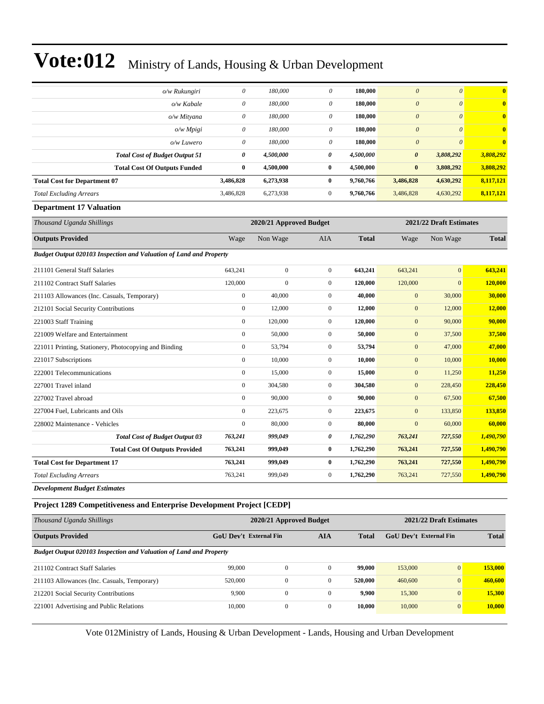| o/w Rukungiri                                                      | $\theta$                | 180,000      | $\theta$              | 180,000      | $\boldsymbol{\theta}$ | $\theta$              | $\overline{\mathbf{0}}$ |
|--------------------------------------------------------------------|-------------------------|--------------|-----------------------|--------------|-----------------------|-----------------------|-------------------------|
| o/w Kabale                                                         | $\theta$                | 180,000      | $\theta$              | 180,000      | $\boldsymbol{\theta}$ | $\boldsymbol{\theta}$ | $\bf{0}$                |
| o/w Mityana                                                        | $\theta$                | 180,000      | $\theta$              | 180,000      | $\theta$              | $\mathcal{O}$         | $\bf{0}$                |
|                                                                    | $\boldsymbol{\theta}$   | 180,000      | 0                     | 180,000      | $\boldsymbol{\theta}$ | $\mathcal{O}$         | $\bf{0}$                |
| o/w Mpigi                                                          | $\theta$                | 180,000      | 0                     | 180,000      | $\boldsymbol{\theta}$ | $\mathcal{O}$         | $\bf{0}$                |
| o/w Luwero                                                         | 0                       | 4,500,000    | $\boldsymbol{\theta}$ | 4,500,000    | $\boldsymbol{\theta}$ | 3,808,292             | 3,808,292               |
| <b>Total Cost of Budget Output 51</b>                              | $\bf{0}$                | 4,500,000    | $\bf{0}$              | 4,500,000    | $\bf{0}$              | 3,808,292             | 3,808,292               |
| <b>Total Cost Of Outputs Funded</b>                                | 3,486,828               | 6,273,938    | $\bf{0}$              | 9,760,766    | 3,486,828             | 4,630,292             | 8,117,121               |
| <b>Total Cost for Department 07</b>                                | 3,486,828               | 6,273,938    | $\mathbf{0}$          | 9,760,766    | 3,486,828             | 4,630,292             | 8,117,121               |
| <b>Total Excluding Arrears</b>                                     |                         |              |                       |              |                       |                       |                         |
| <b>Department 17 Valuation</b>                                     |                         |              |                       |              |                       |                       |                         |
| Thousand Uganda Shillings                                          | 2021/22 Draft Estimates |              |                       |              |                       |                       |                         |
| <b>Outputs Provided</b>                                            | Wage                    | Non Wage     | <b>AIA</b>            | <b>Total</b> | Wage                  | Non Wage              | <b>Total</b>            |
| Budget Output 020103 Inspection and Valuation of Land and Property |                         |              |                       |              |                       |                       |                         |
| 211101 General Staff Salaries                                      | 643,241                 | $\mathbf{0}$ | $\mathbf{0}$          | 643,241      | 643,241               | $\overline{0}$        | 643,241                 |
| 211102 Contract Staff Salaries                                     | 120,000                 | $\Omega$     | $\mathbf{0}$          | 120,000      | 120,000               | $\overline{0}$        | 120,000                 |
| 211103 Allowances (Inc. Casuals, Temporary)                        | $\boldsymbol{0}$        | 40,000       | $\mathbf{0}$          | 40,000       | $\boldsymbol{0}$      | 30,000                | 30,000                  |
| 212101 Social Security Contributions                               | $\boldsymbol{0}$        | 12,000       | $\mathbf{0}$          | 12,000       | $\mathbf{0}$          | 12,000                | 12,000                  |
| 221003 Staff Training                                              | $\boldsymbol{0}$        | 120,000      | $\mathbf{0}$          | 120,000      | $\boldsymbol{0}$      | 90,000                | 90,000                  |
| 221009 Welfare and Entertainment                                   | $\mathbf{0}$            | 50,000       | $\mathbf{0}$          | 50,000       | $\mathbf{0}$          | 37,500                | 37,500                  |
| 221011 Printing, Stationery, Photocopying and Binding              | $\boldsymbol{0}$        | 53,794       | $\mathbf{0}$          | 53,794       | $\mathbf{0}$          | 47,000                | 47,000                  |
| 221017 Subscriptions                                               | $\boldsymbol{0}$        | 10,000       | $\mathbf{0}$          | 10,000       | $\mathbf{0}$          | 10,000                | 10,000                  |
| 222001 Telecommunications                                          | $\mathbf{0}$            | 15,000       | $\mathbf{0}$          | 15,000       | $\boldsymbol{0}$      | 11,250                | 11,250                  |
| 227001 Travel inland                                               | $\overline{0}$          | 304,580      | $\mathbf{0}$          | 304,580      | $\boldsymbol{0}$      | 228,450               | 228,450                 |
| 227002 Travel abroad                                               | $\boldsymbol{0}$        | 90,000       | $\mathbf{0}$          | 90,000       | $\mathbf{0}$          | 67,500                | 67,500                  |
| 227004 Fuel, Lubricants and Oils                                   | $\boldsymbol{0}$        | 223,675      | $\mathbf{0}$          | 223,675      | $\mathbf{0}$          | 133,850               | 133,850                 |
| 228002 Maintenance - Vehicles                                      | $\mathbf{0}$            | 80,000       | $\mathbf{0}$          | 80,000       | $\mathbf{0}$          | 60,000                | 60,000                  |
| <b>Total Cost of Budget Output 03</b>                              | 763,241                 | 999,049      | $\boldsymbol{\theta}$ | 1,762,290    | 763,241               | 727,550               | 1,490,790               |
| <b>Total Cost Of Outputs Provided</b>                              | 763,241                 | 999,049      | $\bf{0}$              | 1,762,290    | 763,241               | 727,550               | 1,490,790               |
| <b>Total Cost for Department 17</b>                                | 763,241                 | 999,049      | $\bf{0}$              | 1,762,290    | 763,241               | 727,550               | 1,490,790               |
| <b>Total Excluding Arrears</b>                                     | 763,241                 | 999,049      | $\mathbf{0}$          | 1,762,290    | 763,241               | 727,550               | 1,490,790               |
| <b>Development Budget Estimates</b>                                |                         |              |                       |              |                       |                       |                         |
|                                                                    |                         |              |                       |              |                       |                       |                         |

#### **Project 1289 Competitiveness and Enterprise Development Project [CEDP]**

| Thousand Uganda Shillings                                          |                               | 2020/21 Approved Budget | 2021/22 Draft Estimates |              |                               |                |              |
|--------------------------------------------------------------------|-------------------------------|-------------------------|-------------------------|--------------|-------------------------------|----------------|--------------|
| <b>Outputs Provided</b>                                            | <b>GoU Dev't External Fin</b> |                         | <b>AIA</b>              | <b>Total</b> | <b>GoU</b> Dev't External Fin |                | <b>Total</b> |
| Budget Output 020103 Inspection and Valuation of Land and Property |                               |                         |                         |              |                               |                |              |
| 211102 Contract Staff Salaries                                     | 99,000                        | $\mathbf{0}$            |                         | 99,000       | 153,000                       | $\overline{0}$ | 153,000      |
| 211103 Allowances (Inc. Casuals, Temporary)                        | 520,000                       | $\mathbf{0}$            |                         | 520,000      | 460,600                       | $\overline{0}$ | 460,600      |
| 212201 Social Security Contributions                               | 9,900                         | $\mathbf{0}$            | $\Omega$                | 9.900        | 15,300                        | $\overline{0}$ | 15,300       |
| 221001 Advertising and Public Relations                            | 10,000                        | $\mathbf{0}$            | $\Omega$                | 10.000       | 10,000                        | $\overline{0}$ | 10.000       |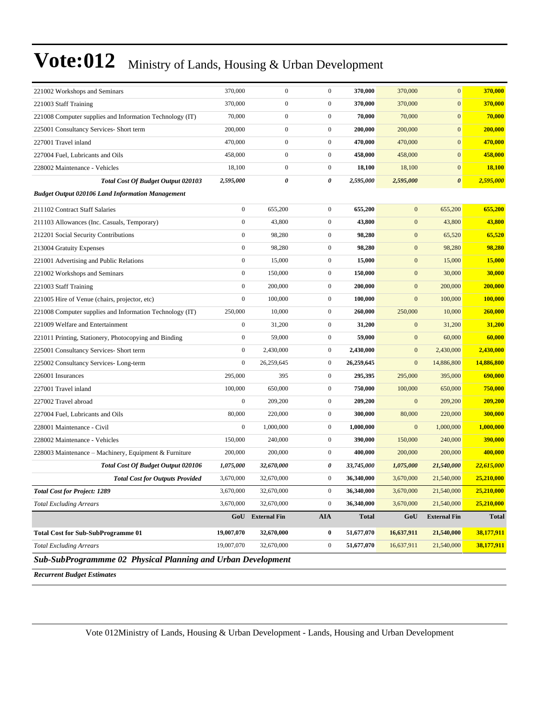| 221002 Workshops and Seminars                                | 370,000          | $\boldsymbol{0}$    | $\boldsymbol{0}$ | 370,000      | 370,000          | $\mathbf{0}$        | 370,000      |
|--------------------------------------------------------------|------------------|---------------------|------------------|--------------|------------------|---------------------|--------------|
| 221003 Staff Training                                        | 370,000          | $\boldsymbol{0}$    | $\boldsymbol{0}$ | 370,000      | 370,000          | $\mathbf{0}$        | 370,000      |
| 221008 Computer supplies and Information Technology (IT)     | 70,000           | $\boldsymbol{0}$    | $\boldsymbol{0}$ | 70,000       | 70,000           | $\mathbf{0}$        | 70,000       |
| 225001 Consultancy Services- Short term                      | 200,000          | $\boldsymbol{0}$    | $\mathbf{0}$     | 200,000      | 200,000          | $\mathbf{0}$        | 200,000      |
| 227001 Travel inland                                         | 470,000          | $\boldsymbol{0}$    | $\mathbf{0}$     | 470,000      | 470,000          | $\mathbf{0}$        | 470,000      |
| 227004 Fuel, Lubricants and Oils                             | 458,000          | $\boldsymbol{0}$    | $\boldsymbol{0}$ | 458,000      | 458,000          | $\mathbf{0}$        | 458,000      |
| 228002 Maintenance - Vehicles                                | 18,100           | $\boldsymbol{0}$    | $\boldsymbol{0}$ | 18,100       | 18,100           | $\boldsymbol{0}$    | 18,100       |
| <b>Total Cost Of Budget Output 020103</b>                    | 2,595,000        | 0                   | 0                | 2,595,000    | 2,595,000        | $\pmb{\theta}$      | 2,595,000    |
| <b>Budget Output 020106 Land Information Management</b>      |                  |                     |                  |              |                  |                     |              |
| 211102 Contract Staff Salaries                               | $\boldsymbol{0}$ | 655,200             | $\boldsymbol{0}$ | 655,200      | $\mathbf{0}$     | 655,200             | 655,200      |
| 211103 Allowances (Inc. Casuals, Temporary)                  | $\boldsymbol{0}$ | 43,800              | $\boldsymbol{0}$ | 43,800       | $\boldsymbol{0}$ | 43,800              | 43,800       |
| 212201 Social Security Contributions                         | $\boldsymbol{0}$ | 98,280              | $\boldsymbol{0}$ | 98,280       | $\boldsymbol{0}$ | 65,520              | 65,520       |
| 213004 Gratuity Expenses                                     | $\boldsymbol{0}$ | 98,280              | $\boldsymbol{0}$ | 98,280       | $\boldsymbol{0}$ | 98,280              | 98,280       |
| 221001 Advertising and Public Relations                      | $\boldsymbol{0}$ | 15,000              | $\boldsymbol{0}$ | 15,000       | $\mathbf{0}$     | 15,000              | 15,000       |
| 221002 Workshops and Seminars                                | $\boldsymbol{0}$ | 150,000             | $\boldsymbol{0}$ | 150,000      | $\mathbf{0}$     | 30,000              | 30,000       |
| 221003 Staff Training                                        | $\boldsymbol{0}$ | 200,000             | $\boldsymbol{0}$ | 200,000      | $\boldsymbol{0}$ | 200,000             | 200,000      |
| 221005 Hire of Venue (chairs, projector, etc)                | $\boldsymbol{0}$ | 100,000             | $\boldsymbol{0}$ | 100,000      | $\mathbf{0}$     | 100,000             | 100,000      |
| 221008 Computer supplies and Information Technology (IT)     | 250,000          | 10,000              | $\boldsymbol{0}$ | 260,000      | 250,000          | 10,000              | 260,000      |
| 221009 Welfare and Entertainment                             | $\boldsymbol{0}$ | 31,200              | $\boldsymbol{0}$ | 31,200       | $\mathbf{0}$     | 31,200              | 31,200       |
| 221011 Printing, Stationery, Photocopying and Binding        | $\boldsymbol{0}$ | 59,000              | $\boldsymbol{0}$ | 59,000       | $\mathbf{0}$     | 60,000              | 60,000       |
| 225001 Consultancy Services- Short term                      | $\boldsymbol{0}$ | 2,430,000           | $\boldsymbol{0}$ | 2,430,000    | $\boldsymbol{0}$ | 2,430,000           | 2,430,000    |
| 225002 Consultancy Services-Long-term                        | $\boldsymbol{0}$ | 26,259,645          | $\boldsymbol{0}$ | 26,259,645   | $\mathbf{0}$     | 14,886,800          | 14,886,800   |
| 226001 Insurances                                            | 295,000          | 395                 | $\boldsymbol{0}$ | 295,395      | 295,000          | 395,000             | 690,000      |
| 227001 Travel inland                                         | 100,000          | 650,000             | $\boldsymbol{0}$ | 750,000      | 100,000          | 650,000             | 750,000      |
| 227002 Travel abroad                                         | $\boldsymbol{0}$ | 209,200             | $\boldsymbol{0}$ | 209,200      | $\mathbf{0}$     | 209,200             | 209,200      |
| 227004 Fuel, Lubricants and Oils                             | 80,000           | 220,000             | $\boldsymbol{0}$ | 300,000      | 80,000           | 220,000             | 300,000      |
| 228001 Maintenance - Civil                                   | $\boldsymbol{0}$ | 1,000,000           | $\boldsymbol{0}$ | 1,000,000    | $\mathbf{0}$     | 1,000,000           | 1,000,000    |
| 228002 Maintenance - Vehicles                                | 150,000          | 240,000             | $\boldsymbol{0}$ | 390,000      | 150,000          | 240,000             | 390,000      |
| 228003 Maintenance – Machinery, Equipment & Furniture        | 200,000          | 200,000             | $\boldsymbol{0}$ | 400,000      | 200,000          | 200,000             | 400,000      |
| Total Cost Of Budget Output 020106                           | 1,075,000        | 32,670,000          | 0                | 33,745,000   | 1,075,000        | 21,540,000          | 22,615,000   |
| <b>Total Cost for Outputs Provided</b>                       | 3,670,000        | 32,670,000          | $\overline{0}$   | 36,340,000   | 3,670,000        | 21,540,000          | 25,210,000   |
| <b>Total Cost for Project: 1289</b>                          | 3,670,000        | 32,670,000          | $\boldsymbol{0}$ | 36,340,000   | 3,670,000        | 21,540,000          | 25,210,000   |
| <b>Total Excluding Arrears</b>                               | 3,670,000        | 32,670,000          | $\boldsymbol{0}$ | 36,340,000   | 3,670,000        | 21,540,000          | 25,210,000   |
|                                                              | GoU              | <b>External Fin</b> | AIA              | <b>Total</b> | GoU              | <b>External Fin</b> | <b>Total</b> |
| <b>Total Cost for Sub-SubProgramme 01</b>                    | 19,007,070       | 32,670,000          | $\bf{0}$         | 51,677,070   | 16,637,911       | 21,540,000          | 38,177,911   |
| <b>Total Excluding Arrears</b>                               | 19,007,070       | 32,670,000          | $\boldsymbol{0}$ | 51,677,070   | 16,637,911       | 21,540,000          | 38,177,911   |
| Sub-SubProgrammme 02 Physical Planning and Urban Development |                  |                     |                  |              |                  |                     |              |

*Recurrent Budget Estimates*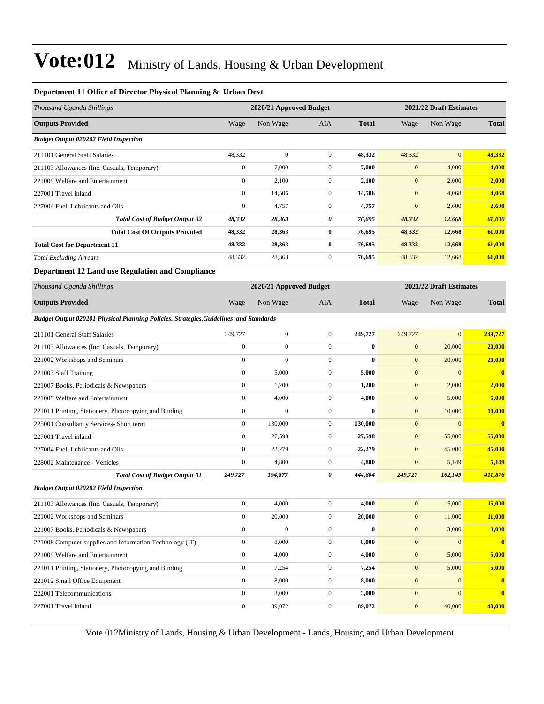#### **Department 11 Office of Director Physical Planning & Urban Devt**

| Thousand Uganda Shillings                                                             |                  | 2020/21 Approved Budget |                  |              |                  | 2021/22 Draft Estimates |                         |
|---------------------------------------------------------------------------------------|------------------|-------------------------|------------------|--------------|------------------|-------------------------|-------------------------|
| <b>Outputs Provided</b>                                                               | Wage             | Non Wage                | AIA              | <b>Total</b> | Wage             | Non Wage                | <b>Total</b>            |
| <b>Budget Output 020202 Field Inspection</b>                                          |                  |                         |                  |              |                  |                         |                         |
| 211101 General Staff Salaries                                                         | 48,332           | $\boldsymbol{0}$        | $\mathbf{0}$     | 48,332       | 48,332           | $\mathbf{0}$            | 48,332                  |
| 211103 Allowances (Inc. Casuals, Temporary)                                           | $\boldsymbol{0}$ | 7,000                   | $\boldsymbol{0}$ | 7,000        | $\mathbf{0}$     | 4,000                   | 4,000                   |
| 221009 Welfare and Entertainment                                                      | $\boldsymbol{0}$ | 2,100                   | $\boldsymbol{0}$ | 2,100        | $\mathbf{0}$     | 2,000                   | 2,000                   |
| 227001 Travel inland                                                                  | $\boldsymbol{0}$ | 14,506                  | $\mathbf{0}$     | 14,506       | $\mathbf{0}$     | 4,068                   | 4,068                   |
| 227004 Fuel, Lubricants and Oils                                                      | $\boldsymbol{0}$ | 4,757                   | $\boldsymbol{0}$ | 4,757        | $\mathbf{0}$     | 2,600                   | 2,600                   |
| <b>Total Cost of Budget Output 02</b>                                                 | 48,332           | 28,363                  | 0                | 76,695       | 48,332           | 12,668                  | 61,000                  |
| <b>Total Cost Of Outputs Provided</b>                                                 | 48,332           | 28,363                  | 0                | 76,695       | 48,332           | 12,668                  | 61,000                  |
| <b>Total Cost for Department 11</b>                                                   | 48,332           | 28,363                  | $\bf{0}$         | 76,695       | 48,332           | 12,668                  | 61,000                  |
| <b>Total Excluding Arrears</b>                                                        | 48,332           | 28,363                  | $\boldsymbol{0}$ | 76,695       | 48,332           | 12,668                  | 61,000                  |
| Department 12 Land use Regulation and Compliance                                      |                  |                         |                  |              |                  |                         |                         |
| Thousand Uganda Shillings                                                             |                  | 2020/21 Approved Budget |                  |              |                  | 2021/22 Draft Estimates |                         |
| <b>Outputs Provided</b>                                                               | Wage             | Non Wage                | AIA              | <b>Total</b> | Wage             | Non Wage                | <b>Total</b>            |
| Budget Output 020201 Physical Planning Policies, Strategies, Guidelines and Standards |                  |                         |                  |              |                  |                         |                         |
| 211101 General Staff Salaries                                                         | 249,727          | $\boldsymbol{0}$        | $\boldsymbol{0}$ | 249,727      | 249,727          | $\mathbf{0}$            | 249,727                 |
| 211103 Allowances (Inc. Casuals, Temporary)                                           | $\boldsymbol{0}$ | $\boldsymbol{0}$        | $\mathbf{0}$     | $\bf{0}$     | $\mathbf{0}$     | 20,000                  | 20,000                  |
| 221002 Workshops and Seminars                                                         | $\boldsymbol{0}$ | $\overline{0}$          | $\boldsymbol{0}$ | $\bf{0}$     | $\mathbf{0}$     | 20,000                  | 20,000                  |
| 221003 Staff Training                                                                 | $\boldsymbol{0}$ | 5,000                   | $\boldsymbol{0}$ | 5,000        | $\mathbf{0}$     | $\mathbf{0}$            | $\mathbf{0}$            |
| 221007 Books, Periodicals & Newspapers                                                | $\boldsymbol{0}$ | 1,200                   | $\mathbf{0}$     | 1,200        | $\mathbf{0}$     | 2,000                   | 2,000                   |
| 221009 Welfare and Entertainment                                                      | $\boldsymbol{0}$ | 4,000                   | $\boldsymbol{0}$ | 4,000        | $\mathbf{0}$     | 5,000                   | 5,000                   |
| 221011 Printing, Stationery, Photocopying and Binding                                 | $\boldsymbol{0}$ | $\overline{0}$          | $\mathbf{0}$     | $\bf{0}$     | $\mathbf{0}$     | 10,000                  | 10,000                  |
| 225001 Consultancy Services- Short term                                               | $\boldsymbol{0}$ | 130,000                 | $\boldsymbol{0}$ | 130,000      | $\mathbf{0}$     | $\mathbf{0}$            | $\bf{0}$                |
| 227001 Travel inland                                                                  | $\boldsymbol{0}$ | 27,598                  | $\boldsymbol{0}$ | 27,598       | $\mathbf{0}$     | 55,000                  | 55,000                  |
| 227004 Fuel, Lubricants and Oils                                                      | $\boldsymbol{0}$ | 22,279                  | $\mathbf{0}$     | 22,279       | $\mathbf{0}$     | 45,000                  | 45,000                  |
| 228002 Maintenance - Vehicles                                                         | $\boldsymbol{0}$ | 4,800                   | $\boldsymbol{0}$ | 4,800        | $\mathbf{0}$     | 5,149                   | 5,149                   |
| <b>Total Cost of Budget Output 01</b>                                                 | 249,727          | 194,877                 | 0                | 444,604      | 249,727          | 162,149                 | 411,876                 |
| <b>Budget Output 020202 Field Inspection</b>                                          |                  |                         |                  |              |                  |                         |                         |
| 211103 Allowances (Inc. Casuals, Temporary)                                           | $\boldsymbol{0}$ | 4,000                   | $\boldsymbol{0}$ | 4,000        | $\boldsymbol{0}$ | 15,000                  | 15,000                  |
| 221002 Workshops and Seminars                                                         | $\boldsymbol{0}$ | 20,000                  | $\boldsymbol{0}$ | 20,000       | $\boldsymbol{0}$ | 11,000                  | 11,000                  |
| 221007 Books, Periodicals & Newspapers                                                | $\boldsymbol{0}$ | $\boldsymbol{0}$        | $\boldsymbol{0}$ | $\bf{0}$     | $\boldsymbol{0}$ | 3,000                   | 3,000                   |
| 221008 Computer supplies and Information Technology (IT)                              | $\boldsymbol{0}$ | 8,000                   | $\boldsymbol{0}$ | 8,000        | $\boldsymbol{0}$ | $\boldsymbol{0}$        | $\overline{\mathbf{0}}$ |
| 221009 Welfare and Entertainment                                                      | $\boldsymbol{0}$ | 4,000                   | $\boldsymbol{0}$ | 4,000        | $\boldsymbol{0}$ | 5,000                   | 5,000                   |
| 221011 Printing, Stationery, Photocopying and Binding                                 | $\boldsymbol{0}$ | 7,254                   | $\boldsymbol{0}$ | 7,254        | $\mathbf{0}$     | 5,000                   | 5,000                   |
| 221012 Small Office Equipment                                                         | $\boldsymbol{0}$ | 8,000                   | $\boldsymbol{0}$ | 8,000        | $\boldsymbol{0}$ | $\mathbf{0}$            | $\bf{0}$                |
| 222001 Telecommunications                                                             | $\boldsymbol{0}$ | 3,000                   | $\boldsymbol{0}$ | 3,000        | $\boldsymbol{0}$ | $\boldsymbol{0}$        | $\mathbf{0}$            |
| 227001 Travel inland                                                                  | $\boldsymbol{0}$ | 89,072                  | $\overline{0}$   | 89,072       | $\boldsymbol{0}$ | 40,000                  | 40,000                  |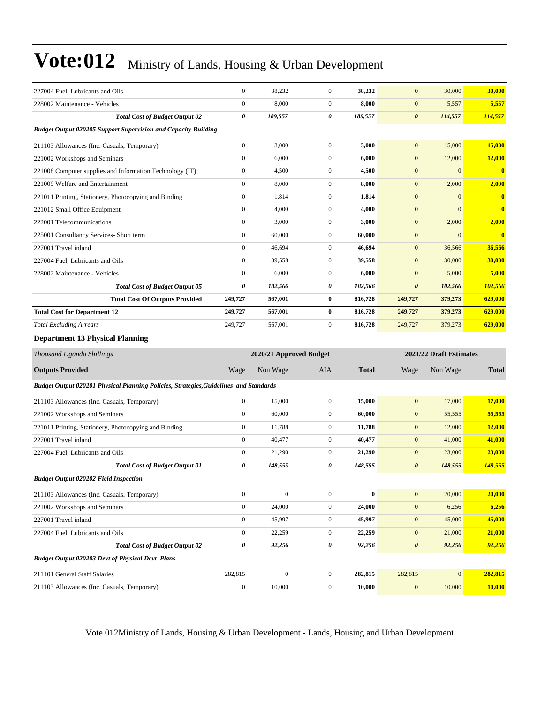| 227004 Fuel, Lubricants and Oils                                                      | $\boldsymbol{0}$      | 38,232                  | $\mathbf{0}$     | 38,232       | $\mathbf{0}$            | 30,000           | 30,000       |  |
|---------------------------------------------------------------------------------------|-----------------------|-------------------------|------------------|--------------|-------------------------|------------------|--------------|--|
| 228002 Maintenance - Vehicles                                                         | $\boldsymbol{0}$      | 8,000                   | $\mathbf{0}$     | 8,000        | $\boldsymbol{0}$        | 5,557            | 5,557        |  |
| <b>Total Cost of Budget Output 02</b>                                                 | $\boldsymbol{\theta}$ | 189,557                 | 0                | 189,557      | $\boldsymbol{\theta}$   | 114,557          | 114,557      |  |
| <b>Budget Output 020205 Support Supervision and Capacity Building</b>                 |                       |                         |                  |              |                         |                  |              |  |
| 211103 Allowances (Inc. Casuals, Temporary)                                           | $\mathbf{0}$          | 3,000                   | $\mathbf{0}$     | 3,000        | $\mathbf{0}$            | 15,000           | 15,000       |  |
| 221002 Workshops and Seminars                                                         | $\boldsymbol{0}$      | 6,000                   | $\mathbf{0}$     | 6,000        | $\mathbf{0}$            | 12,000           | 12,000       |  |
| 221008 Computer supplies and Information Technology (IT)                              | $\boldsymbol{0}$      | 4,500                   | $\mathbf{0}$     | 4,500        | $\mathbf{0}$            | $\mathbf{0}$     | $\bf{0}$     |  |
| 221009 Welfare and Entertainment                                                      | $\boldsymbol{0}$      | 8,000                   | $\mathbf{0}$     | 8,000        | $\mathbf{0}$            | 2,000            | 2,000        |  |
| 221011 Printing, Stationery, Photocopying and Binding                                 | $\boldsymbol{0}$      | 1,814                   | $\mathbf{0}$     | 1,814        | $\boldsymbol{0}$        | $\mathbf{0}$     | $\bf{0}$     |  |
| 221012 Small Office Equipment                                                         | $\mathbf{0}$          | 4,000                   | $\mathbf{0}$     | 4,000        | $\boldsymbol{0}$        | $\mathbf{0}$     | $\bf{0}$     |  |
| 222001 Telecommunications                                                             | $\boldsymbol{0}$      | 3,000                   | $\mathbf{0}$     | 3,000        | $\mathbf{0}$            | 2,000            | 2,000        |  |
| 225001 Consultancy Services- Short term                                               | $\boldsymbol{0}$      | 60,000                  | $\mathbf{0}$     | 60,000       | $\mathbf{0}$            | $\mathbf{0}$     | $\bf{0}$     |  |
| 227001 Travel inland                                                                  | $\mathbf{0}$          | 46,694                  | $\mathbf{0}$     | 46,694       | $\mathbf{0}$            | 36,566           | 36,566       |  |
| 227004 Fuel, Lubricants and Oils                                                      | $\boldsymbol{0}$      | 39,558                  | $\mathbf{0}$     | 39,558       | $\mathbf{0}$            | 30,000           | 30,000       |  |
| 228002 Maintenance - Vehicles                                                         | $\boldsymbol{0}$      | 6,000                   | $\mathbf{0}$     | 6,000        | $\boldsymbol{0}$        | 5,000            | 5,000        |  |
| <b>Total Cost of Budget Output 05</b>                                                 | $\pmb{\theta}$        | 182,566                 | 0                | 182,566      | $\boldsymbol{\theta}$   | 102,566          | 102,566      |  |
| <b>Total Cost Of Outputs Provided</b>                                                 | 249,727               | 567,001                 | $\bf{0}$         | 816,728      | 249,727                 | 379,273          | 629,000      |  |
| <b>Total Cost for Department 12</b>                                                   | 249,727               | 567,001                 | $\bf{0}$         | 816,728      | 249,727                 | 379,273          | 629,000      |  |
| <b>Total Excluding Arrears</b>                                                        | 249,727               | 567,001                 | $\mathbf{0}$     | 816,728      | 249,727                 | 379,273          | 629,000      |  |
| <b>Department 13 Physical Planning</b>                                                |                       |                         |                  |              |                         |                  |              |  |
| Thousand Uganda Shillings                                                             |                       | 2020/21 Approved Budget |                  |              | 2021/22 Draft Estimates |                  |              |  |
| <b>Outputs Provided</b>                                                               | Wage                  | Non Wage                | <b>AIA</b>       | <b>Total</b> | Wage                    | Non Wage         | <b>Total</b> |  |
| Budget Output 020201 Physical Planning Policies, Strategies, Guidelines and Standards |                       |                         |                  |              |                         |                  |              |  |
| 211103 Allowances (Inc. Casuals, Temporary)                                           | $\boldsymbol{0}$      | 15,000                  | $\boldsymbol{0}$ | 15,000       | $\boldsymbol{0}$        | 17,000           | 17,000       |  |
| 221002 Workshops and Seminars                                                         | $\boldsymbol{0}$      | 60,000                  | $\mathbf{0}$     |              |                         |                  |              |  |
| 221011 Printing, Stationery, Photocopying and Binding                                 |                       |                         |                  | 60,000       | $\boldsymbol{0}$        | 55,555           | 55,555       |  |
|                                                                                       | $\boldsymbol{0}$      | 11,788                  | $\mathbf{0}$     | 11,788       | $\boldsymbol{0}$        | 12,000           | 12,000       |  |
| 227001 Travel inland                                                                  | $\mathbf{0}$          | 40,477                  | $\mathbf{0}$     | 40,477       | $\boldsymbol{0}$        | 41,000           | 41,000       |  |
| 227004 Fuel, Lubricants and Oils                                                      | $\boldsymbol{0}$      | 21,290                  | $\mathbf{0}$     | 21,290       | $\mathbf{0}$            | 23,000           | 23,000       |  |
| <b>Total Cost of Budget Output 01</b>                                                 | 0                     | 148,555                 | 0                | 148,555      | 0                       | 148,555          | 148,555      |  |
| <b>Budget Output 020202 Field Inspection</b>                                          |                       |                         |                  |              |                         |                  |              |  |
| 211103 Allowances (Inc. Casuals, Temporary)                                           | $\boldsymbol{0}$      | $\boldsymbol{0}$        | $\boldsymbol{0}$ | $\bf{0}$     | $\mathbf{0}$            | 20,000           | 20,000       |  |
| 221002 Workshops and Seminars                                                         | $\boldsymbol{0}$      | 24,000                  | $\boldsymbol{0}$ | 24,000       | $\boldsymbol{0}$        | 6,256            | 6,256        |  |
| 227001 Travel inland                                                                  | $\boldsymbol{0}$      | 45,997                  | $\boldsymbol{0}$ | 45,997       | $\boldsymbol{0}$        | 45,000           | 45,000       |  |
| 227004 Fuel, Lubricants and Oils                                                      | $\boldsymbol{0}$      | 22,259                  | $\boldsymbol{0}$ | 22,259       | $\boldsymbol{0}$        | 21,000           | 21,000       |  |
| <b>Total Cost of Budget Output 02</b>                                                 | $\pmb{\theta}$        | 92,256                  | 0                | 92,256       | $\boldsymbol{\theta}$   | 92,256           | 92,256       |  |
| <b>Budget Output 020203 Devt of Physical Devt Plans</b>                               |                       |                         |                  |              |                         |                  |              |  |
| 211101 General Staff Salaries                                                         | 282,815               | $\boldsymbol{0}$        | $\boldsymbol{0}$ | 282,815      | 282,815                 | $\boldsymbol{0}$ | 282,815      |  |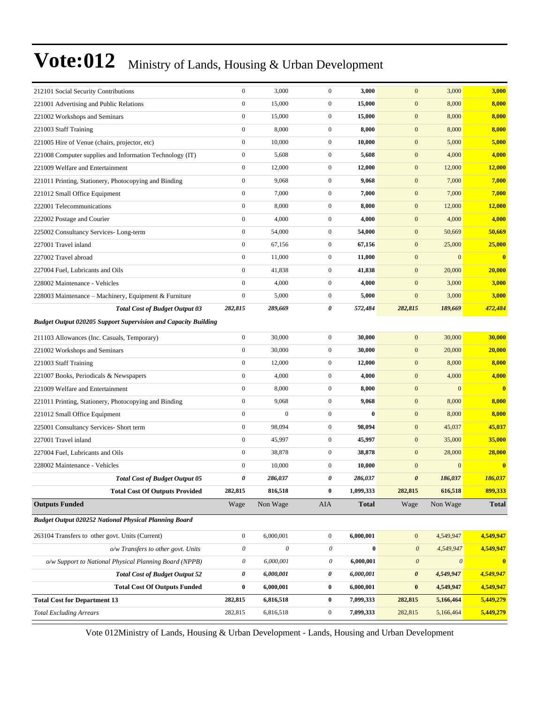| 212101 Social Security Contributions                                  | $\boldsymbol{0}$      | 3,000                     | $\mathbf{0}$     | 3,000        | $\mathbf{0}$          | 3,000        | 3,000                   |
|-----------------------------------------------------------------------|-----------------------|---------------------------|------------------|--------------|-----------------------|--------------|-------------------------|
| 221001 Advertising and Public Relations                               | $\boldsymbol{0}$      | 15,000                    | $\boldsymbol{0}$ | 15,000       | $\mathbf{0}$          | 8,000        | 8,000                   |
| 221002 Workshops and Seminars                                         | $\boldsymbol{0}$      | 15,000                    | $\mathbf{0}$     | 15,000       | $\mathbf{0}$          | 8,000        | 8,000                   |
| 221003 Staff Training                                                 | $\boldsymbol{0}$      | 8,000                     | $\boldsymbol{0}$ | 8,000        | $\mathbf{0}$          | 8,000        | 8,000                   |
| 221005 Hire of Venue (chairs, projector, etc)                         | $\boldsymbol{0}$      | 10,000                    | $\boldsymbol{0}$ | 10,000       | $\mathbf{0}$          | 5,000        | 5,000                   |
| 221008 Computer supplies and Information Technology (IT)              | $\boldsymbol{0}$      | 5,608                     | $\boldsymbol{0}$ | 5,608        | $\mathbf{0}$          | 4,000        | 4,000                   |
| 221009 Welfare and Entertainment                                      | $\boldsymbol{0}$      | 12,000                    | $\mathbf{0}$     | 12,000       | $\boldsymbol{0}$      | 12,000       | 12,000                  |
| 221011 Printing, Stationery, Photocopying and Binding                 | $\boldsymbol{0}$      | 9,068                     | $\mathbf{0}$     | 9,068        | $\mathbf{0}$          | 7,000        | 7,000                   |
| 221012 Small Office Equipment                                         | $\boldsymbol{0}$      | 7,000                     | $\boldsymbol{0}$ | 7,000        | $\mathbf{0}$          | 7,000        | 7,000                   |
| 222001 Telecommunications                                             | $\boldsymbol{0}$      | 8,000                     | $\boldsymbol{0}$ | 8,000        | $\mathbf{0}$          | 12,000       | 12,000                  |
| 222002 Postage and Courier                                            | $\boldsymbol{0}$      | 4,000                     | $\mathbf{0}$     | 4,000        | $\mathbf{0}$          | 4,000        | 4,000                   |
| 225002 Consultancy Services-Long-term                                 | $\boldsymbol{0}$      | 54,000                    | $\mathbf{0}$     | 54,000       | $\mathbf{0}$          | 50,669       | 50,669                  |
| 227001 Travel inland                                                  | $\boldsymbol{0}$      | 67,156                    | $\mathbf{0}$     | 67,156       | $\boldsymbol{0}$      | 25,000       | 25,000                  |
| 227002 Travel abroad                                                  | $\boldsymbol{0}$      | 11,000                    | $\boldsymbol{0}$ | 11,000       | $\mathbf{0}$          | $\mathbf{0}$ | $\bf{0}$                |
| 227004 Fuel, Lubricants and Oils                                      | $\boldsymbol{0}$      | 41,838                    | $\boldsymbol{0}$ | 41,838       | $\mathbf{0}$          | 20,000       | 20,000                  |
| 228002 Maintenance - Vehicles                                         | $\boldsymbol{0}$      | 4,000                     | $\mathbf{0}$     | 4,000        | $\boldsymbol{0}$      | 3,000        | 3,000                   |
| 228003 Maintenance – Machinery, Equipment & Furniture                 | $\boldsymbol{0}$      | 5,000                     | $\mathbf{0}$     | 5,000        | $\mathbf{0}$          | 3,000        | 3,000                   |
| <b>Total Cost of Budget Output 03</b>                                 | 282,815               | 289,669                   | 0                | 572,484      | 282,815               | 189,669      | 472,484                 |
| <b>Budget Output 020205 Support Supervision and Capacity Building</b> |                       |                           |                  |              |                       |              |                         |
| 211103 Allowances (Inc. Casuals, Temporary)                           | $\boldsymbol{0}$      | 30,000                    | $\boldsymbol{0}$ | 30,000       | $\mathbf{0}$          | 30,000       | 30,000                  |
| 221002 Workshops and Seminars                                         | $\boldsymbol{0}$      | 30,000                    | $\boldsymbol{0}$ | 30,000       | $\mathbf{0}$          | 20,000       | 20,000                  |
| 221003 Staff Training                                                 | $\boldsymbol{0}$      | 12,000                    | $\mathbf{0}$     | 12,000       | $\mathbf{0}$          | 8,000        | 8,000                   |
| 221007 Books, Periodicals & Newspapers                                | $\boldsymbol{0}$      | 4,000                     | $\mathbf{0}$     | 4,000        | $\mathbf{0}$          | 4,000        | 4,000                   |
| 221009 Welfare and Entertainment                                      | $\boldsymbol{0}$      | 8,000                     | $\mathbf{0}$     | 8,000        | $\mathbf{0}$          | $\mathbf{0}$ | $\overline{\mathbf{0}}$ |
| 221011 Printing, Stationery, Photocopying and Binding                 | $\boldsymbol{0}$      | 9,068                     | $\boldsymbol{0}$ | 9,068        | $\mathbf{0}$          | 8,000        | 8,000                   |
| 221012 Small Office Equipment                                         | $\boldsymbol{0}$      | $\boldsymbol{0}$          | $\boldsymbol{0}$ | $\bf{0}$     | $\mathbf{0}$          | 8,000        | 8,000                   |
| 225001 Consultancy Services- Short term                               | $\boldsymbol{0}$      | 98,094                    | $\mathbf{0}$     | 98,094       | $\mathbf{0}$          | 45,037       | 45,037                  |
| 227001 Travel inland                                                  | $\boldsymbol{0}$      | 45,997                    | $\mathbf{0}$     | 45,997       | $\mathbf{0}$          | 35,000       | 35,000                  |
| 227004 Fuel, Lubricants and Oils                                      | $\boldsymbol{0}$      | 38,878                    | $\mathbf{0}$     | 38,878       | $\mathbf{0}$          | 28,000       | 28,000                  |
| 228002 Maintenance - Vehicles                                         | $\boldsymbol{0}$      | 10,000                    | $\boldsymbol{0}$ | 10,000       | $\mathbf{0}$          | $\mathbf{0}$ | $\bf{0}$                |
| <b>Total Cost of Budget Output 05</b>                                 | 0                     | 286,037                   | 0                | 286,037      | $\boldsymbol{\theta}$ | 186,037      | 186,037                 |
| <b>Total Cost Of Outputs Provided</b>                                 | 282,815               | 816,518                   | $\pmb{0}$        | 1,099,333    | 282,815               | 616,518      | 899,333                 |
| <b>Outputs Funded</b>                                                 | Wage                  | Non Wage                  | AIA              | <b>Total</b> | Wage                  | Non Wage     | <b>Total</b>            |
| Budget Output 020252 National Physical Planning Board                 |                       |                           |                  |              |                       |              |                         |
| 263104 Transfers to other govt. Units (Current)                       | $\boldsymbol{0}$      | 6,000,001                 | $\boldsymbol{0}$ | 6,000,001    | $\boldsymbol{0}$      | 4,549,947    | 4,549,947               |
| o/w Transfers to other govt. Units                                    | $\boldsymbol{\theta}$ | $\boldsymbol{\mathit{0}}$ | $\mathcal O$     | $\pmb{0}$    | $\boldsymbol{\theta}$ | 4,549,947    | 4,549,947               |
| o/w Support to National Physical Planning Board (NPPB)                | $\theta$              | 6,000,001                 | $\mathcal O$     | 6,000,001    | $\boldsymbol{\theta}$ | 0            | $\bf{0}$                |
| <b>Total Cost of Budget Output 52</b>                                 | 0                     | 6,000,001                 | 0                | 6,000,001    | 0                     | 4,549,947    | 4,549,947               |
| <b>Total Cost Of Outputs Funded</b>                                   | $\bf{0}$              | 6,000,001                 | $\bf{0}$         | 6,000,001    | $\pmb{0}$             | 4,549,947    | 4,549,947               |
| <b>Total Cost for Department 13</b>                                   | 282,815               | 6,816,518                 | $\bf{0}$         | 7,099,333    | 282,815               | 5,166,464    | 5,449,279               |
| <b>Total Excluding Arrears</b>                                        | 282,815               | 6,816,518                 | $\boldsymbol{0}$ | 7,099,333    | 282,815               | 5,166,464    | 5,449,279               |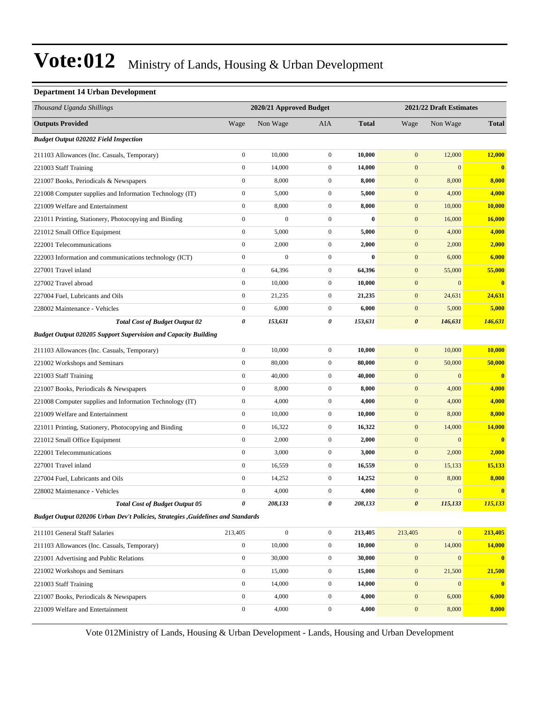#### **Department 14 Urban Development**

| Thousand Uganda Shillings                                                        |                  | 2020/21 Approved Budget |                  |              |                       | 2021/22 Draft Estimates |                         |
|----------------------------------------------------------------------------------|------------------|-------------------------|------------------|--------------|-----------------------|-------------------------|-------------------------|
| <b>Outputs Provided</b>                                                          | Wage             | Non Wage                | AIA              | <b>Total</b> | Wage                  | Non Wage                | <b>Total</b>            |
| <b>Budget Output 020202 Field Inspection</b>                                     |                  |                         |                  |              |                       |                         |                         |
| 211103 Allowances (Inc. Casuals, Temporary)                                      | $\mathbf{0}$     | 10,000                  | $\boldsymbol{0}$ | 10,000       | $\boldsymbol{0}$      | 12,000                  | 12,000                  |
| 221003 Staff Training                                                            | $\boldsymbol{0}$ | 14,000                  | $\boldsymbol{0}$ | 14,000       | $\boldsymbol{0}$      | $\overline{0}$          | $\overline{\mathbf{0}}$ |
| 221007 Books, Periodicals & Newspapers                                           | $\boldsymbol{0}$ | 8,000                   | $\boldsymbol{0}$ | 8,000        | $\boldsymbol{0}$      | 8,000                   | 8,000                   |
| 221008 Computer supplies and Information Technology (IT)                         | $\boldsymbol{0}$ | 5,000                   | $\boldsymbol{0}$ | 5,000        | $\boldsymbol{0}$      | 4,000                   | 4,000                   |
| 221009 Welfare and Entertainment                                                 | $\boldsymbol{0}$ | 8,000                   | $\boldsymbol{0}$ | 8,000        | $\boldsymbol{0}$      | 10,000                  | 10,000                  |
| 221011 Printing, Stationery, Photocopying and Binding                            | $\boldsymbol{0}$ | $\boldsymbol{0}$        | $\boldsymbol{0}$ | $\bf{0}$     | $\boldsymbol{0}$      | 16,000                  | 16,000                  |
| 221012 Small Office Equipment                                                    | $\boldsymbol{0}$ | 5,000                   | $\boldsymbol{0}$ | 5,000        | $\boldsymbol{0}$      | 4,000                   | 4,000                   |
| 222001 Telecommunications                                                        | $\boldsymbol{0}$ | 2,000                   | $\boldsymbol{0}$ | 2,000        | $\boldsymbol{0}$      | 2,000                   | 2,000                   |
| 222003 Information and communications technology (ICT)                           | $\boldsymbol{0}$ | $\boldsymbol{0}$        | $\boldsymbol{0}$ | $\bf{0}$     | $\boldsymbol{0}$      | 6,000                   | 6,000                   |
| 227001 Travel inland                                                             | $\boldsymbol{0}$ | 64,396                  | $\boldsymbol{0}$ | 64,396       | $\boldsymbol{0}$      | 55,000                  | 55,000                  |
| 227002 Travel abroad                                                             | $\boldsymbol{0}$ | 10,000                  | $\boldsymbol{0}$ | 10,000       | $\boldsymbol{0}$      | $\mathbf{0}$            | $\bf{0}$                |
| 227004 Fuel, Lubricants and Oils                                                 | $\boldsymbol{0}$ | 21,235                  | $\boldsymbol{0}$ | 21,235       | $\boldsymbol{0}$      | 24,631                  | 24,631                  |
| 228002 Maintenance - Vehicles                                                    | $\boldsymbol{0}$ | 6,000                   | $\boldsymbol{0}$ | 6,000        | $\boldsymbol{0}$      | 5,000                   | 5,000                   |
| <b>Total Cost of Budget Output 02</b>                                            | $\pmb{\theta}$   | 153,631                 | 0                | 153,631      | $\boldsymbol{\theta}$ | 146,631                 | 146,631                 |
| <b>Budget Output 020205 Support Supervision and Capacity Building</b>            |                  |                         |                  |              |                       |                         |                         |
| 211103 Allowances (Inc. Casuals, Temporary)                                      | $\mathbf{0}$     | 10,000                  | $\boldsymbol{0}$ | 10,000       | $\boldsymbol{0}$      | 10,000                  | 10,000                  |
| 221002 Workshops and Seminars                                                    | $\boldsymbol{0}$ | 80,000                  | $\boldsymbol{0}$ | 80,000       | $\boldsymbol{0}$      | 50,000                  | 50,000                  |
| 221003 Staff Training                                                            | $\boldsymbol{0}$ | 40,000                  | $\boldsymbol{0}$ | 40,000       | $\boldsymbol{0}$      | $\mathbf{0}$            | $\overline{\mathbf{0}}$ |
| 221007 Books, Periodicals & Newspapers                                           | $\mathbf{0}$     | 8,000                   | $\boldsymbol{0}$ | 8,000        | $\boldsymbol{0}$      | 4,000                   | 4,000                   |
| 221008 Computer supplies and Information Technology (IT)                         | $\boldsymbol{0}$ | 4,000                   | $\boldsymbol{0}$ | 4,000        | $\boldsymbol{0}$      | 4,000                   | 4,000                   |
| 221009 Welfare and Entertainment                                                 | $\boldsymbol{0}$ | 10,000                  | $\boldsymbol{0}$ | 10,000       | $\boldsymbol{0}$      | 8,000                   | 8,000                   |
| 221011 Printing, Stationery, Photocopying and Binding                            | $\mathbf{0}$     | 16,322                  | $\boldsymbol{0}$ | 16,322       | $\boldsymbol{0}$      | 14,000                  | 14,000                  |
| 221012 Small Office Equipment                                                    | $\boldsymbol{0}$ | 2,000                   | $\boldsymbol{0}$ | 2,000        | $\boldsymbol{0}$      | $\mathbf{0}$            | $\overline{\mathbf{0}}$ |
| 222001 Telecommunications                                                        | $\boldsymbol{0}$ | 3,000                   | $\boldsymbol{0}$ | 3,000        | $\boldsymbol{0}$      | 2,000                   | 2,000                   |
| 227001 Travel inland                                                             | $\boldsymbol{0}$ | 16,559                  | $\boldsymbol{0}$ | 16,559       | $\boldsymbol{0}$      | 15,133                  | 15,133                  |
| 227004 Fuel, Lubricants and Oils                                                 | $\boldsymbol{0}$ | 14,252                  | $\boldsymbol{0}$ | 14,252       | $\boldsymbol{0}$      | 8,000                   | 8,000                   |
| 228002 Maintenance - Vehicles                                                    | $\mathbf{0}$     | 4,000                   | $\mathbf{0}$     | 4,000        | $\mathbf{0}$          | $\mathbf{0}$            | $\mathbf{0}$            |
| <b>Total Cost of Budget Output 05</b>                                            | 0                | 208,133                 | 0                | 208,133      | $\boldsymbol{\theta}$ | 115,133                 | 115,133                 |
| Budget Output 020206 Urban Dev't Policies, Strategies , Guidelines and Standards |                  |                         |                  |              |                       |                         |                         |
| 211101 General Staff Salaries                                                    | 213,405          | $\boldsymbol{0}$        | $\boldsymbol{0}$ | 213,405      | 213,405               | $\mathbf{0}$            | 213,405                 |
| 211103 Allowances (Inc. Casuals, Temporary)                                      | $\boldsymbol{0}$ | 10,000                  | $\boldsymbol{0}$ | 10,000       | $\mathbf{0}$          | 14,000                  | 14,000                  |
| 221001 Advertising and Public Relations                                          | $\boldsymbol{0}$ | 30,000                  | $\boldsymbol{0}$ | 30,000       | $\boldsymbol{0}$      | $\mathbf{0}$            | $\mathbf{0}$            |
| 221002 Workshops and Seminars                                                    | $\mathbf{0}$     | 15,000                  | $\boldsymbol{0}$ | 15,000       | $\mathbf{0}$          | 21,500                  | 21,500                  |
| 221003 Staff Training                                                            | $\boldsymbol{0}$ | 14,000                  | $\boldsymbol{0}$ | 14,000       | $\mathbf{0}$          | $\mathbf{0}$            | $\mathbf{0}$            |
| 221007 Books, Periodicals & Newspapers                                           | $\boldsymbol{0}$ | 4,000                   | $\boldsymbol{0}$ | 4,000        | $\boldsymbol{0}$      | 6,000                   | 6,000                   |
| 221009 Welfare and Entertainment                                                 | $\boldsymbol{0}$ | 4,000                   | $\boldsymbol{0}$ | 4,000        | $\boldsymbol{0}$      | 8,000                   | 8,000                   |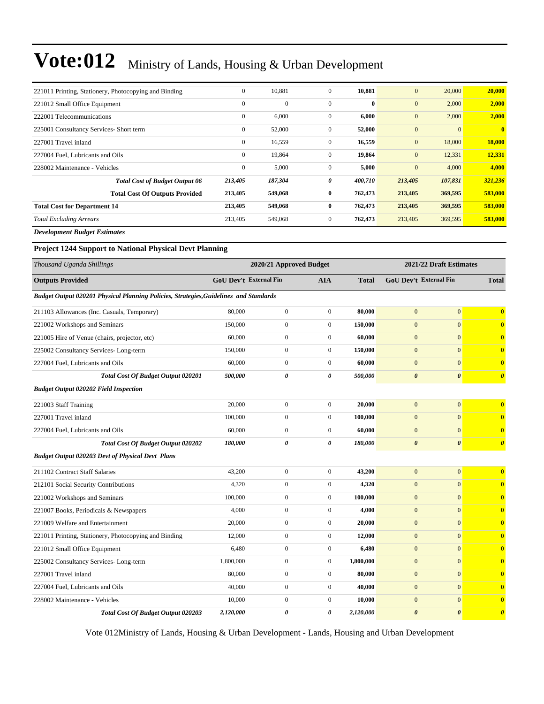| 221011 Printing, Stationery, Photocopying and Binding | $\mathbf{0}$ | 10,881       | $\mathbf{0}$ | 10,881       | $\mathbf{0}$     | 20,000   | 20,000                  |
|-------------------------------------------------------|--------------|--------------|--------------|--------------|------------------|----------|-------------------------|
| 221012 Small Office Equipment                         | $\mathbf{0}$ | $\mathbf{0}$ | $\mathbf{0}$ | $\mathbf{0}$ | $\mathbf{0}$     | 2,000    | 2,000                   |
| 222001 Telecommunications                             | $\mathbf{0}$ | 6,000        | $\mathbf{0}$ | 6,000        | $\boldsymbol{0}$ | 2,000    | 2,000                   |
| 225001 Consultancy Services- Short term               | $\mathbf{0}$ | 52,000       | $\mathbf{0}$ | 52,000       | $\mathbf{0}$     | $\Omega$ | $\overline{\mathbf{0}}$ |
| 227001 Travel inland                                  | $\mathbf{0}$ | 16,559       | $\mathbf{0}$ | 16,559       | $\mathbf{0}$     | 18,000   | 18,000                  |
| 227004 Fuel, Lubricants and Oils                      | $\mathbf{0}$ | 19,864       | $\mathbf{0}$ | 19,864       | $\mathbf{0}$     | 12,331   | 12,331                  |
| 228002 Maintenance - Vehicles                         | $\mathbf{0}$ | 5,000        | $\mathbf{0}$ | 5,000        | $\mathbf{0}$     | 4,000    | 4,000                   |
| <b>Total Cost of Budget Output 06</b>                 | 213,405      | 187,304      | 0            | 400,710      | 213,405          | 107,831  | 321,236                 |
| <b>Total Cost Of Outputs Provided</b>                 | 213,405      | 549,068      | $\bf{0}$     | 762,473      | 213,405          | 369,595  | 583,000                 |
| <b>Total Cost for Department 14</b>                   | 213,405      | 549,068      | $\bf{0}$     | 762,473      | 213,405          | 369,595  | 583,000                 |
| <b>Total Excluding Arrears</b>                        | 213,405      | 549,068      | $\mathbf{0}$ | 762,473      | 213,405          | 369,595  | 583,000                 |
| $\mathbf{r}$ is the state of $\mathbf{r}$             |              |              |              |              |                  |          |                         |

*Development Budget Estimates*

**Project 1244 Support to National Physical Devt Planning**

| Thousand Uganda Shillings                                                             |                               | 2020/21 Approved Budget |                       |              | 2021/22 Draft Estimates       |                       |                         |
|---------------------------------------------------------------------------------------|-------------------------------|-------------------------|-----------------------|--------------|-------------------------------|-----------------------|-------------------------|
| <b>Outputs Provided</b>                                                               | <b>GoU Dev't External Fin</b> |                         | AIA                   | <b>Total</b> | <b>GoU Dev't External Fin</b> |                       | <b>Total</b>            |
| Budget Output 020201 Physical Planning Policies, Strategies, Guidelines and Standards |                               |                         |                       |              |                               |                       |                         |
| 211103 Allowances (Inc. Casuals, Temporary)                                           | 80,000                        | $\mathbf{0}$            | $\mathbf{0}$          | 80.000       | $\Omega$                      | $\overline{0}$        | $\overline{\mathbf{0}}$ |
| 221002 Workshops and Seminars                                                         | 150,000                       | $\boldsymbol{0}$        | $\boldsymbol{0}$      | 150,000      | $\mathbf{0}$                  | $\mathbf{0}$          | $\bf{0}$                |
| 221005 Hire of Venue (chairs, projector, etc)                                         | 60,000                        | $\mathbf{0}$            | $\mathbf{0}$          | 60,000       | $\overline{0}$                | $\overline{0}$        | $\bf{0}$                |
| 225002 Consultancy Services-Long-term                                                 | 150,000                       | $\boldsymbol{0}$        | $\mathbf{0}$          | 150,000      | $\mathbf{0}$                  | $\theta$              | $\bf{0}$                |
| 227004 Fuel, Lubricants and Oils                                                      | 60,000                        | $\mathbf{0}$            | $\boldsymbol{0}$      | 60,000       | $\mathbf{0}$                  | $\mathbf{0}$          | $\bf{0}$                |
| Total Cost Of Budget Output 020201                                                    | 500,000                       | $\boldsymbol{\theta}$   | $\theta$              | 500,000      | $\boldsymbol{\theta}$         | $\boldsymbol{\theta}$ | $\boldsymbol{\theta}$   |
| <b>Budget Output 020202 Field Inspection</b>                                          |                               |                         |                       |              |                               |                       |                         |
| 221003 Staff Training                                                                 | 20,000                        | $\mathbf{0}$            | $\mathbf{0}$          | 20,000       | $\mathbf{0}$                  | $\overline{0}$        | $\overline{\mathbf{0}}$ |
| 227001 Travel inland                                                                  | 100,000                       | $\boldsymbol{0}$        | $\boldsymbol{0}$      | 100,000      | $\overline{0}$                | $\overline{0}$        | $\bf{0}$                |
| 227004 Fuel, Lubricants and Oils                                                      | 60,000                        | $\boldsymbol{0}$        | $\mathbf{0}$          | 60,000       | $\overline{0}$                | $\overline{0}$        | $\bf{0}$                |
| <b>Total Cost Of Budget Output 020202</b>                                             | 180,000                       | 0                       | $\boldsymbol{\theta}$ | 180,000      | $\boldsymbol{\theta}$         | $\boldsymbol{\theta}$ | $\boldsymbol{\theta}$   |
| <b>Budget Output 020203 Devt of Physical Devt Plans</b>                               |                               |                         |                       |              |                               |                       |                         |
| 211102 Contract Staff Salaries                                                        | 43,200                        | $\boldsymbol{0}$        | $\boldsymbol{0}$      | 43,200       | $\mathbf{0}$                  | $\mathbf{0}$          | $\overline{\mathbf{0}}$ |
| 212101 Social Security Contributions                                                  | 4.320                         | $\mathbf{0}$            | $\mathbf{0}$          | 4,320        | $\mathbf{0}$                  | $\mathbf{0}$          | $\mathbf{0}$            |
| 221002 Workshops and Seminars                                                         | 100,000                       | $\mathbf{0}$            | $\mathbf{0}$          | 100,000      | $\overline{0}$                | $\overline{0}$        | $\bf{0}$                |
| 221007 Books, Periodicals & Newspapers                                                | 4,000                         | $\boldsymbol{0}$        | $\boldsymbol{0}$      | 4,000        | $\mathbf{0}$                  | $\overline{0}$        | $\bf{0}$                |
| 221009 Welfare and Entertainment                                                      | 20,000                        | $\boldsymbol{0}$        | $\mathbf{0}$          | 20,000       | $\overline{0}$                | $\overline{0}$        | $\bf{0}$                |
| 221011 Printing, Stationery, Photocopying and Binding                                 | 12,000                        | $\boldsymbol{0}$        | $\mathbf{0}$          | 12,000       | $\Omega$                      | $\Omega$              | $\bf{0}$                |
| 221012 Small Office Equipment                                                         | 6,480                         | $\boldsymbol{0}$        | $\boldsymbol{0}$      | 6,480        | $\mathbf{0}$                  | $\mathbf{0}$          | $\bf{0}$                |
| 225002 Consultancy Services-Long-term                                                 | 1,800,000                     | $\mathbf{0}$            | $\mathbf{0}$          | 1,800,000    | $\mathbf{0}$                  | $\overline{0}$        | $\bf{0}$                |
| 227001 Travel inland                                                                  | 80,000                        | $\boldsymbol{0}$        | $\mathbf{0}$          | 80,000       | $\mathbf{0}$                  | $\Omega$              | $\bf{0}$                |
| 227004 Fuel, Lubricants and Oils                                                      | 40,000                        | $\mathbf{0}$            | $\mathbf{0}$          | 40,000       | $\mathbf{0}$                  | $\mathbf{0}$          | $\bf{0}$                |
| 228002 Maintenance - Vehicles                                                         | 10,000                        | $\boldsymbol{0}$        | $\boldsymbol{0}$      | 10,000       | $\mathbf{0}$                  | $\overline{0}$        | $\bf{0}$                |
| Total Cost Of Budget Output 020203                                                    | 2,120,000                     | $\boldsymbol{\theta}$   | $\boldsymbol{\theta}$ | 2,120,000    | $\boldsymbol{\theta}$         | $\boldsymbol{\theta}$ | $\boldsymbol{\theta}$   |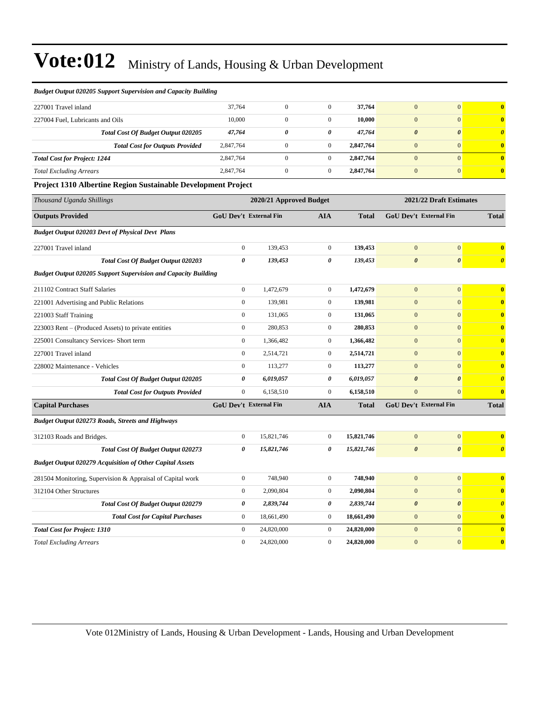| <b>Budget Output 020205 Support Supervision and Capacity Building</b> |                               |                         |                       |              |                               |                         |                         |
|-----------------------------------------------------------------------|-------------------------------|-------------------------|-----------------------|--------------|-------------------------------|-------------------------|-------------------------|
| 227001 Travel inland                                                  | 37,764                        | $\mathbf{0}$            | $\mathbf{0}$          | 37,764       | $\overline{0}$                | $\overline{0}$          | $\bf{0}$                |
| 227004 Fuel, Lubricants and Oils                                      | 10,000                        | $\boldsymbol{0}$        | $\boldsymbol{0}$      | 10,000       | $\mathbf{0}$                  | $\mathbf{0}$            | $\bf{0}$                |
| Total Cost Of Budget Output 020205                                    | 47,764                        | 0                       | 0                     | 47,764       | $\boldsymbol{\theta}$         | $\boldsymbol{\theta}$   | $\boldsymbol{\theta}$   |
| <b>Total Cost for Outputs Provided</b>                                | 2,847,764                     | $\boldsymbol{0}$        | $\boldsymbol{0}$      | 2,847,764    | $\boldsymbol{0}$              | $\mathbf{0}$            | $\mathbf{0}$            |
| <b>Total Cost for Project: 1244</b>                                   | 2,847,764                     | $\boldsymbol{0}$        | $\boldsymbol{0}$      | 2,847,764    | $\mathbf{0}$                  | $\mathbf{0}$            | $\bf{0}$                |
| <b>Total Excluding Arrears</b>                                        | 2,847,764                     | $\boldsymbol{0}$        | $\boldsymbol{0}$      | 2,847,764    | $\boldsymbol{0}$              | $\mathbf{0}$            | $\bf{0}$                |
| Project 1310 Albertine Region Sustainable Development Project         |                               |                         |                       |              |                               |                         |                         |
| Thousand Uganda Shillings                                             |                               | 2020/21 Approved Budget |                       |              |                               | 2021/22 Draft Estimates |                         |
| <b>Outputs Provided</b>                                               | GoU Dev't External Fin        |                         | <b>AIA</b>            | <b>Total</b> | GoU Dev't External Fin        |                         | <b>Total</b>            |
| <b>Budget Output 020203 Devt of Physical Devt Plans</b>               |                               |                         |                       |              |                               |                         |                         |
| 227001 Travel inland                                                  | $\boldsymbol{0}$              | 139,453                 | $\boldsymbol{0}$      | 139,453      | $\Omega$                      | $\mathbf{0}$            | $\bf{0}$                |
| Total Cost Of Budget Output 020203                                    | 0                             | 139,453                 | 0                     | 139,453      | $\pmb{\theta}$                | $\pmb{\theta}$          | $\boldsymbol{\theta}$   |
| Budget Output 020205 Support Supervision and Capacity Building        |                               |                         |                       |              |                               |                         |                         |
| 211102 Contract Staff Salaries                                        | $\overline{0}$                | 1,472,679               | $\boldsymbol{0}$      | 1,472,679    | $\mathbf{0}$                  | $\mathbf{0}$            | $\overline{\mathbf{0}}$ |
| 221001 Advertising and Public Relations                               | $\boldsymbol{0}$              | 139,981                 | $\boldsymbol{0}$      | 139,981      | $\mathbf{0}$                  | $\mathbf{0}$            | $\overline{\mathbf{0}}$ |
| 221003 Staff Training                                                 | $\overline{0}$                | 131,065                 | $\boldsymbol{0}$      | 131,065      | $\overline{0}$                | $\overline{0}$          | $\overline{\mathbf{0}}$ |
| 223003 Rent – (Produced Assets) to private entities                   | $\overline{0}$                | 280,853                 | $\mathbf{0}$          | 280,853      | $\overline{0}$                | $\Omega$                | $\mathbf{0}$            |
| 225001 Consultancy Services- Short term                               | $\boldsymbol{0}$              | 1,366,482               | $\boldsymbol{0}$      | 1,366,482    | $\mathbf{0}$                  | $\mathbf{0}$            | $\bf{0}$                |
| 227001 Travel inland                                                  | $\boldsymbol{0}$              | 2,514,721               | $\boldsymbol{0}$      | 2,514,721    | $\mathbf{0}$                  | $\mathbf{0}$            | $\bf{0}$                |
| 228002 Maintenance - Vehicles                                         | $\boldsymbol{0}$              | 113,277                 | $\boldsymbol{0}$      | 113,277      | $\mathbf{0}$                  | $\mathbf{0}$            | $\bf{0}$                |
| Total Cost Of Budget Output 020205                                    | 0                             | 6,019,057               | $\pmb{\theta}$        | 6,019,057    | $\boldsymbol{\theta}$         | $\boldsymbol{\theta}$   | $\boldsymbol{\theta}$   |
| <b>Total Cost for Outputs Provided</b>                                | $\mathbf{0}$                  | 6,158,510               | $\boldsymbol{0}$      | 6,158,510    | $\overline{0}$                | $\mathbf{0}$            | $\bf{0}$                |
| <b>Capital Purchases</b>                                              | <b>GoU Dev't External Fin</b> |                         | <b>AIA</b>            | <b>Total</b> | <b>GoU Dev't External Fin</b> |                         | <b>Total</b>            |
| <b>Budget Output 020273 Roads, Streets and Highways</b>               |                               |                         |                       |              |                               |                         |                         |
| 312103 Roads and Bridges.                                             | $\mathbf{0}$                  | 15,821,746              | $\boldsymbol{0}$      | 15,821,746   | $\mathbf{0}$                  | $\mathbf{0}$            | $\bf{0}$                |
| Total Cost Of Budget Output 020273                                    | 0                             | 15,821,746              | $\boldsymbol{\theta}$ | 15,821,746   | $\boldsymbol{\theta}$         | $\boldsymbol{\theta}$   | $\boldsymbol{\theta}$   |
| <b>Budget Output 020279 Acquisition of Other Capital Assets</b>       |                               |                         |                       |              |                               |                         |                         |
| 281504 Monitoring, Supervision & Appraisal of Capital work            | $\boldsymbol{0}$              | 748,940                 | $\mathbf{0}$          | 748,940      | $\overline{0}$                | $\overline{0}$          | $\bf{0}$                |
| 312104 Other Structures                                               | $\overline{0}$                | 2,090,804               | $\mathbf{0}$          | 2,090,804    | $\overline{0}$                | $\mathbf{0}$            | $\mathbf{0}$            |
| Total Cost Of Budget Output 020279                                    | 0                             | 2,839,744               | $\boldsymbol{\theta}$ | 2,839,744    | $\boldsymbol{\theta}$         | $\boldsymbol{\theta}$   | $\boldsymbol{\theta}$   |
| <b>Total Cost for Capital Purchases</b>                               | $\boldsymbol{0}$              | 18,661,490              | $\boldsymbol{0}$      | 18,661,490   | $\boldsymbol{0}$              | $\boldsymbol{0}$        | $\bf{0}$                |
| <b>Total Cost for Project: 1310</b>                                   | $\boldsymbol{0}$              | 24,820,000              | $\boldsymbol{0}$      | 24,820,000   | $\mathbf{0}$                  | $\mathbf{0}$            | $\overline{0}$          |
| <b>Total Excluding Arrears</b>                                        | $\overline{0}$                | 24,820,000              | $\mathbf{0}$          | 24,820,000   | $\mathbf{0}$                  | $\mathbf{0}$            | $\mathbf{0}$            |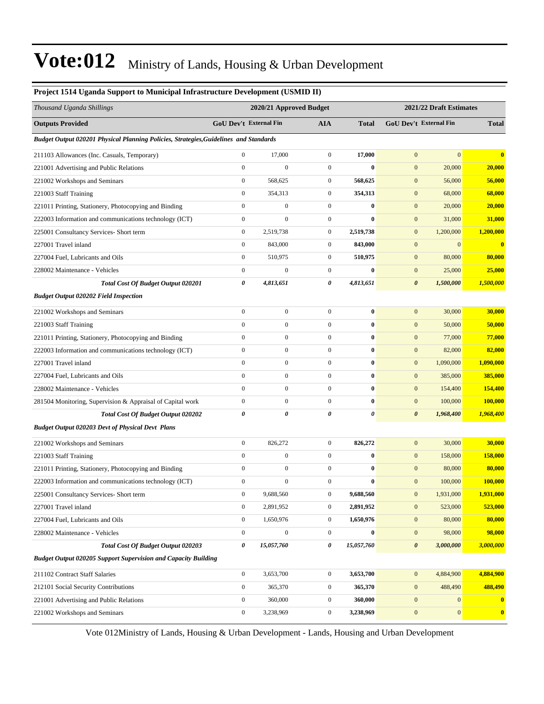| r roject 1514 Uganua Support to Municipal Initastructure Development (USMID II)       |                       |                               |                  |                  |                       |                               |                         |  |  |
|---------------------------------------------------------------------------------------|-----------------------|-------------------------------|------------------|------------------|-----------------------|-------------------------------|-------------------------|--|--|
| Thousand Uganda Shillings                                                             |                       | 2020/21 Approved Budget       |                  |                  |                       | 2021/22 Draft Estimates       |                         |  |  |
| <b>Outputs Provided</b>                                                               |                       | <b>GoU Dev't External Fin</b> | <b>AIA</b>       | <b>Total</b>     |                       | <b>GoU Dev't External Fin</b> | <b>Total</b>            |  |  |
| Budget Output 020201 Physical Planning Policies, Strategies, Guidelines and Standards |                       |                               |                  |                  |                       |                               |                         |  |  |
| 211103 Allowances (Inc. Casuals, Temporary)                                           | $\boldsymbol{0}$      | 17,000                        | $\boldsymbol{0}$ | 17,000           | $\mathbf{0}$          | $\boldsymbol{0}$              | $\bf{0}$                |  |  |
| 221001 Advertising and Public Relations                                               | $\boldsymbol{0}$      | $\boldsymbol{0}$              | $\boldsymbol{0}$ | $\bf{0}$         | $\boldsymbol{0}$      | 20,000                        | 20,000                  |  |  |
| 221002 Workshops and Seminars                                                         | $\mathbf{0}$          | 568,625                       | $\boldsymbol{0}$ | 568,625          | $\boldsymbol{0}$      | 56,000                        | 56,000                  |  |  |
| 221003 Staff Training                                                                 | $\mathbf{0}$          | 354,313                       | $\boldsymbol{0}$ | 354,313          | $\boldsymbol{0}$      | 68,000                        | 68,000                  |  |  |
| 221011 Printing, Stationery, Photocopying and Binding                                 | $\mathbf{0}$          | $\boldsymbol{0}$              | $\boldsymbol{0}$ | $\bf{0}$         | $\boldsymbol{0}$      | 20,000                        | 20,000                  |  |  |
| 222003 Information and communications technology (ICT)                                | $\boldsymbol{0}$      | $\boldsymbol{0}$              | $\boldsymbol{0}$ | $\bf{0}$         | $\boldsymbol{0}$      | 31,000                        | 31,000                  |  |  |
| 225001 Consultancy Services- Short term                                               | $\boldsymbol{0}$      | 2,519,738                     | $\boldsymbol{0}$ | 2,519,738        | $\boldsymbol{0}$      | 1,200,000                     | 1,200,000               |  |  |
| 227001 Travel inland                                                                  | $\mathbf{0}$          | 843,000                       | $\boldsymbol{0}$ | 843,000          | $\mathbf{0}$          | $\mathbf{0}$                  | $\overline{\mathbf{0}}$ |  |  |
| 227004 Fuel, Lubricants and Oils                                                      | $\mathbf{0}$          | 510,975                       | $\boldsymbol{0}$ | 510,975          | $\boldsymbol{0}$      | 80,000                        | 80,000                  |  |  |
| 228002 Maintenance - Vehicles                                                         | $\mathbf{0}$          | $\boldsymbol{0}$              | $\boldsymbol{0}$ | $\bf{0}$         | $\boldsymbol{0}$      | 25,000                        | 25,000                  |  |  |
| Total Cost Of Budget Output 020201                                                    | 0                     | 4,813,651                     | 0                | 4,813,651        | $\boldsymbol{\theta}$ | 1,500,000                     | 1,500,000               |  |  |
| <b>Budget Output 020202 Field Inspection</b>                                          |                       |                               |                  |                  |                       |                               |                         |  |  |
| 221002 Workshops and Seminars                                                         | $\mathbf{0}$          | $\boldsymbol{0}$              | $\boldsymbol{0}$ | $\bf{0}$         | $\boldsymbol{0}$      | 30,000                        | 30,000                  |  |  |
| 221003 Staff Training                                                                 | $\mathbf{0}$          | $\boldsymbol{0}$              | $\boldsymbol{0}$ | $\bf{0}$         | $\boldsymbol{0}$      | 50,000                        | 50,000                  |  |  |
| 221011 Printing, Stationery, Photocopying and Binding                                 | $\boldsymbol{0}$      | $\boldsymbol{0}$              | $\boldsymbol{0}$ | $\boldsymbol{0}$ | $\boldsymbol{0}$      | 77,000                        | 77,000                  |  |  |
| 222003 Information and communications technology (ICT)                                | $\mathbf{0}$          | $\boldsymbol{0}$              | $\boldsymbol{0}$ | $\bf{0}$         | $\boldsymbol{0}$      | 82,000                        | 82,000                  |  |  |
| 227001 Travel inland                                                                  | $\boldsymbol{0}$      | $\boldsymbol{0}$              | $\boldsymbol{0}$ | $\bf{0}$         | $\mathbf{0}$          | 1,090,000                     | 1,090,000               |  |  |
| 227004 Fuel, Lubricants and Oils                                                      | $\mathbf{0}$          | $\overline{0}$                | $\boldsymbol{0}$ | $\bf{0}$         | $\boldsymbol{0}$      | 385,000                       | 385,000                 |  |  |
| 228002 Maintenance - Vehicles                                                         | $\mathbf{0}$          | $\boldsymbol{0}$              | $\overline{0}$   | $\bf{0}$         | $\boldsymbol{0}$      | 154,400                       | 154,400                 |  |  |
| 281504 Monitoring, Supervision & Appraisal of Capital work                            | $\boldsymbol{0}$      | $\boldsymbol{0}$              | $\boldsymbol{0}$ | $\bf{0}$         | $\boldsymbol{0}$      | 100,000                       | 100,000                 |  |  |
| Total Cost Of Budget Output 020202                                                    | $\boldsymbol{\theta}$ | $\theta$                      | 0                | 0                | $\boldsymbol{\theta}$ | 1,968,400                     | 1,968,400               |  |  |
| <b>Budget Output 020203 Devt of Physical Devt Plans</b>                               |                       |                               |                  |                  |                       |                               |                         |  |  |
| 221002 Workshops and Seminars                                                         | $\mathbf{0}$          | 826,272                       | $\boldsymbol{0}$ | 826,272          | $\boldsymbol{0}$      | 30,000                        | 30,000                  |  |  |
| 221003 Staff Training                                                                 | $\boldsymbol{0}$      | $\boldsymbol{0}$              | $\overline{0}$   | $\bf{0}$         | $\mathbf{0}$          | 158,000                       | 158,000                 |  |  |
| 221011 Printing, Stationery, Photocopying and Binding                                 | $\mathbf{0}$          | $\boldsymbol{0}$              | $\boldsymbol{0}$ | $\bf{0}$         | $\mathbf{0}$          | 80,000                        | 80,000                  |  |  |
| 222003 Information and communications technology (ICT)                                | $\boldsymbol{0}$      | $\boldsymbol{0}$              | $\boldsymbol{0}$ | $\bf{0}$         | $\mathbf{0}$          | 100,000                       | 100,000                 |  |  |
| 225001 Consultancy Services- Short term                                               | $\boldsymbol{0}$      | 9,688,560                     | $\boldsymbol{0}$ | 9,688,560        | $\boldsymbol{0}$      | 1,931,000                     | 1,931,000               |  |  |
| 227001 Travel inland                                                                  | $\mathbf{0}$          | 2,891,952                     | $\boldsymbol{0}$ | 2,891,952        | $\mathbf{0}$          | 523,000                       | 523,000                 |  |  |
| 227004 Fuel, Lubricants and Oils                                                      | $\mathbf{0}$          | 1,650,976                     | $\boldsymbol{0}$ | 1,650,976        | $\boldsymbol{0}$      | 80,000                        | 80,000                  |  |  |
| 228002 Maintenance - Vehicles                                                         | $\mathbf{0}$          | $\boldsymbol{0}$              | $\boldsymbol{0}$ | $\bf{0}$         | $\boldsymbol{0}$      | 98,000                        | 98,000                  |  |  |
| Total Cost Of Budget Output 020203                                                    | $\boldsymbol{\theta}$ | 15,057,760                    | 0                | 15,057,760       | $\boldsymbol{\theta}$ | 3,000,000                     | 3,000,000               |  |  |
| <b>Budget Output 020205 Support Supervision and Capacity Building</b>                 |                       |                               |                  |                  |                       |                               |                         |  |  |
| 211102 Contract Staff Salaries                                                        | $\mathbf{0}$          | 3,653,700                     | $\boldsymbol{0}$ | 3,653,700        | $\boldsymbol{0}$      | 4,884,900                     | 4,884,900               |  |  |
| 212101 Social Security Contributions                                                  | $\mathbf{0}$          | 365,370                       | $\boldsymbol{0}$ | 365,370          | $\mathbf{0}$          | 488,490                       | 488,490                 |  |  |
| 221001 Advertising and Public Relations                                               | $\mathbf{0}$          | 360,000                       | $\boldsymbol{0}$ | 360,000          | $\mathbf{0}$          | $\mathbf{0}$                  | $\mathbf{0}$            |  |  |
| 221002 Workshops and Seminars                                                         | $\boldsymbol{0}$      | 3,238,969                     | $\boldsymbol{0}$ | 3,238,969        | $\boldsymbol{0}$      | $\mathbf{0}$                  | $\bf{0}$                |  |  |

**Project 1514 Uganda Support to Municipal Infrastructure Development (USMID II)**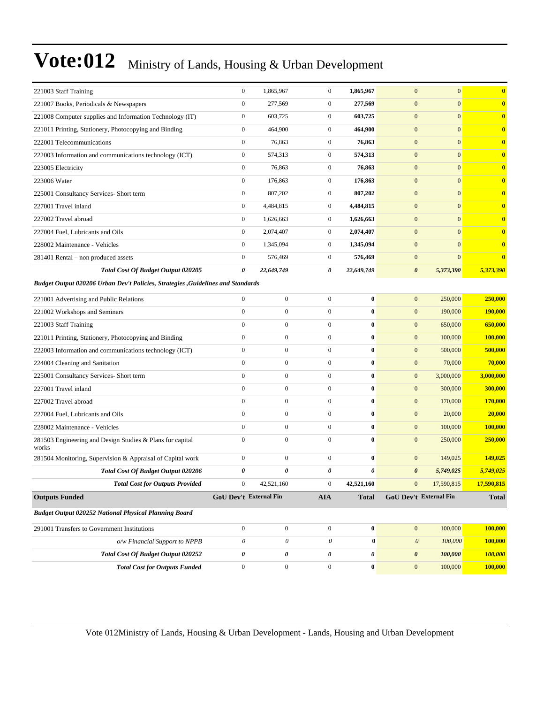| 221003 Staff Training                                                            | $\mathbf{0}$           | 1,865,967        | $\boldsymbol{0}$      | 1,865,967        | $\mathbf{0}$          | $\mathbf{0}$                  | $\mathbf{0}$      |
|----------------------------------------------------------------------------------|------------------------|------------------|-----------------------|------------------|-----------------------|-------------------------------|-------------------|
| 221007 Books, Periodicals & Newspapers                                           | $\boldsymbol{0}$       | 277,569          | $\boldsymbol{0}$      | 277,569          | $\mathbf{0}$          | $\mathbf{0}$                  | $\bf{0}$          |
| 221008 Computer supplies and Information Technology (IT)                         | $\boldsymbol{0}$       | 603,725          | $\boldsymbol{0}$      | 603,725          | $\boldsymbol{0}$      | $\mathbf{0}$                  | $\mathbf{0}$      |
| 221011 Printing, Stationery, Photocopying and Binding                            | $\boldsymbol{0}$       | 464,900          | $\boldsymbol{0}$      | 464,900          | $\mathbf{0}$          | $\overline{0}$                | $\mathbf{0}$      |
| 222001 Telecommunications                                                        | $\mathbf{0}$           | 76,863           | $\boldsymbol{0}$      | 76,863           | $\mathbf{0}$          | $\mathbf{0}$                  | $\mathbf{0}$      |
| 222003 Information and communications technology (ICT)                           | $\boldsymbol{0}$       | 574,313          | $\boldsymbol{0}$      | 574,313          | $\mathbf{0}$          | $\mathbf{0}$                  | $\mathbf{0}$      |
| 223005 Electricity                                                               | $\boldsymbol{0}$       | 76,863           | $\boldsymbol{0}$      | 76,863           | $\boldsymbol{0}$      | $\mathbf{0}$                  | $\bf{0}$          |
| 223006 Water                                                                     | $\mathbf{0}$           | 176,863          | $\boldsymbol{0}$      | 176,863          | $\boldsymbol{0}$      | $\mathbf{0}$                  | $\mathbf{0}$      |
| 225001 Consultancy Services- Short term                                          | $\boldsymbol{0}$       | 807,202          | $\boldsymbol{0}$      | 807,202          | $\mathbf{0}$          | $\overline{0}$                | $\mathbf{0}$      |
| 227001 Travel inland                                                             | $\boldsymbol{0}$       | 4,484,815        | $\boldsymbol{0}$      | 4,484,815        | $\mathbf{0}$          | $\mathbf{0}$                  | $\mathbf{0}$      |
| 227002 Travel abroad                                                             | $\boldsymbol{0}$       | 1,626,663        | $\boldsymbol{0}$      | 1,626,663        | $\mathbf{0}$          | $\mathbf{0}$                  | $\mathbf{0}$      |
| 227004 Fuel, Lubricants and Oils                                                 | $\boldsymbol{0}$       | 2,074,407        | $\boldsymbol{0}$      | 2,074,407        | $\boldsymbol{0}$      | $\mathbf{0}$                  | $\bf{0}$          |
| 228002 Maintenance - Vehicles                                                    | $\mathbf{0}$           | 1,345,094        | $\boldsymbol{0}$      | 1,345,094        | $\mathbf{0}$          | $\mathbf{0}$                  | $\mathbf{0}$      |
| 281401 Rental – non produced assets                                              | $\boldsymbol{0}$       | 576,469          | $\boldsymbol{0}$      | 576,469          | $\mathbf{0}$          | $\mathbf{0}$                  | $\mathbf{0}$      |
| Total Cost Of Budget Output 020205                                               | 0                      | 22,649,749       | 0                     | 22,649,749       | $\pmb{\theta}$        | 5,373,390                     | 5,373,390         |
| Budget Output 020206 Urban Dev't Policies, Strategies , Guidelines and Standards |                        |                  |                       |                  |                       |                               |                   |
| 221001 Advertising and Public Relations                                          | $\boldsymbol{0}$       | $\boldsymbol{0}$ | $\boldsymbol{0}$      | $\bf{0}$         | $\boldsymbol{0}$      | 250,000                       | 250,000           |
| 221002 Workshops and Seminars                                                    | $\mathbf{0}$           | $\boldsymbol{0}$ | $\overline{0}$        | $\bf{0}$         | $\boldsymbol{0}$      | 190,000                       | 190,000           |
| 221003 Staff Training                                                            | $\mathbf{0}$           | $\boldsymbol{0}$ | $\mathbf{0}$          | $\bf{0}$         | $\mathbf{0}$          | 650,000                       | 650,000           |
| 221011 Printing, Stationery, Photocopying and Binding                            | $\mathbf{0}$           | $\boldsymbol{0}$ | $\boldsymbol{0}$      | $\bf{0}$         | $\boldsymbol{0}$      | 100,000                       | 100,000           |
| 222003 Information and communications technology (ICT)                           | $\boldsymbol{0}$       | $\boldsymbol{0}$ | $\overline{0}$        | $\boldsymbol{0}$ | $\boldsymbol{0}$      | 500,000                       | 500,000           |
| 224004 Cleaning and Sanitation                                                   | $\boldsymbol{0}$       | $\boldsymbol{0}$ | $\boldsymbol{0}$      | $\bf{0}$         | $\boldsymbol{0}$      | 70,000                        | 70,000            |
| 225001 Consultancy Services- Short term                                          | $\mathbf{0}$           | $\boldsymbol{0}$ | $\overline{0}$        | $\bf{0}$         | $\boldsymbol{0}$      | 3,000,000                     | 3,000,000         |
| 227001 Travel inland                                                             | $\mathbf{0}$           | $\boldsymbol{0}$ | $\mathbf{0}$          | $\bf{0}$         | $\mathbf{0}$          | 300,000                       | 300,000           |
| 227002 Travel abroad                                                             | $\mathbf{0}$           | $\boldsymbol{0}$ | $\boldsymbol{0}$      | $\bf{0}$         | $\boldsymbol{0}$      | 170,000                       | 170,000           |
| 227004 Fuel, Lubricants and Oils                                                 | $\mathbf{0}$           | $\boldsymbol{0}$ | $\overline{0}$        | $\bf{0}$         | $\boldsymbol{0}$      | 20,000                        | 20,000            |
| 228002 Maintenance - Vehicles                                                    | $\boldsymbol{0}$       | $\boldsymbol{0}$ | $\boldsymbol{0}$      | $\bf{0}$         | $\boldsymbol{0}$      | 100,000                       | 100,000           |
| 281503 Engineering and Design Studies & Plans for capital<br>works               | $\mathbf{0}$           | $\boldsymbol{0}$ | $\overline{0}$        | $\bf{0}$         | $\mathbf{0}$          | 250,000                       | 250,000           |
| 281504 Monitoring, Supervision & Appraisal of Capital work                       | $\boldsymbol{0}$       | $\boldsymbol{0}$ | $\boldsymbol{0}$      | $\bf{0}$         | $\mathbf{0}$          | 149,025                       | 149,025           |
| Total Cost Of Budget Output 020206                                               | 0                      | 0                | 0                     | 0                | $\boldsymbol{\theta}$ | 5,749,025                     | 5,749,025         |
| <b>Total Cost for Outputs Provided</b>                                           | $\bf{0}$               | 42,521,160       | $\bf{0}$              | 42,521,160       | $\boldsymbol{0}$      | 17,590,815                    | <u>17,590,815</u> |
| <b>Outputs Funded</b>                                                            | GoU Dev't External Fin |                  | <b>AIA</b>            | <b>Total</b>     |                       | <b>GoU Dev't External Fin</b> | <b>Total</b>      |
| <b>Budget Output 020252 National Physical Planning Board</b>                     |                        |                  |                       |                  |                       |                               |                   |
| 291001 Transfers to Government Institutions                                      | $\mathbf{0}$           | $\boldsymbol{0}$ | $\boldsymbol{0}$      | $\bf{0}$         | $\mathbf{0}$          | 100,000                       | 100,000           |
| o/w Financial Support to NPPB                                                    | $\theta$               | $\mathcal O$     | $\boldsymbol{\theta}$ | $\bf{0}$         | $\boldsymbol{\theta}$ | 100,000                       | 100,000           |
| <b>Total Cost Of Budget Output 020252</b>                                        | 0                      | 0                | 0                     | 0                | $\pmb{\theta}$        | 100,000                       | 100,000           |
| <b>Total Cost for Outputs Funded</b>                                             | $\mathbf{0}$           | $\boldsymbol{0}$ | $\boldsymbol{0}$      | $\boldsymbol{0}$ | $\mathbf{0}$          | 100,000                       | 100,000           |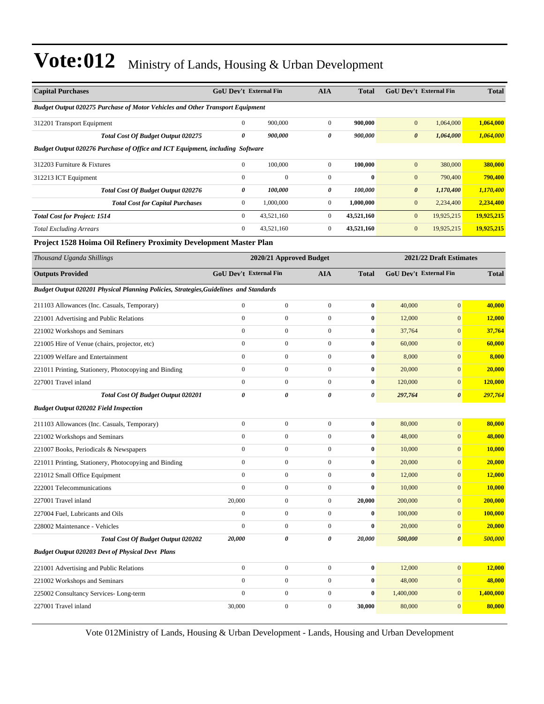| <b>Capital Purchases</b>                                                              | GoU Dev't External Fin        |                         | <b>AIA</b>            | <b>Total</b>          |                       | <b>GoU Dev't External Fin</b> | <b>Total</b>  |
|---------------------------------------------------------------------------------------|-------------------------------|-------------------------|-----------------------|-----------------------|-----------------------|-------------------------------|---------------|
| Budget Output 020275 Purchase of Motor Vehicles and Other Transport Equipment         |                               |                         |                       |                       |                       |                               |               |
| 312201 Transport Equipment                                                            | $\mathbf{0}$                  | 900,000                 | $\boldsymbol{0}$      | 900,000               | $\boldsymbol{0}$      | 1,064,000                     | 1,064,000     |
| Total Cost Of Budget Output 020275                                                    | $\pmb{\theta}$                | 900,000                 | 0                     | 900,000               | $\boldsymbol{\theta}$ | 1,064,000                     | 1,064,000     |
| Budget Output 020276 Purchase of Office and ICT Equipment, including Software         |                               |                         |                       |                       |                       |                               |               |
| 312203 Furniture & Fixtures                                                           | $\boldsymbol{0}$              | 100,000                 | $\boldsymbol{0}$      | 100,000               | $\boldsymbol{0}$      | 380,000                       | 380,000       |
| 312213 ICT Equipment                                                                  | $\boldsymbol{0}$              | $\boldsymbol{0}$        | $\boldsymbol{0}$      | $\bf{0}$              | $\mathbf{0}$          | 790,400                       | 790,400       |
| Total Cost Of Budget Output 020276                                                    | 0                             | 100,000                 | 0                     | 100,000               | $\pmb{\theta}$        | 1,170,400                     | 1,170,400     |
| <b>Total Cost for Capital Purchases</b>                                               | $\boldsymbol{0}$              | 1,000,000               | $\boldsymbol{0}$      | 1,000,000             | $\mathbf{0}$          | 2,234,400                     | 2,234,400     |
| <b>Total Cost for Project: 1514</b>                                                   | $\boldsymbol{0}$              | 43,521,160              | $\boldsymbol{0}$      | 43,521,160            | $\mathbf{0}$          | 19,925,215                    | 19,925,215    |
| <b>Total Excluding Arrears</b>                                                        | $\boldsymbol{0}$              | 43,521,160              | $\boldsymbol{0}$      | 43,521,160            | $\mathbf{0}$          | 19,925,215                    | 19,925,215    |
| Project 1528 Hoima Oil Refinery Proximity Development Master Plan                     |                               |                         |                       |                       |                       |                               |               |
| Thousand Uganda Shillings                                                             |                               | 2020/21 Approved Budget |                       |                       |                       | 2021/22 Draft Estimates       |               |
| <b>Outputs Provided</b>                                                               | <b>GoU Dev't External Fin</b> |                         | <b>AIA</b>            | <b>Total</b>          |                       | GoU Dev't External Fin        | <b>Total</b>  |
| Budget Output 020201 Physical Planning Policies, Strategies, Guidelines and Standards |                               |                         |                       |                       |                       |                               |               |
| 211103 Allowances (Inc. Casuals, Temporary)                                           | $\mathbf{0}$                  | $\boldsymbol{0}$        | $\boldsymbol{0}$      | $\bf{0}$              | 40,000                | $\overline{0}$                | 40,000        |
| 221001 Advertising and Public Relations                                               | $\boldsymbol{0}$              | $\boldsymbol{0}$        | $\boldsymbol{0}$      | $\bf{0}$              | 12,000                | $\boldsymbol{0}$              | 12,000        |
| 221002 Workshops and Seminars                                                         | $\mathbf{0}$                  | $\boldsymbol{0}$        | $\boldsymbol{0}$      | $\bf{0}$              | 37,764                | $\boldsymbol{0}$              | 37,764        |
| 221005 Hire of Venue (chairs, projector, etc)                                         | $\mathbf{0}$                  | $\boldsymbol{0}$        | $\boldsymbol{0}$      | $\bf{0}$              | 60,000                | $\overline{0}$                | 60,000        |
| 221009 Welfare and Entertainment                                                      | $\mathbf{0}$                  | $\boldsymbol{0}$        | $\boldsymbol{0}$      | $\bf{0}$              | 8,000                 | $\overline{0}$                | 8,000         |
| 221011 Printing, Stationery, Photocopying and Binding                                 | $\boldsymbol{0}$              | $\boldsymbol{0}$        | $\boldsymbol{0}$      | $\pmb{0}$             | 20,000                | $\boldsymbol{0}$              | 20,000        |
| 227001 Travel inland                                                                  | $\boldsymbol{0}$              | $\boldsymbol{0}$        | $\boldsymbol{0}$      | $\bf{0}$              | 120,000               | $\boldsymbol{0}$              | 120,000       |
| <b>Total Cost Of Budget Output 020201</b>                                             | $\theta$                      | $\theta$                | $\boldsymbol{\theta}$ | $\boldsymbol{\theta}$ | 297,764               | 0                             | 297,764       |
| <b>Budget Output 020202 Field Inspection</b>                                          |                               |                         |                       |                       |                       |                               |               |
| 211103 Allowances (Inc. Casuals, Temporary)                                           | $\boldsymbol{0}$              | $\boldsymbol{0}$        | $\boldsymbol{0}$      | $\bf{0}$              | 80,000                | $\boldsymbol{0}$              | 80,000        |
| 221002 Workshops and Seminars                                                         | $\boldsymbol{0}$              | $\boldsymbol{0}$        | $\boldsymbol{0}$      | $\bf{0}$              | 48,000                | $\overline{0}$                | 48,000        |
| 221007 Books, Periodicals & Newspapers                                                | $\boldsymbol{0}$              | $\boldsymbol{0}$        | $\boldsymbol{0}$      | $\bf{0}$              | 10,000                | $\boldsymbol{0}$              | <b>10,000</b> |
| 221011 Printing, Stationery, Photocopying and Binding                                 | $\boldsymbol{0}$              | $\boldsymbol{0}$        | $\boldsymbol{0}$      | $\bf{0}$              | 20,000                | $\boldsymbol{0}$              | 20,000        |
| 221012 Small Office Equipment                                                         | $\mathbf{0}$                  | $\boldsymbol{0}$        | $\mathbf{0}$          | $\bf{0}$              | 12,000                | $\overline{0}$                | <b>12,000</b> |
| 222001 Telecommunications                                                             | $\boldsymbol{0}$              | $\boldsymbol{0}$        | $\boldsymbol{0}$      | $\bf{0}$              | 10,000                | $\overline{0}$                | 10,000        |
| 227001 Travel inland                                                                  | 20,000                        | $\boldsymbol{0}$        | $\boldsymbol{0}$      | 20,000                | 200,000               | $\boldsymbol{0}$              | 200,000       |
| 227004 Fuel, Lubricants and Oils                                                      | $\boldsymbol{0}$              | $\boldsymbol{0}$        | $\boldsymbol{0}$      | $\bf{0}$              | 100,000               | $\mathbf{0}$                  | 100,000       |
| 228002 Maintenance - Vehicles                                                         | $\boldsymbol{0}$              | $\boldsymbol{0}$        | $\boldsymbol{0}$      | $\bf{0}$              | 20,000                | $\mathbf{0}$                  | 20,000        |
| <b>Total Cost Of Budget Output 020202</b>                                             | 20,000                        | 0                       | 0                     | 20,000                | 500,000               | $\boldsymbol{\theta}$         | 500,000       |
| <b>Budget Output 020203 Devt of Physical Devt Plans</b>                               |                               |                         |                       |                       |                       |                               |               |
| 221001 Advertising and Public Relations                                               | $\boldsymbol{0}$              | $\boldsymbol{0}$        | $\boldsymbol{0}$      | $\bf{0}$              | 12,000                | $\mathbf{0}$                  | 12,000        |
| 221002 Workshops and Seminars                                                         | $\boldsymbol{0}$              | $\boldsymbol{0}$        | $\boldsymbol{0}$      | $\bf{0}$              | 48,000                | $\overline{0}$                | 48,000        |
| 225002 Consultancy Services-Long-term                                                 | $\boldsymbol{0}$              | $\boldsymbol{0}$        | $\boldsymbol{0}$      | $\bf{0}$              | 1,400,000             | $\boldsymbol{0}$              | 1,400,000     |
| 227001 Travel inland                                                                  | 30,000                        | $\boldsymbol{0}$        | $\boldsymbol{0}$      | 30,000                | 80,000                | $\mathbf{0}$                  | 80,000        |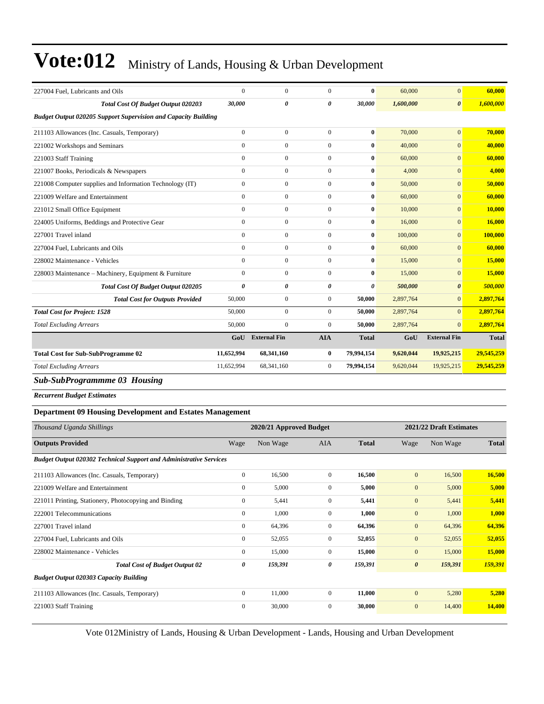| 227004 Fuel, Lubricants and Oils                                      | $\mathbf{0}$          | $\overline{0}$        | $\theta$         | $\bf{0}$              | 60,000    | $\overline{0}$        | 60,000       |
|-----------------------------------------------------------------------|-----------------------|-----------------------|------------------|-----------------------|-----------|-----------------------|--------------|
| <b>Total Cost Of Budget Output 020203</b>                             | 30,000                | $\boldsymbol{\theta}$ | 0                | 30,000                | 1,600,000 | $\boldsymbol{\theta}$ | 1,600,000    |
| <b>Budget Output 020205 Support Supervision and Capacity Building</b> |                       |                       |                  |                       |           |                       |              |
| 211103 Allowances (Inc. Casuals, Temporary)                           | $\mathbf{0}$          | $\overline{0}$        | $\overline{0}$   | $\bf{0}$              | 70,000    | $\overline{0}$        | 70,000       |
| 221002 Workshops and Seminars                                         | $\mathbf{0}$          | $\overline{0}$        | $\overline{0}$   | $\bf{0}$              | 40,000    | $\overline{0}$        | 40,000       |
| 221003 Staff Training                                                 | $\mathbf{0}$          | $\overline{0}$        | $\overline{0}$   | $\mathbf{0}$          | 60,000    | $\overline{0}$        | 60,000       |
| 221007 Books, Periodicals & Newspapers                                | $\mathbf{0}$          | $\overline{0}$        | $\overline{0}$   | $\bf{0}$              | 4,000     | $\overline{0}$        | 4,000        |
| 221008 Computer supplies and Information Technology (IT)              | $\overline{0}$        | $\mathbf{0}$          | $\overline{0}$   | $\bf{0}$              | 50,000    | $\overline{0}$        | 50,000       |
| 221009 Welfare and Entertainment                                      | $\mathbf{0}$          | $\overline{0}$        | $\overline{0}$   | $\bf{0}$              | 60,000    | $\overline{0}$        | 60,000       |
| 221012 Small Office Equipment                                         | $\mathbf{0}$          | $\overline{0}$        | $\overline{0}$   | $\bf{0}$              | 10,000    | $\overline{0}$        | 10,000       |
| 224005 Uniforms, Beddings and Protective Gear                         | $\mathbf{0}$          | $\overline{0}$        | $\overline{0}$   | $\bf{0}$              | 16,000    | $\overline{0}$        | 16,000       |
| 227001 Travel inland                                                  | $\mathbf{0}$          | $\overline{0}$        | $\overline{0}$   | $\bf{0}$              | 100,000   | $\overline{0}$        | 100,000      |
| 227004 Fuel, Lubricants and Oils                                      | $\Omega$              | $\overline{0}$        | $\Omega$         | $\bf{0}$              | 60,000    | $\Omega$              | 60,000       |
| 228002 Maintenance - Vehicles                                         | $\mathbf{0}$          | $\overline{0}$        | $\overline{0}$   | $\bf{0}$              | 15,000    | $\overline{0}$        | 15,000       |
| 228003 Maintenance - Machinery, Equipment & Furniture                 | $\mathbf{0}$          | $\overline{0}$        | $\overline{0}$   | $\bf{0}$              | 15,000    | $\overline{0}$        | 15,000       |
| <b>Total Cost Of Budget Output 020205</b>                             | $\boldsymbol{\theta}$ | 0                     | 0                | $\boldsymbol{\theta}$ | 500,000   | $\boldsymbol{\theta}$ | 500,000      |
| <b>Total Cost for Outputs Provided</b>                                | 50,000                | $\mathbf{0}$          | $\overline{0}$   | 50,000                | 2,897,764 | $\Omega$              | 2,897,764    |
| <b>Total Cost for Project: 1528</b>                                   | 50,000                | $\overline{0}$        | $\overline{0}$   | 50,000                | 2,897,764 | $\overline{0}$        | 2,897,764    |
| <b>Total Excluding Arrears</b>                                        | 50,000                | $\overline{0}$        | $\Omega$         | 50,000                | 2,897,764 | $\Omega$              | 2,897,764    |
|                                                                       | GoU                   | <b>External Fin</b>   | <b>AIA</b>       | <b>Total</b>          | GoU       | <b>External Fin</b>   | <b>Total</b> |
| <b>Total Cost for Sub-SubProgramme 02</b>                             | 11,652,994            | 68,341,160            | 0                | 79,994,154            | 9,620,044 | 19,925,215            | 29,545,259   |
| <b>Total Excluding Arrears</b>                                        | 11,652,994            | 68,341,160            | $\boldsymbol{0}$ | 79,994,154            | 9,620,044 | 19,925,215            | 29,545,259   |
| <b>Sub-SubProgrammme 03 Housing</b>                                   |                       |                       |                  |                       |           |                       |              |
| <b>Recurrent Budget Estimates</b>                                     |                       |                       |                  |                       |           |                       |              |

#### **Department 09 Housing Development and Estates Management**

| Thousand Uganda Shillings                                                 | 2020/21 Approved Budget |          |                |              | 2021/22 Draft Estimates |          |              |  |
|---------------------------------------------------------------------------|-------------------------|----------|----------------|--------------|-------------------------|----------|--------------|--|
| <b>Outputs Provided</b>                                                   | Wage                    | Non Wage | <b>AIA</b>     | <b>Total</b> | Wage                    | Non Wage | <b>Total</b> |  |
| <b>Budget Output 020302 Technical Support and Administrative Services</b> |                         |          |                |              |                         |          |              |  |
| 211103 Allowances (Inc. Casuals, Temporary)                               | $\mathbf{0}$            | 16,500   | $\overline{0}$ | 16,500       | $\mathbf{0}$            | 16,500   | 16,500       |  |
| 221009 Welfare and Entertainment                                          | $\mathbf{0}$            | 5,000    | $\mathbf{0}$   | 5,000        | $\mathbf{0}$            | 5,000    | 5,000        |  |
| 221011 Printing, Stationery, Photocopying and Binding                     | $\mathbf{0}$            | 5,441    | $\mathbf{0}$   | 5,441        | $\mathbf{0}$            | 5,441    | 5,441        |  |
| 222001 Telecommunications                                                 | $\mathbf{0}$            | 1,000    | $\overline{0}$ | 1,000        | $\mathbf{0}$            | 1,000    | 1,000        |  |
| 227001 Travel inland                                                      | $\mathbf{0}$            | 64,396   | $\Omega$       | 64,396       | $\mathbf{0}$            | 64,396   | 64,396       |  |
| 227004 Fuel, Lubricants and Oils                                          | $\mathbf{0}$            | 52,055   | $\overline{0}$ | 52,055       | $\mathbf{0}$            | 52,055   | 52,055       |  |
| 228002 Maintenance - Vehicles                                             | $\mathbf{0}$            | 15,000   | $\overline{0}$ | 15,000       | $\mathbf{0}$            | 15,000   | 15,000       |  |
| <b>Total Cost of Budget Output 02</b>                                     | 0                       | 159,391  | 0              | 159,391      | $\boldsymbol{\theta}$   | 159,391  | 159,391      |  |
| <b>Budget Output 020303 Capacity Building</b>                             |                         |          |                |              |                         |          |              |  |
| 211103 Allowances (Inc. Casuals, Temporary)                               | $\mathbf{0}$            | 11,000   | $\mathbf{0}$   | 11,000       | $\mathbf{0}$            | 5,280    | 5,280        |  |
| 221003 Staff Training                                                     | $\mathbf{0}$            | 30,000   | $\Omega$       | 30,000       | $\mathbf{0}$            | 14,400   | 14,400       |  |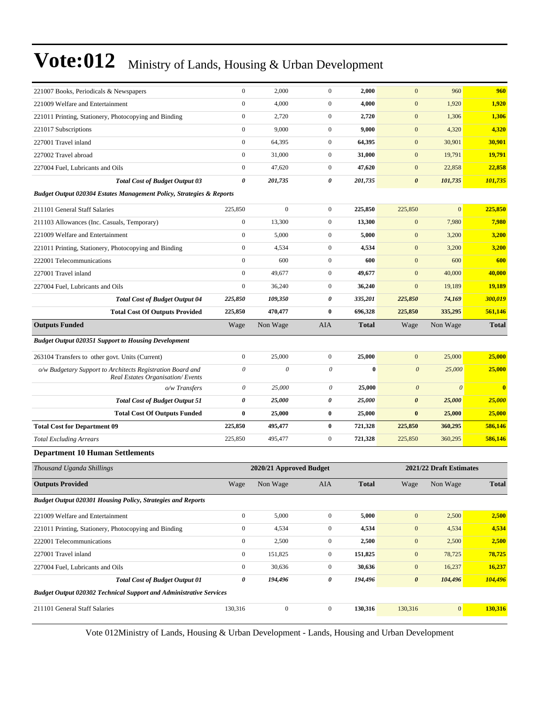| 221007 Books, Periodicals & Newspapers                                                         | $\mathbf{0}$              | 2,000                   | $\mathbf{0}$          | 2,000        | $\mathbf{0}$          | 960                     | 960          |
|------------------------------------------------------------------------------------------------|---------------------------|-------------------------|-----------------------|--------------|-----------------------|-------------------------|--------------|
| 221009 Welfare and Entertainment                                                               | $\boldsymbol{0}$          | 4,000                   | $\mathbf{0}$          | 4,000        | $\boldsymbol{0}$      | 1,920                   | 1,920        |
| 221011 Printing, Stationery, Photocopying and Binding                                          | $\overline{0}$            | 2,720                   | $\boldsymbol{0}$      | 2,720        | $\boldsymbol{0}$      | 1,306                   | 1,306        |
| 221017 Subscriptions                                                                           | $\boldsymbol{0}$          | 9,000                   | $\boldsymbol{0}$      | 9,000        | $\boldsymbol{0}$      | 4,320                   | 4,320        |
| 227001 Travel inland                                                                           | $\boldsymbol{0}$          | 64,395                  | $\boldsymbol{0}$      | 64,395       | $\boldsymbol{0}$      | 30,901                  | 30,901       |
| 227002 Travel abroad                                                                           | $\boldsymbol{0}$          | 31,000                  | $\boldsymbol{0}$      | 31,000       | $\mathbf{0}$          | 19,791                  | 19,791       |
| 227004 Fuel, Lubricants and Oils                                                               | $\boldsymbol{0}$          | 47,620                  | $\boldsymbol{0}$      | 47,620       | $\boldsymbol{0}$      | 22,858                  | 22,858       |
| <b>Total Cost of Budget Output 03</b>                                                          | 0                         | 201,735                 | 0                     | 201,735      | $\boldsymbol{\theta}$ | 101,735                 | 101,735      |
| Budget Output 020304 Estates Management Policy, Strategies & Reports                           |                           |                         |                       |              |                       |                         |              |
| 211101 General Staff Salaries                                                                  | 225,850                   | $\mathbf{0}$            | $\boldsymbol{0}$      | 225,850      | 225,850               | $\overline{0}$          | 225,850      |
| 211103 Allowances (Inc. Casuals, Temporary)                                                    | $\boldsymbol{0}$          | 13,300                  | $\boldsymbol{0}$      | 13,300       | $\boldsymbol{0}$      | 7,980                   | 7,980        |
| 221009 Welfare and Entertainment                                                               | $\boldsymbol{0}$          | 5,000                   | $\boldsymbol{0}$      | 5,000        | $\boldsymbol{0}$      | 3,200                   | 3,200        |
| 221011 Printing, Stationery, Photocopying and Binding                                          | $\boldsymbol{0}$          | 4,534                   | $\boldsymbol{0}$      | 4,534        | $\boldsymbol{0}$      | 3,200                   | 3,200        |
| 222001 Telecommunications                                                                      | $\overline{0}$            | 600                     | $\boldsymbol{0}$      | 600          | $\mathbf{0}$          | 600                     | 600          |
| 227001 Travel inland                                                                           | $\overline{0}$            | 49,677                  | $\boldsymbol{0}$      | 49,677       | $\mathbf{0}$          | 40,000                  | 40,000       |
| 227004 Fuel, Lubricants and Oils                                                               | $\boldsymbol{0}$          | 36,240                  | $\boldsymbol{0}$      | 36,240       | $\boldsymbol{0}$      | 19,189                  | 19,189       |
| <b>Total Cost of Budget Output 04</b>                                                          | 225,850                   | 109,350                 | 0                     | 335,201      | 225,850               | 74,169                  | 300,019      |
| <b>Total Cost Of Outputs Provided</b>                                                          | 225,850                   | 470,477                 | $\bf{0}$              | 696,328      | 225,850               | 335,295                 | 561,146      |
| <b>Outputs Funded</b>                                                                          | Wage                      | Non Wage                | AIA                   | <b>Total</b> | Wage                  | Non Wage                | <b>Total</b> |
| <b>Budget Output 020351 Support to Housing Development</b>                                     |                           |                         |                       |              |                       |                         |              |
| 263104 Transfers to other govt. Units (Current)                                                | $\overline{0}$            | 25,000                  | $\boldsymbol{0}$      | 25,000       | $\mathbf{0}$          | 25,000                  | 25,000       |
| o/w Budgetary Support to Architects Registration Board and<br>Real Estates Organisation/Events | $\boldsymbol{\mathit{0}}$ | $\theta$                | $\boldsymbol{\theta}$ | $\bf{0}$     | $\boldsymbol{\theta}$ | 25,000                  | 25,000       |
| o/w Transfers                                                                                  | $\boldsymbol{\mathit{0}}$ | 25,000                  | $\theta$              | 25,000       | $\boldsymbol{\theta}$ | $\theta$                | $\bf{0}$     |
| <b>Total Cost of Budget Output 51</b>                                                          | 0                         | 25,000                  | 0                     | 25,000       | $\boldsymbol{\theta}$ | 25,000                  | 25,000       |
| <b>Total Cost Of Outputs Funded</b>                                                            | $\bf{0}$                  | 25,000                  | $\bf{0}$              | 25,000       | $\bf{0}$              | 25,000                  | 25,000       |
| <b>Total Cost for Department 09</b>                                                            | 225,850                   | 495,477                 | $\bf{0}$              | 721,328      | 225,850               | 360,295                 | 586,146      |
| <b>Total Excluding Arrears</b>                                                                 | 225,850                   | 495,477                 | $\boldsymbol{0}$      | 721,328      | 225,850               | 360,295                 | 586,146      |
| <b>Department 10 Human Settlements</b>                                                         |                           |                         |                       |              |                       |                         |              |
| Thousand Uganda Shillings                                                                      |                           | 2020/21 Approved Budget |                       |              |                       | 2021/22 Draft Estimates |              |
| <b>Outputs Provided</b>                                                                        | Wage                      | Non Wage                | AIA                   | <b>Total</b> | Wage                  | Non Wage                | <b>Total</b> |
| <b>Budget Output 020301 Housing Policy, Strategies and Reports</b>                             |                           |                         |                       |              |                       |                         |              |
| 221009 Welfare and Entertainment                                                               | $\boldsymbol{0}$          | 5,000                   | $\boldsymbol{0}$      | 5,000        | $\mathbf{0}$          | 2,500                   | 2,500        |
| 221011 Printing, Stationery, Photocopying and Binding                                          | $\boldsymbol{0}$          | 4,534                   | $\boldsymbol{0}$      | 4,534        | $\boldsymbol{0}$      | 4,534                   | 4,534        |
| 222001 Telecommunications                                                                      | $\boldsymbol{0}$          | 2,500                   | $\boldsymbol{0}$      | 2,500        | $\boldsymbol{0}$      | 2,500                   | 2,500        |
| 227001 Travel inland                                                                           | $\boldsymbol{0}$          | 151,825                 | $\boldsymbol{0}$      | 151,825      | $\boldsymbol{0}$      | 78,725                  | 78,725       |
| 227004 Fuel, Lubricants and Oils                                                               | $\boldsymbol{0}$          | 30,636                  | $\boldsymbol{0}$      | 30,636       | $\bf{0}$              | 16,237                  | 16,237       |
| <b>Total Cost of Budget Output 01</b>                                                          | 0                         | 194,496                 | 0                     | 194,496      | $\pmb{\theta}$        | 104,496                 | 104,496      |
| <b>Budget Output 020302 Technical Support and Administrative Services</b>                      |                           |                         |                       |              |                       |                         |              |
|                                                                                                |                           |                         |                       |              |                       |                         |              |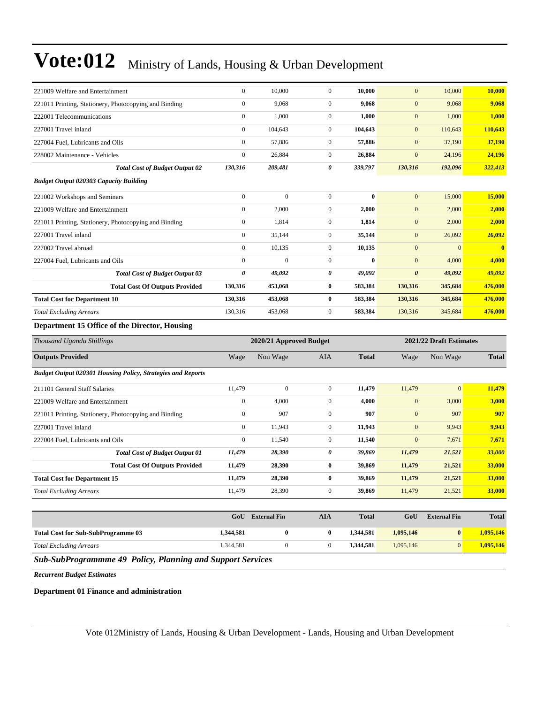| 221009 Welfare and Entertainment                                   | $\mathbf{0}$                                       | 10,000              | $\mathbf{0}$     | 10,000       | $\mathbf{0}$          | 10,000              | 10,000       |
|--------------------------------------------------------------------|----------------------------------------------------|---------------------|------------------|--------------|-----------------------|---------------------|--------------|
| 221011 Printing, Stationery, Photocopying and Binding              | $\boldsymbol{0}$                                   | 9,068               | $\mathbf{0}$     | 9,068        | $\mathbf{0}$          | 9,068               | 9,068        |
| 222001 Telecommunications                                          | $\boldsymbol{0}$                                   | 1,000               | $\mathbf{0}$     | 1,000        | $\mathbf{0}$          | 1,000               | 1,000        |
| 227001 Travel inland                                               | $\boldsymbol{0}$                                   | 104,643             | $\mathbf{0}$     | 104,643      | $\mathbf{0}$          | 110,643             | 110,643      |
| 227004 Fuel, Lubricants and Oils                                   | $\boldsymbol{0}$                                   | 57,886              | $\boldsymbol{0}$ | 57,886       | $\boldsymbol{0}$      | 37,190              | 37,190       |
| 228002 Maintenance - Vehicles                                      | $\boldsymbol{0}$                                   | 26,884              | $\mathbf{0}$     | 26,884       | $\mathbf{0}$          | 24,196              | 24,196       |
| <b>Total Cost of Budget Output 02</b>                              | 130,316                                            | 209,481             | 0                | 339,797      | 130,316               | 192,096             | 322,413      |
| <b>Budget Output 020303 Capacity Building</b>                      |                                                    |                     |                  |              |                       |                     |              |
| 221002 Workshops and Seminars                                      | $\boldsymbol{0}$                                   | $\mathbf{0}$        | $\mathbf{0}$     | $\bf{0}$     | $\mathbf{0}$          | 15,000              | 15,000       |
| 221009 Welfare and Entertainment                                   | $\boldsymbol{0}$                                   | 2,000               | $\mathbf{0}$     | 2,000        | $\mathbf{0}$          | 2,000               | 2,000        |
| 221011 Printing, Stationery, Photocopying and Binding              | $\boldsymbol{0}$                                   | 1,814               | $\mathbf{0}$     | 1,814        | $\mathbf{0}$          | 2,000               | 2,000        |
| 227001 Travel inland                                               | $\boldsymbol{0}$                                   | 35,144              | $\mathbf{0}$     | 35,144       | $\mathbf{0}$          | 26,092              | 26,092       |
| 227002 Travel abroad                                               | $\boldsymbol{0}$                                   | 10,135              | $\mathbf{0}$     | 10,135       | $\mathbf{0}$          | $\mathbf{0}$        | $\bf{0}$     |
| 227004 Fuel, Lubricants and Oils                                   | $\mathbf{0}$                                       | $\mathbf{0}$        | $\mathbf{0}$     | $\bf{0}$     | $\mathbf{0}$          | 4,000               | 4,000        |
| <b>Total Cost of Budget Output 03</b>                              | 0                                                  | 49,092              | 0                | 49,092       | $\boldsymbol{\theta}$ | 49,092              | 49,092       |
| <b>Total Cost Of Outputs Provided</b>                              | 130,316                                            | 453,068             | $\bf{0}$         | 583,384      | 130,316               | 345,684             | 476,000      |
| <b>Total Cost for Department 10</b>                                | 130,316                                            | 453,068             | $\bf{0}$         | 583,384      | 130,316               | 345,684             | 476,000      |
| <b>Total Excluding Arrears</b>                                     | 130,316                                            | 453,068             | $\mathbf{0}$     | 583,384      | 130,316               | 345,684             | 476,000      |
| Department 15 Office of the Director, Housing                      |                                                    |                     |                  |              |                       |                     |              |
| Thousand Uganda Shillings                                          | 2021/22 Draft Estimates<br>2020/21 Approved Budget |                     |                  |              |                       |                     |              |
| <b>Outputs Provided</b>                                            | Wage                                               | Non Wage            | AIA              | <b>Total</b> | Wage                  | Non Wage            | <b>Total</b> |
| <b>Budget Output 020301 Housing Policy, Strategies and Reports</b> |                                                    |                     |                  |              |                       |                     |              |
| 211101 General Staff Salaries                                      | 11,479                                             | $\mathbf{0}$        | $\mathbf{0}$     | 11,479       | 11,479                | $\mathbf{0}$        | 11,479       |
| 221009 Welfare and Entertainment                                   | $\boldsymbol{0}$                                   | 4,000               | $\mathbf{0}$     | 4,000        | $\mathbf{0}$          | 3,000               | 3,000        |
| 221011 Printing, Stationery, Photocopying and Binding              | $\boldsymbol{0}$                                   | 907                 | $\mathbf{0}$     | 907          | $\boldsymbol{0}$      | 907                 | 907          |
| 227001 Travel inland                                               | $\boldsymbol{0}$                                   | 11,943              | $\mathbf{0}$     | 11,943       | $\mathbf{0}$          | 9,943               | 9,943        |
| 227004 Fuel, Lubricants and Oils                                   | $\boldsymbol{0}$                                   | 11,540              | $\mathbf{0}$     | 11,540       | $\mathbf{0}$          | 7,671               | 7,671        |
| <b>Total Cost of Budget Output 01</b>                              |                                                    |                     | 0                | 39,869       | 11,479                | 21,521              | 33,000       |
|                                                                    | 11,479                                             | 28,390              |                  |              |                       |                     |              |
| <b>Total Cost Of Outputs Provided</b>                              | 11,479                                             | 28,390              | $\bf{0}$         | 39,869       | 11,479                | 21,521              | 33,000       |
| <b>Total Cost for Department 15</b>                                | 11,479                                             | 28,390              | $\bf{0}$         | 39,869       | 11,479                | 21,521              | 33,000       |
| <b>Total Excluding Arrears</b>                                     | 11,479                                             | 28,390              | $\mathbf{0}$     | 39,869       | 11,479                | 21,521              | 33,000       |
|                                                                    |                                                    |                     |                  |              |                       |                     |              |
|                                                                    | GoU                                                | <b>External Fin</b> | <b>AIA</b>       | <b>Total</b> | GoU                   | <b>External Fin</b> | <b>Total</b> |
| <b>Total Cost for Sub-SubProgramme 03</b>                          | 1,344,581                                          | $\bf{0}$            | $\bf{0}$         | 1,344,581    | 1,095,146             | $\bf{0}$            | 1,095,146    |
| <b>Total Excluding Arrears</b>                                     | 1,344,581                                          | $\boldsymbol{0}$    | $\boldsymbol{0}$ | 1,344,581    | 1,095,146             | $\boldsymbol{0}$    | 1,095,146    |

*Recurrent Budget Estimates*

**Department 01 Finance and administration**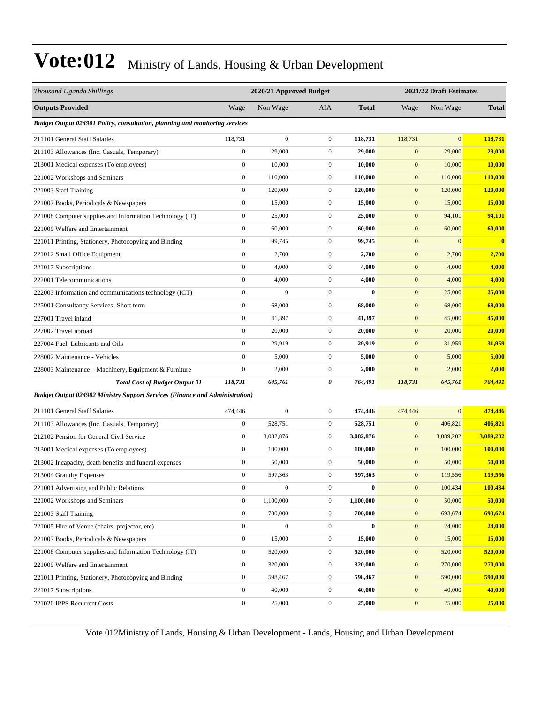| Thousand Uganda Shillings                                                          | 2020/21 Approved Budget |                  |                  |              | 2021/22 Draft Estimates |                |                |
|------------------------------------------------------------------------------------|-------------------------|------------------|------------------|--------------|-------------------------|----------------|----------------|
| <b>Outputs Provided</b>                                                            | Wage                    | Non Wage         | <b>AIA</b>       | <b>Total</b> | Wage                    | Non Wage       | <b>Total</b>   |
| Budget Output 024901 Policy, consultation, planning and monitoring services        |                         |                  |                  |              |                         |                |                |
| 211101 General Staff Salaries                                                      | 118,731                 | $\boldsymbol{0}$ | $\boldsymbol{0}$ | 118,731      | 118,731                 | $\overline{0}$ | 118,731        |
| 211103 Allowances (Inc. Casuals, Temporary)                                        | $\boldsymbol{0}$        | 29,000           | $\mathbf{0}$     | 29,000       | $\mathbf{0}$            | 29,000         | 29,000         |
| 213001 Medical expenses (To employees)                                             | $\boldsymbol{0}$        | 10,000           | $\mathbf{0}$     | 10,000       | $\mathbf{0}$            | 10,000         | 10,000         |
| 221002 Workshops and Seminars                                                      | $\boldsymbol{0}$        | 110,000          | $\mathbf{0}$     | 110,000      | $\boldsymbol{0}$        | 110,000        | <b>110,000</b> |
| 221003 Staff Training                                                              | $\boldsymbol{0}$        | 120,000          | $\mathbf{0}$     | 120,000      | $\boldsymbol{0}$        | 120,000        | 120,000        |
| 221007 Books, Periodicals & Newspapers                                             | $\boldsymbol{0}$        | 15,000           | $\boldsymbol{0}$ | 15,000       | $\mathbf{0}$            | 15,000         | 15,000         |
| 221008 Computer supplies and Information Technology (IT)                           | $\boldsymbol{0}$        | 25,000           | $\boldsymbol{0}$ | 25,000       | $\boldsymbol{0}$        | 94,101         | 94,101         |
| 221009 Welfare and Entertainment                                                   | $\boldsymbol{0}$        | 60,000           | $\mathbf{0}$     | 60,000       | $\mathbf{0}$            | 60,000         | 60,000         |
| 221011 Printing, Stationery, Photocopying and Binding                              | $\boldsymbol{0}$        | 99,745           | $\boldsymbol{0}$ | 99,745       | $\boldsymbol{0}$        | $\mathbf{0}$   | $\bf{0}$       |
| 221012 Small Office Equipment                                                      | $\boldsymbol{0}$        | 2,700            | $\mathbf{0}$     | 2,700        | $\boldsymbol{0}$        | 2,700          | 2,700          |
| 221017 Subscriptions                                                               | $\boldsymbol{0}$        | 4,000            | $\boldsymbol{0}$ | 4,000        | $\mathbf{0}$            | 4,000          | 4,000          |
| 222001 Telecommunications                                                          | $\mathbf{0}$            | 4,000            | $\boldsymbol{0}$ | 4,000        | $\boldsymbol{0}$        | 4,000          | 4,000          |
| 222003 Information and communications technology (ICT)                             | $\boldsymbol{0}$        | $\mathbf{0}$     | $\boldsymbol{0}$ | $\bf{0}$     | $\mathbf{0}$            | 25,000         | 25,000         |
| 225001 Consultancy Services- Short term                                            | $\boldsymbol{0}$        | 68,000           | $\boldsymbol{0}$ | 68,000       | $\boldsymbol{0}$        | 68,000         | 68,000         |
| 227001 Travel inland                                                               | $\boldsymbol{0}$        | 41,397           | $\boldsymbol{0}$ | 41,397       | $\boldsymbol{0}$        | 45,000         | 45,000         |
| 227002 Travel abroad                                                               | $\boldsymbol{0}$        | 20,000           | $\boldsymbol{0}$ | 20,000       | $\mathbf{0}$            | 20,000         | 20,000         |
| 227004 Fuel, Lubricants and Oils                                                   | $\mathbf{0}$            | 29,919           | $\boldsymbol{0}$ | 29,919       | $\mathbf{0}$            | 31,959         | 31,959         |
| 228002 Maintenance - Vehicles                                                      | $\boldsymbol{0}$        | 5,000            | $\mathbf{0}$     | 5,000        | $\mathbf{0}$            | 5,000          | 5,000          |
| 228003 Maintenance – Machinery, Equipment & Furniture                              | $\boldsymbol{0}$        | 2,000            | $\boldsymbol{0}$ | 2,000        | $\boldsymbol{0}$        | 2,000          | 2,000          |
| <b>Total Cost of Budget Output 01</b>                                              | 118,731                 | 645,761          | 0                | 764,491      | 118,731                 | 645,761        | 764,491        |
| <b>Budget Output 024902 Ministry Support Services (Finance and Administration)</b> |                         |                  |                  |              |                         |                |                |
| 211101 General Staff Salaries                                                      | 474,446                 | $\mathbf{0}$     | $\boldsymbol{0}$ | 474,446      | 474,446                 | $\mathbf{0}$   | 474,446        |
| 211103 Allowances (Inc. Casuals, Temporary)                                        | $\boldsymbol{0}$        | 528,751          | $\mathbf{0}$     | 528,751      | $\boldsymbol{0}$        | 406,821        | 406,821        |
| 212102 Pension for General Civil Service                                           | $\boldsymbol{0}$        | 3,082,876        | $\mathbf{0}$     | 3,082,876    | $\mathbf{0}$            | 3,089,202      | 3,089,202      |
| 213001 Medical expenses (To employees)                                             | $\boldsymbol{0}$        | 100,000          | $\mathbf{0}$     | 100,000      | $\mathbf{0}$            | 100,000        | <b>100,000</b> |
| 213002 Incapacity, death benefits and funeral expenses                             | $\boldsymbol{0}$        | 50,000           | $\mathbf{0}$     | 50,000       | $\mathbf{0}$            | 50,000         | 50,000         |
| 213004 Gratuity Expenses                                                           | $\boldsymbol{0}$        | 597,363          | $\mathbf{0}$     | 597,363      | $\mathbf{0}$            | 119,556        | 119,556        |
| 221001 Advertising and Public Relations                                            | $\boldsymbol{0}$        | $\boldsymbol{0}$ | $\boldsymbol{0}$ | $\bf{0}$     | $\boldsymbol{0}$        | 100,434        | 100,434        |
| 221002 Workshops and Seminars                                                      | $\boldsymbol{0}$        | 1,100,000        | $\boldsymbol{0}$ | 1,100,000    | $\boldsymbol{0}$        | 50,000         | 50,000         |
| 221003 Staff Training                                                              | $\boldsymbol{0}$        | 700,000          | $\boldsymbol{0}$ | 700,000      | $\boldsymbol{0}$        | 693,674        | 693,674        |
| 221005 Hire of Venue (chairs, projector, etc)                                      | $\boldsymbol{0}$        | $\boldsymbol{0}$ | $\boldsymbol{0}$ | $\bf{0}$     | $\boldsymbol{0}$        | 24,000         | 24,000         |
| 221007 Books, Periodicals & Newspapers                                             | $\boldsymbol{0}$        | 15,000           | $\boldsymbol{0}$ | 15,000       | $\boldsymbol{0}$        | 15,000         | 15,000         |
| 221008 Computer supplies and Information Technology (IT)                           | $\boldsymbol{0}$        | 520,000          | $\boldsymbol{0}$ | 520,000      | $\boldsymbol{0}$        | 520,000        | 520,000        |
| 221009 Welfare and Entertainment                                                   | $\boldsymbol{0}$        | 320,000          | $\boldsymbol{0}$ | 320,000      | $\boldsymbol{0}$        | 270,000        | 270,000        |
| 221011 Printing, Stationery, Photocopying and Binding                              | $\boldsymbol{0}$        | 598,467          | $\boldsymbol{0}$ | 598,467      | $\boldsymbol{0}$        | 590,000        | 590,000        |
| 221017 Subscriptions                                                               | $\boldsymbol{0}$        | 40,000           | $\boldsymbol{0}$ | 40,000       | $\boldsymbol{0}$        | 40,000         | 40,000         |
| 221020 IPPS Recurrent Costs                                                        | $\boldsymbol{0}$        | 25,000           | $\boldsymbol{0}$ | 25,000       | $\boldsymbol{0}$        | 25,000         | 25,000         |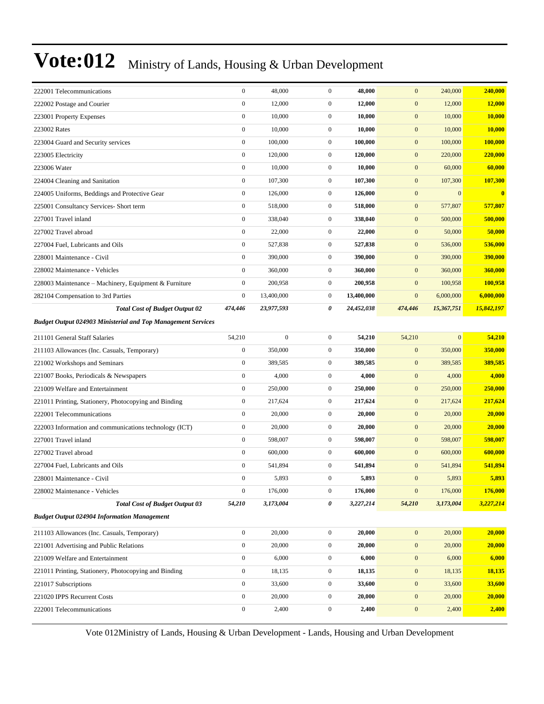| 222001 Telecommunications                                           | $\boldsymbol{0}$ | 48,000           | $\mathbf{0}$     | 48,000     | $\mathbf{0}$     | 240,000      | 240,000    |
|---------------------------------------------------------------------|------------------|------------------|------------------|------------|------------------|--------------|------------|
| 222002 Postage and Courier                                          | $\boldsymbol{0}$ | 12,000           | $\boldsymbol{0}$ | 12,000     | $\boldsymbol{0}$ | 12,000       | 12,000     |
| 223001 Property Expenses                                            | $\boldsymbol{0}$ | 10,000           | $\boldsymbol{0}$ | 10,000     | $\boldsymbol{0}$ | 10,000       | 10,000     |
| 223002 Rates                                                        | $\boldsymbol{0}$ | 10,000           | $\mathbf{0}$     | 10,000     | $\boldsymbol{0}$ | 10,000       | 10,000     |
| 223004 Guard and Security services                                  | $\boldsymbol{0}$ | 100,000          | $\mathbf{0}$     | 100,000    | $\mathbf{0}$     | 100,000      | 100,000    |
| 223005 Electricity                                                  | $\boldsymbol{0}$ | 120,000          | $\mathbf{0}$     | 120,000    | $\mathbf{0}$     | 220,000      | 220,000    |
| 223006 Water                                                        | $\boldsymbol{0}$ | 10,000           | $\mathbf{0}$     | 10,000     | $\boldsymbol{0}$ | 60,000       | 60,000     |
| 224004 Cleaning and Sanitation                                      | $\boldsymbol{0}$ | 107,300          | $\boldsymbol{0}$ | 107,300    | $\boldsymbol{0}$ | 107,300      | 107,300    |
| 224005 Uniforms, Beddings and Protective Gear                       | $\boldsymbol{0}$ | 126,000          | $\mathbf{0}$     | 126,000    | $\mathbf{0}$     | $\mathbf{0}$ | $\bf{0}$   |
| 225001 Consultancy Services- Short term                             | $\boldsymbol{0}$ | 518,000          | $\mathbf{0}$     | 518,000    | $\boldsymbol{0}$ | 577,807      | 577,807    |
| 227001 Travel inland                                                | $\boldsymbol{0}$ | 338,040          | $\mathbf{0}$     | 338,040    | $\mathbf{0}$     | 500,000      | 500,000    |
| 227002 Travel abroad                                                | $\boldsymbol{0}$ | 22,000           | $\boldsymbol{0}$ | 22,000     | $\boldsymbol{0}$ | 50,000       | 50,000     |
| 227004 Fuel, Lubricants and Oils                                    | $\boldsymbol{0}$ | 527,838          | $\mathbf{0}$     | 527,838    | $\boldsymbol{0}$ | 536,000      | 536,000    |
| 228001 Maintenance - Civil                                          | $\boldsymbol{0}$ | 390,000          | $\mathbf{0}$     | 390,000    | $\mathbf{0}$     | 390,000      | 390,000    |
| 228002 Maintenance - Vehicles                                       | $\boldsymbol{0}$ | 360,000          | $\mathbf{0}$     | 360,000    | $\mathbf{0}$     | 360,000      | 360,000    |
| 228003 Maintenance - Machinery, Equipment & Furniture               | $\boldsymbol{0}$ | 200,958          | $\mathbf{0}$     | 200,958    | $\mathbf{0}$     | 100,958      | 100,958    |
| 282104 Compensation to 3rd Parties                                  | $\boldsymbol{0}$ | 13,400,000       | $\mathbf{0}$     | 13,400,000 | $\boldsymbol{0}$ | 6,000,000    | 6,000,000  |
| <b>Total Cost of Budget Output 02</b>                               | 474,446          | 23,977,593       | 0                | 24,452,038 | 474,446          | 15,367,751   | 15,842,197 |
| <b>Budget Output 024903 Ministerial and Top Management Services</b> |                  |                  |                  |            |                  |              |            |
| 211101 General Staff Salaries                                       | 54,210           | $\boldsymbol{0}$ | $\mathbf{0}$     | 54,210     | 54,210           | $\mathbf{0}$ | 54,210     |
| 211103 Allowances (Inc. Casuals, Temporary)                         | $\boldsymbol{0}$ | 350,000          | $\boldsymbol{0}$ | 350,000    | $\boldsymbol{0}$ | 350,000      | 350,000    |
| 221002 Workshops and Seminars                                       | $\boldsymbol{0}$ | 389,585          | $\mathbf{0}$     | 389,585    | $\boldsymbol{0}$ | 389,585      | 389,585    |
| 221007 Books, Periodicals & Newspapers                              | $\boldsymbol{0}$ | 4,000            | $\mathbf{0}$     | 4,000      | $\boldsymbol{0}$ | 4,000        | 4,000      |
| 221009 Welfare and Entertainment                                    | $\boldsymbol{0}$ | 250,000          | $\mathbf{0}$     | 250,000    | $\boldsymbol{0}$ | 250,000      | 250,000    |
| 221011 Printing, Stationery, Photocopying and Binding               | $\boldsymbol{0}$ | 217,624          | $\mathbf{0}$     | 217,624    | $\mathbf{0}$     | 217,624      | 217,624    |
| 222001 Telecommunications                                           | $\boldsymbol{0}$ | 20,000           | $\mathbf{0}$     | 20,000     | $\boldsymbol{0}$ | 20,000       | 20,000     |
| 222003 Information and communications technology (ICT)              | $\boldsymbol{0}$ | 20,000           | $\mathbf{0}$     | 20,000     | $\boldsymbol{0}$ | 20,000       | 20,000     |
| 227001 Travel inland                                                | $\boldsymbol{0}$ | 598,007          | $\mathbf{0}$     | 598,007    | $\boldsymbol{0}$ | 598,007      | 598,007    |
| 227002 Travel abroad                                                | $\boldsymbol{0}$ | 600,000          | $\mathbf{0}$     | 600,000    | $\mathbf{0}$     | 600,000      | 600,000    |
| 227004 Fuel, Lubricants and Oils                                    | $\boldsymbol{0}$ | 541,894          | $\mathbf{0}$     | 541,894    | $\mathbf{0}$     | 541,894      | 541,894    |
| 228001 Maintenance - Civil                                          | $\overline{0}$   | 5,893            | $\overline{0}$   | 5,893      | $\mathbf{0}$     | 5,893        | 5,893      |
| 228002 Maintenance - Vehicles                                       | $\boldsymbol{0}$ | 176,000          | $\mathbf{0}$     | 176,000    | $\boldsymbol{0}$ | 176,000      | 176,000    |
| <b>Total Cost of Budget Output 03</b>                               | 54,210           | 3,173,004        | 0                | 3,227,214  | 54,210           | 3,173,004    | 3,227,214  |
| <b>Budget Output 024904 Information Management</b>                  |                  |                  |                  |            |                  |              |            |
| 211103 Allowances (Inc. Casuals, Temporary)                         | $\boldsymbol{0}$ | 20,000           | $\boldsymbol{0}$ | 20,000     | $\boldsymbol{0}$ | 20,000       | 20,000     |
| 221001 Advertising and Public Relations                             | $\boldsymbol{0}$ | 20,000           | $\boldsymbol{0}$ | 20,000     | $\boldsymbol{0}$ | 20,000       | 20,000     |
| 221009 Welfare and Entertainment                                    | $\boldsymbol{0}$ | 6,000            | $\boldsymbol{0}$ | 6,000      | $\boldsymbol{0}$ | 6,000        | 6,000      |
| 221011 Printing, Stationery, Photocopying and Binding               | $\boldsymbol{0}$ | 18,135           | $\boldsymbol{0}$ | 18,135     | $\boldsymbol{0}$ | 18,135       | 18,135     |
| 221017 Subscriptions                                                | $\boldsymbol{0}$ | 33,600           | $\boldsymbol{0}$ | 33,600     | $\boldsymbol{0}$ | 33,600       | 33,600     |
| 221020 IPPS Recurrent Costs                                         | $\boldsymbol{0}$ | 20,000           | $\boldsymbol{0}$ | 20,000     | $\boldsymbol{0}$ | 20,000       | 20,000     |
| 222001 Telecommunications                                           | $\boldsymbol{0}$ | 2,400            | $\boldsymbol{0}$ | 2,400      | $\boldsymbol{0}$ | 2,400        | 2,400      |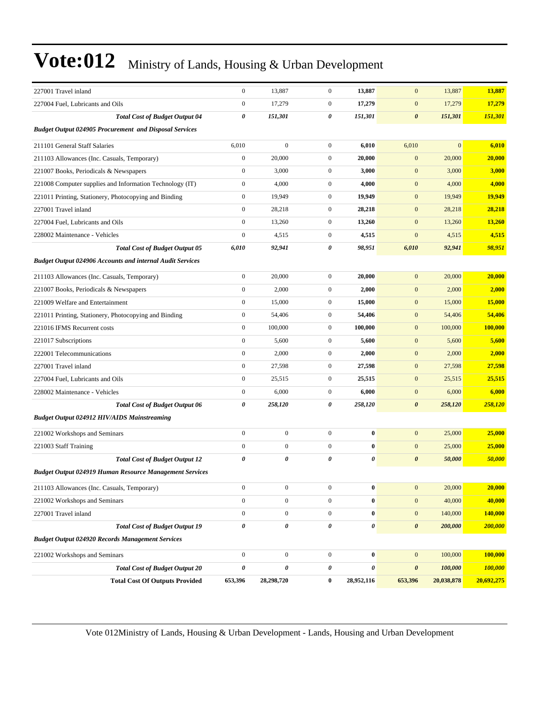| 227001 Travel inland                                             | $\boldsymbol{0}$      | 13,887           | $\boldsymbol{0}$ | 13,887           | $\mathbf{0}$          | 13,887         | 13,887     |
|------------------------------------------------------------------|-----------------------|------------------|------------------|------------------|-----------------------|----------------|------------|
| 227004 Fuel, Lubricants and Oils                                 | $\boldsymbol{0}$      | 17,279           | $\overline{0}$   | 17,279           | $\mathbf{0}$          | 17,279         | 17,279     |
| <b>Total Cost of Budget Output 04</b>                            | 0                     | 151,301          | 0                | 151,301          | $\boldsymbol{\theta}$ | 151,301        | 151,301    |
| <b>Budget Output 024905 Procurement and Disposal Services</b>    |                       |                  |                  |                  |                       |                |            |
| 211101 General Staff Salaries                                    | 6,010                 | $\mathbf{0}$     | $\boldsymbol{0}$ | 6,010            | 6,010                 | $\overline{0}$ | 6,010      |
| 211103 Allowances (Inc. Casuals, Temporary)                      | $\boldsymbol{0}$      | 20,000           | $\boldsymbol{0}$ | 20,000           | $\boldsymbol{0}$      | 20,000         | 20,000     |
| 221007 Books, Periodicals & Newspapers                           | $\boldsymbol{0}$      | 3,000            | $\overline{0}$   | 3,000            | $\mathbf{0}$          | 3,000          | 3,000      |
| 221008 Computer supplies and Information Technology (IT)         | $\boldsymbol{0}$      | 4,000            | $\overline{0}$   | 4,000            | $\mathbf{0}$          | 4,000          | 4,000      |
| 221011 Printing, Stationery, Photocopying and Binding            | $\boldsymbol{0}$      | 19,949           | $\overline{0}$   | 19,949           | $\mathbf{0}$          | 19,949         | 19,949     |
| 227001 Travel inland                                             | $\boldsymbol{0}$      | 28,218           | $\boldsymbol{0}$ | 28,218           | $\mathbf{0}$          | 28,218         | 28,218     |
| 227004 Fuel, Lubricants and Oils                                 | $\boldsymbol{0}$      | 13,260           | $\overline{0}$   | 13,260           | $\mathbf{0}$          | 13,260         | 13,260     |
| 228002 Maintenance - Vehicles                                    | $\boldsymbol{0}$      | 4,515            | $\overline{0}$   | 4,515            | $\mathbf{0}$          | 4,515          | 4,515      |
| <b>Total Cost of Budget Output 05</b>                            | 6,010                 | 92,941           | 0                | 98,951           | 6,010                 | 92,941         | 98,951     |
| <b>Budget Output 024906 Accounts and internal Audit Services</b> |                       |                  |                  |                  |                       |                |            |
| 211103 Allowances (Inc. Casuals, Temporary)                      | $\boldsymbol{0}$      | 20,000           | $\boldsymbol{0}$ | 20,000           | $\mathbf{0}$          | 20,000         | 20,000     |
| 221007 Books, Periodicals & Newspapers                           | $\boldsymbol{0}$      | 2,000            | $\boldsymbol{0}$ | 2,000            | $\mathbf{0}$          | 2,000          | 2,000      |
| 221009 Welfare and Entertainment                                 | $\boldsymbol{0}$      | 15,000           | $\overline{0}$   | 15,000           | $\mathbf{0}$          | 15,000         | 15,000     |
| 221011 Printing, Stationery, Photocopying and Binding            | $\boldsymbol{0}$      | 54,406           | $\overline{0}$   | 54,406           | $\mathbf{0}$          | 54,406         | 54,406     |
| 221016 IFMS Recurrent costs                                      | $\boldsymbol{0}$      | 100,000          | $\overline{0}$   | 100,000          | $\mathbf{0}$          | 100,000        | 100,000    |
| 221017 Subscriptions                                             | $\boldsymbol{0}$      | 5,600            | $\boldsymbol{0}$ | 5,600            | $\mathbf{0}$          | 5,600          | 5,600      |
| 222001 Telecommunications                                        | $\boldsymbol{0}$      | 2,000            | $\overline{0}$   | 2,000            | $\mathbf{0}$          | 2,000          | 2,000      |
| 227001 Travel inland                                             | $\boldsymbol{0}$      | 27,598           | $\overline{0}$   | 27,598           | $\mathbf{0}$          | 27,598         | 27,598     |
| 227004 Fuel, Lubricants and Oils                                 | $\boldsymbol{0}$      | 25,515           | $\overline{0}$   | 25,515           | $\mathbf{0}$          | 25,515         | 25,515     |
| 228002 Maintenance - Vehicles                                    | $\boldsymbol{0}$      | 6,000            | $\overline{0}$   | 6,000            | $\mathbf{0}$          | 6,000          | 6,000      |
| <b>Total Cost of Budget Output 06</b>                            | 0                     | 258,120          | 0                | 258,120          | $\boldsymbol{\theta}$ | 258,120        | 258,120    |
| <b>Budget Output 024912 HIV/AIDS Mainstreaming</b>               |                       |                  |                  |                  |                       |                |            |
| 221002 Workshops and Seminars                                    | $\boldsymbol{0}$      | $\boldsymbol{0}$ | $\boldsymbol{0}$ | $\bf{0}$         | $\mathbf{0}$          | 25,000         | 25,000     |
| 221003 Staff Training                                            | $\boldsymbol{0}$      | $\mathbf{0}$     | $\overline{0}$   | $\bf{0}$         | $\mathbf{0}$          | 25,000         | 25,000     |
| <b>Total Cost of Budget Output 12</b>                            | $\boldsymbol{\theta}$ | 0                | 0                | 0                | $\boldsymbol{\theta}$ | 50,000         | 50,000     |
| <b>Budget Output 024919 Human Resource Management Services</b>   |                       |                  |                  |                  |                       |                |            |
| 211103 Allowances (Inc. Casuals, Temporary)                      | $\boldsymbol{0}$      | $\boldsymbol{0}$ | $\boldsymbol{0}$ | $\boldsymbol{0}$ | $\boldsymbol{0}$      | 20,000         | 20,000     |
| 221002 Workshops and Seminars                                    | $\boldsymbol{0}$      | $\boldsymbol{0}$ | $\boldsymbol{0}$ | $\bf{0}$         | $\mathbf{0}$          | 40,000         | 40,000     |
| 227001 Travel inland                                             | $\boldsymbol{0}$      | $\boldsymbol{0}$ | $\overline{0}$   | 0                | $\boldsymbol{0}$      | 140,000        | 140,000    |
| <b>Total Cost of Budget Output 19</b>                            | 0                     | $\pmb{\theta}$   | $\pmb{\theta}$   | 0                | $\boldsymbol{\theta}$ | 200,000        | 200,000    |
| <b>Budget Output 024920 Records Management Services</b>          |                       |                  |                  |                  |                       |                |            |
| 221002 Workshops and Seminars                                    | $\boldsymbol{0}$      | $\boldsymbol{0}$ | $\boldsymbol{0}$ | $\boldsymbol{0}$ | $\mathbf{0}$          | 100,000        | 100,000    |
| <b>Total Cost of Budget Output 20</b>                            | $\pmb{\theta}$        | 0                | 0                | 0                | $\boldsymbol{\theta}$ | 100,000        | 100,000    |
| <b>Total Cost Of Outputs Provided</b>                            | 653,396               | 28,298,720       | $\bf{0}$         | 28,952,116       | 653,396               | 20,038,878     | 20,692,275 |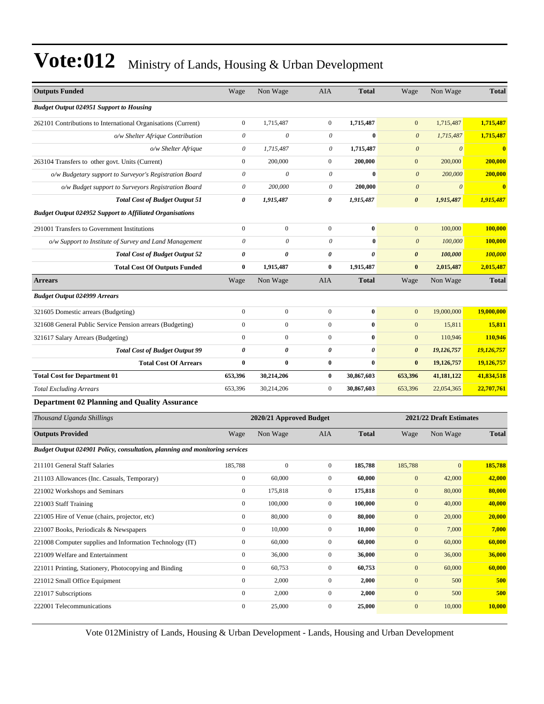| <b>Outputs Funded</b>                                                              | Wage                  | Non Wage                | AIA              | <b>Total</b> | Wage                      | Non Wage              | <b>Total</b>            |
|------------------------------------------------------------------------------------|-----------------------|-------------------------|------------------|--------------|---------------------------|-----------------------|-------------------------|
| <b>Budget Output 024951 Support to Housing</b>                                     |                       |                         |                  |              |                           |                       |                         |
| 262101 Contributions to International Organisations (Current)                      | $\boldsymbol{0}$      | 1,715,487               | $\mathbf{0}$     | 1,715,487    | $\overline{0}$            | 1,715,487             | 1,715,487               |
| o/w Shelter Afrique Contribution                                                   | $\theta$              | 0                       | $\theta$         | $\bf{0}$     | $\boldsymbol{\theta}$     | 1,715,487             | 1,715,487               |
| o/w Shelter Afrique                                                                | $\theta$              | 1,715,487               | $\theta$         | 1,715,487    | $\boldsymbol{\theta}$     | $\boldsymbol{\theta}$ | $\overline{\mathbf{0}}$ |
| 263104 Transfers to other govt. Units (Current)                                    | $\boldsymbol{0}$      | 200,000                 | $\mathbf{0}$     | 200,000      | $\boldsymbol{0}$          | 200,000               | 200,000                 |
| o/w Budgetary support to Surveyor's Registration Board                             | $\boldsymbol{\theta}$ | 0                       | 0                | $\mathbf{0}$ | $\boldsymbol{0}$          | 200,000               | 200,000                 |
| o/w Budget support to Surveyors Registration Board                                 | $\theta$              | 200,000                 | $\theta$         | 200,000      | $\boldsymbol{\mathit{0}}$ | $\boldsymbol{\theta}$ | $\bf{0}$                |
| <b>Total Cost of Budget Output 51</b>                                              | 0                     | 1,915,487               | 0                | 1,915,487    | $\boldsymbol{\theta}$     | 1,915,487             | 1,915,487               |
| <b>Budget Output 024952 Support to Affiliated Organisations</b>                    |                       |                         |                  |              |                           |                       |                         |
| 291001 Transfers to Government Institutions                                        | $\boldsymbol{0}$      | $\boldsymbol{0}$        | $\boldsymbol{0}$ | $\bf{0}$     | $\boldsymbol{0}$          | 100,000               | 100,000                 |
| o/w Support to Institute of Survey and Land Management                             | $\theta$              | 0                       | $\theta$         | $\bf{0}$     | $\boldsymbol{0}$          | 100,000               | 100,000                 |
| <b>Total Cost of Budget Output 52</b>                                              | 0                     | 0                       | 0                | 0            | $\boldsymbol{\theta}$     | 100,000               | 100,000                 |
| <b>Total Cost Of Outputs Funded</b>                                                | $\bf{0}$              | 1,915,487               | $\bf{0}$         | 1,915,487    | $\bf{0}$                  | 2,015,487             | 2,015,487               |
| <b>Arrears</b>                                                                     | Wage                  | Non Wage                | AIA              | <b>Total</b> | Wage                      | Non Wage              | <b>Total</b>            |
| <b>Budget Output 024999 Arrears</b>                                                |                       |                         |                  |              |                           |                       |                         |
| 321605 Domestic arrears (Budgeting)                                                | $\boldsymbol{0}$      | $\mathbf{0}$            | $\boldsymbol{0}$ | $\bf{0}$     | $\mathbf{0}$              | 19,000,000            | 19,000,000              |
| 321608 General Public Service Pension arrears (Budgeting)                          | $\boldsymbol{0}$      | $\boldsymbol{0}$        | $\boldsymbol{0}$ | $\bf{0}$     | $\boldsymbol{0}$          | 15,811                | 15,811                  |
| 321617 Salary Arrears (Budgeting)                                                  | $\boldsymbol{0}$      | $\mathbf{0}$            | $\mathbf{0}$     | $\bf{0}$     | $\mathbf{0}$              | 110,946               | 110,946                 |
| <b>Total Cost of Budget Output 99</b>                                              | 0                     | 0                       | 0                | 0            | $\pmb{\theta}$            | 19,126,757            | 19,126,757              |
| <b>Total Cost Of Arrears</b>                                                       | $\bf{0}$              | $\bf{0}$                | $\bf{0}$         | $\bf{0}$     | $\bf{0}$                  | 19,126,757            | 19,126,757              |
| <b>Total Cost for Department 01</b>                                                | 653,396               | 30,214,206              | $\bf{0}$         | 30,867,603   | 653,396                   | 41,181,122            | 41,834,518              |
| <b>Total Excluding Arrears</b>                                                     | 653,396               | 30,214,206              | $\mathbf{0}$     | 30,867,603   | 653,396                   | 22,054,365            | 22,707,761              |
| <b>Department 02 Planning and Quality Assurance</b>                                |                       |                         |                  |              |                           |                       |                         |
| Thousand Uganda Shillings                                                          |                       | 2020/21 Approved Budget |                  |              | 2021/22 Draft Estimates   |                       |                         |
| <b>Outputs Provided</b>                                                            | Wage                  | Non Wage                | AIA              | <b>Total</b> | Wage                      | Non Wage              | <b>Total</b>            |
| <b>Budget Output 024901 Policy, consultation, planning and monitoring services</b> |                       |                         |                  |              |                           |                       |                         |
| 211101 General Staff Salaries                                                      | 185,788               | $\boldsymbol{0}$        | $\mathbf{0}$     | 185,788      | 185,788                   | $\mathbf{0}$          | 185,788                 |
| 211103 Allowances (Inc. Casuals, Temporary)                                        | $\boldsymbol{0}$      | 60,000                  | 0                | 60,000       | $\mathbf{0}$              | 42,000                | 42,000                  |
| 221002 Workshops and Seminars                                                      | $\boldsymbol{0}$      | 175,818                 | $\boldsymbol{0}$ | 175,818      | $\boldsymbol{0}$          | 80,000                | 80,000                  |
| 221003 Staff Training                                                              | $\boldsymbol{0}$      | 100,000                 | $\boldsymbol{0}$ | 100,000      | $\boldsymbol{0}$          | 40,000                | 40,000                  |
| 221005 Hire of Venue (chairs, projector, etc)                                      | $\boldsymbol{0}$      | 80,000                  | $\boldsymbol{0}$ | 80,000       | $\boldsymbol{0}$          | 20,000                | 20,000                  |
| 221007 Books, Periodicals & Newspapers                                             | $\boldsymbol{0}$      | 10,000                  | $\boldsymbol{0}$ | 10,000       | $\boldsymbol{0}$          | 7,000                 | 7,000                   |
| 221008 Computer supplies and Information Technology (IT)                           | $\boldsymbol{0}$      | 60,000                  | $\mathbf{0}$     | 60,000       | $\bf{0}$                  | 60,000                | 60,000                  |
| 221009 Welfare and Entertainment                                                   | $\boldsymbol{0}$      | 36,000                  | $\boldsymbol{0}$ | 36,000       | $\boldsymbol{0}$          | 36,000                | 36,000                  |
| 221011 Printing, Stationery, Photocopying and Binding                              | $\boldsymbol{0}$      | 60,753                  | $\boldsymbol{0}$ | 60,753       | $\boldsymbol{0}$          | 60,000                | 60,000                  |
| 221012 Small Office Equipment                                                      | $\boldsymbol{0}$      | 2,000                   | $\boldsymbol{0}$ | 2,000        | $\boldsymbol{0}$          | 500                   | 500                     |
| 221017 Subscriptions                                                               | $\mathbf{0}$          | 2,000                   | $\boldsymbol{0}$ | 2,000        | $\boldsymbol{0}$          | 500                   | 500                     |
| 222001 Telecommunications                                                          | $\boldsymbol{0}$      | 25,000                  | $\boldsymbol{0}$ | 25,000       | $\mathbf{0}$              | 10,000                | 10,000                  |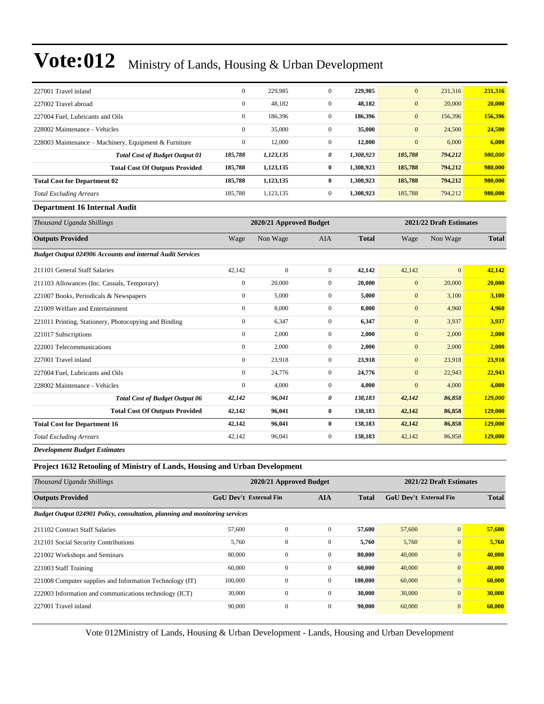| 227001 Travel inland                                  | $\mathbf{0}$ | 229,985   | $\mathbf{0}$ | 229,985   | $\mathbf{0}$ | 231,316 | 231,316 |
|-------------------------------------------------------|--------------|-----------|--------------|-----------|--------------|---------|---------|
| 227002 Travel abroad                                  | $\mathbf{0}$ | 48,182    | $\mathbf{0}$ | 48,182    | $\mathbf{0}$ | 20,000  | 20,000  |
| 227004 Fuel, Lubricants and Oils                      | $\mathbf{0}$ | 186,396   | $\mathbf{0}$ | 186,396   | $\mathbf{0}$ | 156,396 | 156,396 |
| 228002 Maintenance - Vehicles                         | $\mathbf{0}$ | 35,000    | $\mathbf{0}$ | 35,000    | $\mathbf{0}$ | 24,500  | 24,500  |
| 228003 Maintenance – Machinery, Equipment & Furniture | $\mathbf{0}$ | 12,000    | $\mathbf{0}$ | 12,000    | $\mathbf{0}$ | 6,000   | 6,000   |
| <b>Total Cost of Budget Output 01</b>                 | 185,788      | 1,123,135 | 0            | 1,308,923 | 185,788      | 794,212 | 980,000 |
| <b>Total Cost Of Outputs Provided</b>                 | 185,788      | 1,123,135 | $\bf{0}$     | 1.308.923 | 185,788      | 794.212 | 980,000 |
| <b>Total Cost for Department 02</b>                   | 185,788      | 1,123,135 | $\mathbf{0}$ | 1.308.923 | 185,788      | 794,212 | 980,000 |
| <b>Total Excluding Arrears</b>                        | 185.788      | 1,123,135 | $\mathbf{0}$ | 1.308.923 | 185,788      | 794,212 | 980,000 |
|                                                       |              |           |              |           |              |         |         |

#### **Department 16 Internal Audit**

| Thousand Uganda Shillings                                        |                | 2020/21 Approved Budget |                | 2021/22 Draft Estimates |                  |                |              |
|------------------------------------------------------------------|----------------|-------------------------|----------------|-------------------------|------------------|----------------|--------------|
| <b>Outputs Provided</b>                                          | Wage           | Non Wage                | <b>AIA</b>     | <b>Total</b>            | Wage             | Non Wage       | <b>Total</b> |
| <b>Budget Output 024906 Accounts and internal Audit Services</b> |                |                         |                |                         |                  |                |              |
| 211101 General Staff Salaries                                    | 42,142         | $\overline{0}$          | $\overline{0}$ | 42,142                  | 42,142           | $\overline{0}$ | 42,142       |
| 211103 Allowances (Inc. Casuals, Temporary)                      | $\overline{0}$ | 20,000                  | $\overline{0}$ | 20,000                  | $\mathbf{0}$     | 20,000         | 20,000       |
| 221007 Books, Periodicals & Newspapers                           | $\mathbf{0}$   | 5,000                   | $\overline{0}$ | 5,000                   | $\mathbf{0}$     | 3,100          | 3,100        |
| 221009 Welfare and Entertainment                                 | $\mathbf{0}$   | 8,000                   | $\overline{0}$ | 8,000                   | $\mathbf{0}$     | 4,960          | 4,960        |
| 221011 Printing, Stationery, Photocopying and Binding            | $\mathbf{0}$   | 6,347                   | $\mathbf{0}$   | 6,347                   | $\mathbf{0}$     | 3,937          | 3,937        |
| 221017 Subscriptions                                             | $\overline{0}$ | 2,000                   | $\overline{0}$ | 2,000                   | $\mathbf{0}$     | 2,000          | 2,000        |
| 222001 Telecommunications                                        | $\overline{0}$ | 2,000                   | $\mathbf{0}$   | 2,000                   | $\mathbf{0}$     | 2,000          | 2,000        |
| 227001 Travel inland                                             | 0              | 23,918                  | 0              | 23,918                  | $\boldsymbol{0}$ | 23,918         | 23,918       |
| 227004 Fuel, Lubricants and Oils                                 | $\overline{0}$ | 24,776                  | $\overline{0}$ | 24,776                  | $\overline{0}$   | 22,943         | 22,943       |
| 228002 Maintenance - Vehicles                                    | $\mathbf{0}$   | 4,000                   | $\overline{0}$ | 4,000                   | $\overline{0}$   | 4,000          | 4,000        |
| <b>Total Cost of Budget Output 06</b>                            | 42,142         | 96,041                  | 0              | 138,183                 | 42,142           | 86,858         | 129,000      |
| <b>Total Cost Of Outputs Provided</b>                            | 42,142         | 96,041                  | $\bf{0}$       | 138,183                 | 42,142           | 86,858         | 129,000      |
| <b>Total Cost for Department 16</b>                              | 42,142         | 96,041                  | $\bf{0}$       | 138,183                 | 42,142           | 86,858         | 129,000      |
| <b>Total Excluding Arrears</b>                                   | 42,142         | 96,041                  | $\overline{0}$ | 138,183                 | 42,142           | 86,858         | 129,000      |
|                                                                  |                |                         |                |                         |                  |                |              |

*Development Budget Estimates*

**Project 1632 Retooling of Ministry of Lands, Housing and Urban Development**

| Thousand Uganda Shillings                                                   |                               | 2020/21 Approved Budget |                | 2021/22 Draft Estimates |              |                |        |
|-----------------------------------------------------------------------------|-------------------------------|-------------------------|----------------|-------------------------|--------------|----------------|--------|
| <b>Outputs Provided</b>                                                     | <b>GoU Dev't External Fin</b> | <b>AIA</b>              | <b>Total</b>   | GoU Dev't External Fin  | <b>Total</b> |                |        |
| Budget Output 024901 Policy, consultation, planning and monitoring services |                               |                         |                |                         |              |                |        |
| 211102 Contract Staff Salaries                                              | 57,600                        | $\mathbf{0}$            | $\Omega$       | 57,600                  | 57,600       | $\overline{0}$ | 57,600 |
| 212101 Social Security Contributions                                        | 5.760                         | $\mathbf{0}$            | $\mathbf{0}$   | 5,760                   | 5,760        | $\overline{0}$ | 5,760  |
| 221002 Workshops and Seminars                                               | 80,000                        | $\mathbf{0}$            | $\Omega$       | 80,000                  | 40,000       | $\mathbf{0}$   | 40,000 |
| 221003 Staff Training                                                       | 60,000                        | $\mathbf{0}$            | $\overline{0}$ | 60.000                  | 40,000       | $\overline{0}$ | 40.000 |
| 221008 Computer supplies and Information Technology (IT)                    | 100,000                       | $\mathbf{0}$            | $\overline{0}$ | 100,000                 | 60,000       | $\overline{0}$ | 60,000 |
| 222003 Information and communications technology (ICT)                      | 30,000                        | $\mathbf{0}$            | $\overline{0}$ | 30,000                  | 30,000       | $\overline{0}$ | 30,000 |
| 227001 Travel inland                                                        | 90,000                        | $\boldsymbol{0}$        | $\overline{0}$ | 90,000                  | 60,000       | $\mathbf{0}$   | 60,000 |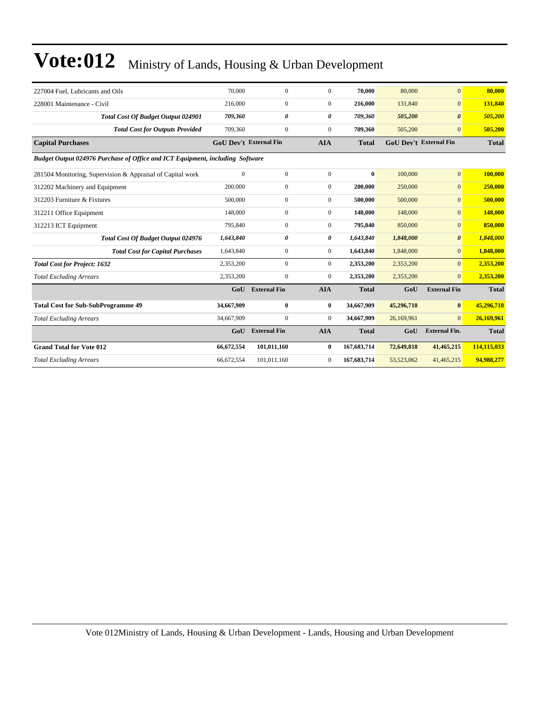| 227004 Fuel. Lubricants and Oils                                              | 70,000                        | $\overline{0}$      | $\overline{0}$        | 70,000       | 80,000                        | $\mathbf{0}$          | 80,000       |  |  |
|-------------------------------------------------------------------------------|-------------------------------|---------------------|-----------------------|--------------|-------------------------------|-----------------------|--------------|--|--|
| 228001 Maintenance - Civil                                                    | 216,000                       | $\overline{0}$      | $\overline{0}$        | 216,000      | 131,840                       | $\mathbf{0}$          | 131,840      |  |  |
| Total Cost Of Budget Output 024901                                            | 709,360                       | 0                   | $\boldsymbol{\theta}$ | 709,360      | 505,200                       | $\boldsymbol{\theta}$ | 505,200      |  |  |
| <b>Total Cost for Outputs Provided</b>                                        | 709,360                       | $\overline{0}$      | $\overline{0}$        | 709.360      | 505,200                       | $\overline{0}$        | 505,200      |  |  |
| <b>Capital Purchases</b>                                                      | <b>GoU Dev't External Fin</b> |                     | <b>AIA</b>            | <b>Total</b> | <b>GoU</b> Dev't External Fin |                       | <b>Total</b> |  |  |
| Budget Output 024976 Purchase of Office and ICT Equipment, including Software |                               |                     |                       |              |                               |                       |              |  |  |
| 281504 Monitoring, Supervision & Appraisal of Capital work                    | $\mathbf{0}$                  | $\boldsymbol{0}$    | $\mathbf{0}$          | 0            | 100,000                       | $\overline{0}$        | 100,000      |  |  |
| 312202 Machinery and Equipment                                                | 200,000                       | $\boldsymbol{0}$    | $\boldsymbol{0}$      | 200,000      | 250,000                       | $\mathbf{0}$          | 250,000      |  |  |
| 312203 Furniture & Fixtures                                                   | 500,000                       | $\boldsymbol{0}$    | $\overline{0}$        | 500,000      | 500,000                       | $\overline{0}$        | 500,000      |  |  |
| 312211 Office Equipment                                                       | 148,000                       | $\boldsymbol{0}$    | $\overline{0}$        | 148,000      | 148,000                       | $\mathbf{0}$          | 148,000      |  |  |
| 312213 ICT Equipment                                                          | 795,840                       | $\boldsymbol{0}$    | $\overline{0}$        | 795,840      | 850,000                       | $\overline{0}$        | 850,000      |  |  |
| Total Cost Of Budget Output 024976                                            | 1,643,840                     | $\theta$            | 0                     | 1,643,840    | 1,848,000                     | $\boldsymbol{\theta}$ | 1,848,000    |  |  |
| <b>Total Cost for Capital Purchases</b>                                       | 1,643,840                     | $\overline{0}$      | $\overline{0}$        | 1,643,840    | 1,848,000                     | $\overline{0}$        | 1,848,000    |  |  |
| <b>Total Cost for Project: 1632</b>                                           | 2,353,200                     | $\overline{0}$      | $\overline{0}$        | 2,353,200    | 2,353,200                     | $\overline{0}$        | 2,353,200    |  |  |
| <b>Total Excluding Arrears</b>                                                | 2,353,200                     | $\mathbf{0}$        | $\Omega$              | 2,353,200    | 2,353,200                     | $\Omega$              | 2,353,200    |  |  |
|                                                                               | GoU                           | <b>External Fin</b> | <b>AIA</b>            | <b>Total</b> | GoU                           | <b>External Fin</b>   | <b>Total</b> |  |  |
| <b>Total Cost for Sub-SubProgramme 49</b>                                     | 34,667,909                    | $\bf{0}$            | $\bf{0}$              | 34,667,909   | 45,296,718                    | $\bf{0}$              | 45,296,718   |  |  |
| <b>Total Excluding Arrears</b>                                                | 34,667,909                    | $\boldsymbol{0}$    | $\overline{0}$        | 34,667,909   | 26,169,961                    | $\Omega$              | 26,169,961   |  |  |
|                                                                               | GoU                           | <b>External Fin</b> | <b>AIA</b>            | <b>Total</b> | GoU                           | <b>External Fin.</b>  | <b>Total</b> |  |  |
| <b>Grand Total for Vote 012</b>                                               | 66,672,554                    | 101,011,160         | $\bf{0}$              | 167,683,714  | 72,649,818                    | 41,465,215            | 114,115,033  |  |  |
| <b>Total Excluding Arrears</b>                                                | 66,672,554                    | 101,011,160         | $\mathbf{0}$          | 167,683,714  | 53,523,062                    | 41,465,215            | 94,988,277   |  |  |